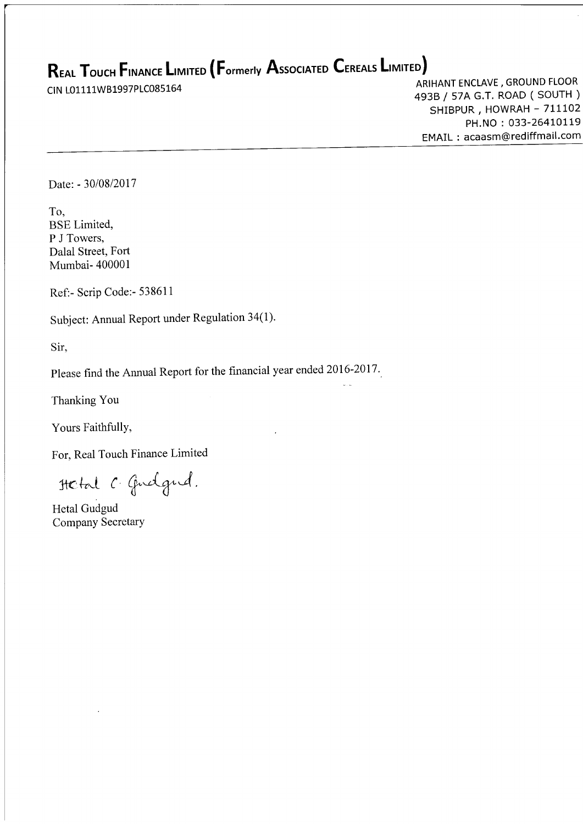# $\mathsf R$ eal  $\mathsf T$ ouch Finance Limited (Formerly Associated Cereals Limited)

**CREAL TOUCH TINANCE LIMITED TO OTHERLY ASSOCIATED CERTAINS AND ARIHANT ENCLAVE, GROUND FLOOR**<br>CIN L01111WB1997PLC085164 filming the approximated to the ARIHANT ENCLAVE, GROUND FLOOR 493B / 57A G.T. ROAD ( SOUTH )<br>SHIBPUR , HOWRAH - 711102 PH.NO: 033-26410119 EMAIL : acaasm@rediffmail.com

Date: - 30/08/2017

To, BSE Limited, P J Towers, Dalal Street, Fort Mumbai- 400001

Ref:- Scrip Code:- 538611

Subject: Annual Report under Regulation 34(1).

Sir,

Please find the Annual Report for the financial year ended 2016-2017.

Thanking You

Yours Faithfully,

For, Real Touch Finance Limited

Hetal C Gudgud.

Hetal Gudgud Company SecretarY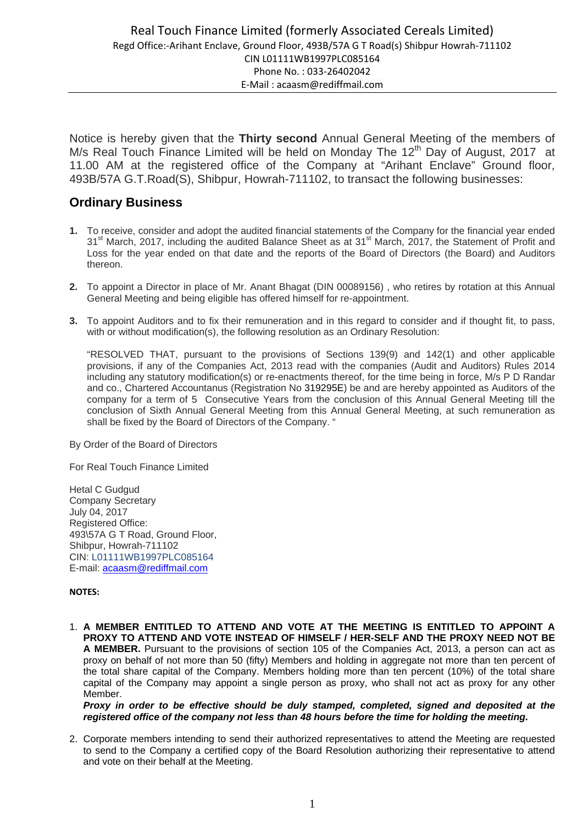Notice is hereby given that the **Thirty second** Annual General Meeting of the members of M/s Real Touch Finance Limited will be held on Monday The 12<sup>th</sup> Day of August, 2017 at 11.00 AM at the registered office of the Company at "Arihant Enclave" Ground floor, 493B/57A G.T.Road(S), Shibpur, Howrah-711102, to transact the following businesses:

# **Ordinary Business**

- **1.** To receive, consider and adopt the audited financial statements of the Company for the financial year ended 31<sup>st</sup> March, 2017, including the audited Balance Sheet as at 31<sup>st</sup> March, 2017, the Statement of Profit and Loss for the year ended on that date and the reports of the Board of Directors (the Board) and Auditors thereon.
- **2.** To appoint a Director in place of Mr. Anant Bhagat (DIN 00089156) , who retires by rotation at this Annual General Meeting and being eligible has offered himself for re-appointment.
- **3.** To appoint Auditors and to fix their remuneration and in this regard to consider and if thought fit, to pass, with or without modification(s), the following resolution as an Ordinary Resolution:

"RESOLVED THAT, pursuant to the provisions of Sections 139(9) and 142(1) and other applicable provisions, if any of the Companies Act, 2013 read with the companies (Audit and Auditors) Rules 2014 including any statutory modification(s) or re-enactments thereof, for the time being in force, M/s P D Randar and co., Chartered Accountanus (Registration No 319295E) be and are hereby appointed as Auditors of the company for a term of 5 Consecutive Years from the conclusion of this Annual General Meeting till the conclusion of Sixth Annual General Meeting from this Annual General Meeting, at such remuneration as shall be fixed by the Board of Directors of the Company. "

By Order of the Board of Directors

For Real Touch Finance Limited

Hetal C Gudgud Company Secretary July 04, 2017 Registered Office: 493\57A G T Road, Ground Floor, Shibpur, Howrah-711102 CIN: L01111WB1997PLC085164 E-mail: acaasm@rediffmail.com

# **NOTES:**

1. **A MEMBER ENTITLED TO ATTEND AND VOTE AT THE MEETING IS ENTITLED TO APPOINT A PROXY TO ATTEND AND VOTE INSTEAD OF HIMSELF / HER-SELF AND THE PROXY NEED NOT BE A MEMBER.** Pursuant to the provisions of section 105 of the Companies Act, 2013, a person can act as proxy on behalf of not more than 50 (fifty) Members and holding in aggregate not more than ten percent of the total share capital of the Company. Members holding more than ten percent (10%) of the total share capital of the Company may appoint a single person as proxy, who shall not act as proxy for any other Member.

*Proxy in order to be effective should be duly stamped, completed, signed and deposited at the registered office of the company not less than 48 hours before the time for holding the meeting.* 

2. Corporate members intending to send their authorized representatives to attend the Meeting are requested to send to the Company a certified copy of the Board Resolution authorizing their representative to attend and vote on their behalf at the Meeting.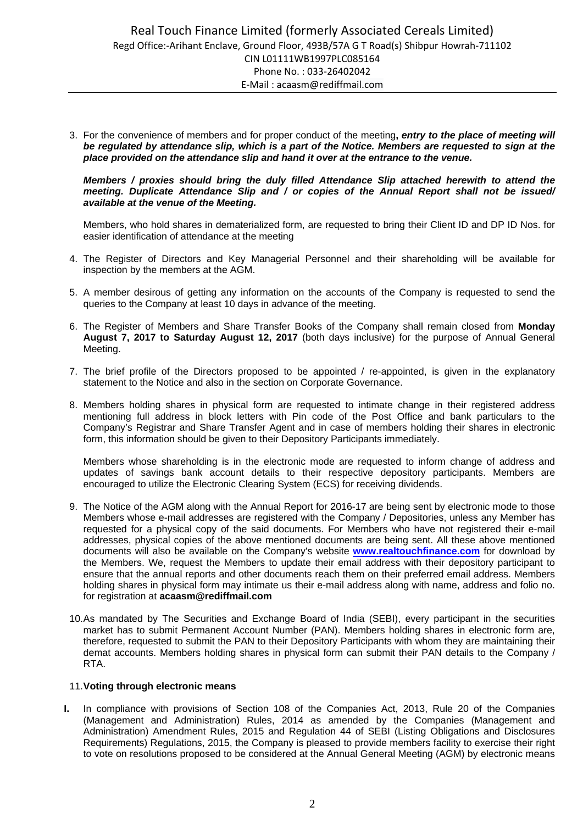3. For the convenience of members and for proper conduct of the meeting**,** *entry to the place of meeting will be regulated by attendance slip, which is a part of the Notice. Members are requested to sign at the place provided on the attendance slip and hand it over at the entrance to the venue.* 

# *Members / proxies should bring the duly filled Attendance Slip attached herewith to attend the meeting. Duplicate Attendance Slip and / or copies of the Annual Report shall not be issued/ available at the venue of the Meeting.*

Members, who hold shares in dematerialized form, are requested to bring their Client ID and DP ID Nos. for easier identification of attendance at the meeting

- 4. The Register of Directors and Key Managerial Personnel and their shareholding will be available for inspection by the members at the AGM.
- 5. A member desirous of getting any information on the accounts of the Company is requested to send the queries to the Company at least 10 days in advance of the meeting.
- 6. The Register of Members and Share Transfer Books of the Company shall remain closed from **Monday August 7, 2017 to Saturday August 12, 2017** (both days inclusive) for the purpose of Annual General Meeting.
- 7. The brief profile of the Directors proposed to be appointed / re-appointed, is given in the explanatory statement to the Notice and also in the section on Corporate Governance.
- 8. Members holding shares in physical form are requested to intimate change in their registered address mentioning full address in block letters with Pin code of the Post Office and bank particulars to the Company's Registrar and Share Transfer Agent and in case of members holding their shares in electronic form, this information should be given to their Depository Participants immediately.

Members whose shareholding is in the electronic mode are requested to inform change of address and updates of savings bank account details to their respective depository participants. Members are encouraged to utilize the Electronic Clearing System (ECS) for receiving dividends.

- 9. The Notice of the AGM along with the Annual Report for 2016-17 are being sent by electronic mode to those Members whose e-mail addresses are registered with the Company / Depositories, unless any Member has requested for a physical copy of the said documents. For Members who have not registered their e-mail addresses, physical copies of the above mentioned documents are being sent. All these above mentioned documents will also be available on the Company's website **www.realtouchfinance.com** for download by the Members. We, request the Members to update their email address with their depository participant to ensure that the annual reports and other documents reach them on their preferred email address. Members holding shares in physical form may intimate us their e-mail address along with name, address and folio no. for registration at **acaasm@rediffmail.com**
- 10. As mandated by The Securities and Exchange Board of India (SEBI), every participant in the securities market has to submit Permanent Account Number (PAN). Members holding shares in electronic form are, therefore, requested to submit the PAN to their Depository Participants with whom they are maintaining their demat accounts. Members holding shares in physical form can submit their PAN details to the Company / RTA.

# 11. **Voting through electronic means**

**I.** In compliance with provisions of Section 108 of the Companies Act, 2013, Rule 20 of the Companies (Management and Administration) Rules, 2014 as amended by the Companies (Management and Administration) Amendment Rules, 2015 and Regulation 44 of SEBI (Listing Obligations and Disclosures Requirements) Regulations, 2015, the Company is pleased to provide members facility to exercise their right to vote on resolutions proposed to be considered at the Annual General Meeting (AGM) by electronic means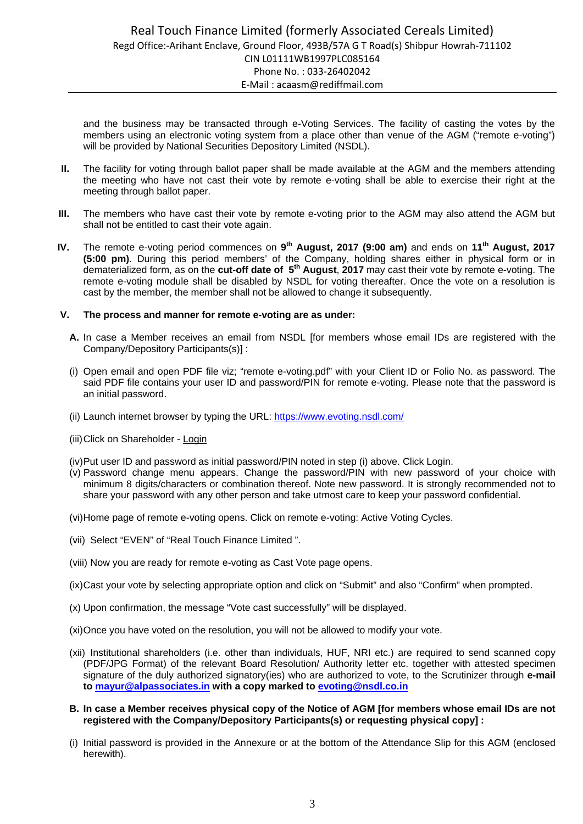and the business may be transacted through e-Voting Services. The facility of casting the votes by the members using an electronic voting system from a place other than venue of the AGM ("remote e-voting") will be provided by National Securities Depository Limited (NSDL).

- **II.** The facility for voting through ballot paper shall be made available at the AGM and the members attending the meeting who have not cast their vote by remote e-voting shall be able to exercise their right at the meeting through ballot paper.
- **III.** The members who have cast their vote by remote e-voting prior to the AGM may also attend the AGM but shall not be entitled to cast their vote again.
- **IV.** The remote e-voting period commences on **9th August, 2017 (9:00 am)** and ends on **11th August, 2017 (5:00 pm)**. During this period members' of the Company, holding shares either in physical form or in dematerialized form, as on the **cut-off date of 5th August**, **2017** may cast their vote by remote e-voting. The remote e-voting module shall be disabled by NSDL for voting thereafter. Once the vote on a resolution is cast by the member, the member shall not be allowed to change it subsequently.

# **V. The process and manner for remote e-voting are as under:**

- **A.** In case a Member receives an email from NSDL [for members whose email IDs are registered with the Company/Depository Participants(s)] :
- (i) Open email and open PDF file viz; "remote e-voting.pdf" with your Client ID or Folio No. as password. The said PDF file contains your user ID and password/PIN for remote e-voting. Please note that the password is an initial password.
- (ii) Launch internet browser by typing the URL: https://www.evoting.nsdl.com/
- (iii) Click on Shareholder Login
- (iv) Put user ID and password as initial password/PIN noted in step (i) above. Click Login.
- (v) Password change menu appears. Change the password/PIN with new password of your choice with minimum 8 digits/characters or combination thereof. Note new password. It is strongly recommended not to share your password with any other person and take utmost care to keep your password confidential.
- (vi) Home page of remote e-voting opens. Click on remote e-voting: Active Voting Cycles.
- (vii) Select "EVEN" of "Real Touch Finance Limited ".
- (viii) Now you are ready for remote e-voting as Cast Vote page opens.
- (ix) Cast your vote by selecting appropriate option and click on "Submit" and also "Confirm" when prompted.
- (x) Upon confirmation, the message "Vote cast successfully" will be displayed.
- (xi) Once you have voted on the resolution, you will not be allowed to modify your vote.
- (xii) Institutional shareholders (i.e. other than individuals, HUF, NRI etc.) are required to send scanned copy (PDF/JPG Format) of the relevant Board Resolution/ Authority letter etc. together with attested specimen signature of the duly authorized signatory(ies) who are authorized to vote, to the Scrutinizer through **e-mail to mayur@alpassociates.in with a copy marked to evoting@nsdl.co.in**
- **B. In case a Member receives physical copy of the Notice of AGM [for members whose email IDs are not registered with the Company/Depository Participants(s) or requesting physical copy] :**
- (i) Initial password is provided in the Annexure or at the bottom of the Attendance Slip for this AGM (enclosed herewith).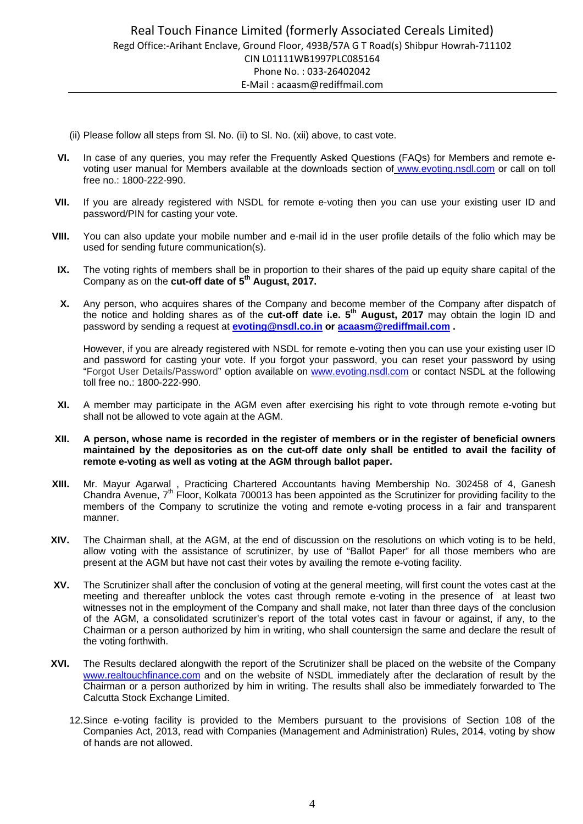- (ii) Please follow all steps from Sl. No. (ii) to Sl. No. (xii) above, to cast vote.
- **VI.** In case of any queries, you may refer the Frequently Asked Questions (FAQs) for Members and remote evoting user manual for Members available at the downloads section of www.evoting.nsdl.com or call on toll free no.: 1800-222-990.
- **VII.** If you are already registered with NSDL for remote e-voting then you can use your existing user ID and password/PIN for casting your vote.
- **VIII.** You can also update your mobile number and e-mail id in the user profile details of the folio which may be used for sending future communication(s).
- **IX.** The voting rights of members shall be in proportion to their shares of the paid up equity share capital of the Company as on the **cut-off date of 5th August, 2017.**
- **X.** Any person, who acquires shares of the Company and become member of the Company after dispatch of the notice and holding shares as of the **cut-off date i.e. 5th August, 2017** may obtain the login ID and password by sending a request at **evoting@nsdl.co.in or acaasm@rediffmail.com .**

However, if you are already registered with NSDL for remote e-voting then you can use your existing user ID and password for casting your vote. If you forgot your password, you can reset your password by using "Forgot User Details/Password" option available on www.evoting.nsdl.com or contact NSDL at the following toll free no.: 1800-222-990.

**XI.** A member may participate in the AGM even after exercising his right to vote through remote e-voting but shall not be allowed to vote again at the AGM.

### **XII. A person, whose name is recorded in the register of members or in the register of beneficial owners maintained by the depositories as on the cut-off date only shall be entitled to avail the facility of remote e-voting as well as voting at the AGM through ballot paper.**

- **XIII.** Mr. Mayur Agarwal , Practicing Chartered Accountants having Membership No. 302458 of 4, Ganesh Chandra Avenue,  $7<sup>th</sup>$  Floor, Kolkata 700013 has been appointed as the Scrutinizer for providing facility to the members of the Company to scrutinize the voting and remote e-voting process in a fair and transparent manner.
- **XIV.** The Chairman shall, at the AGM, at the end of discussion on the resolutions on which voting is to be held, allow voting with the assistance of scrutinizer, by use of "Ballot Paper" for all those members who are present at the AGM but have not cast their votes by availing the remote e-voting facility.
- **XV.** The Scrutinizer shall after the conclusion of voting at the general meeting, will first count the votes cast at the meeting and thereafter unblock the votes cast through remote e-voting in the presence of at least two witnesses not in the employment of the Company and shall make, not later than three days of the conclusion of the AGM, a consolidated scrutinizer's report of the total votes cast in favour or against, if any, to the Chairman or a person authorized by him in writing, who shall countersign the same and declare the result of the voting forthwith.
- **XVI.** The Results declared alongwith the report of the Scrutinizer shall be placed on the website of the Company www.realtouchfinance.com and on the website of NSDL immediately after the declaration of result by the Chairman or a person authorized by him in writing. The results shall also be immediately forwarded to The Calcutta Stock Exchange Limited.
	- 12. Since e-voting facility is provided to the Members pursuant to the provisions of Section 108 of the Companies Act, 2013, read with Companies (Management and Administration) Rules, 2014, voting by show of hands are not allowed.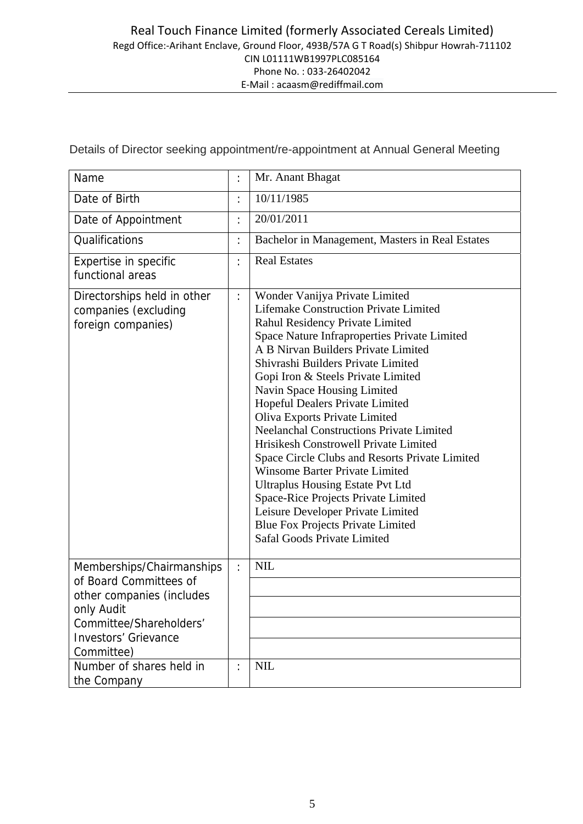| Name                                                                                                                                                                   | $\ddot{\cdot}$ | Mr. Anant Bhagat                                                                                                                                                                                                                                                                                                                                                                                                                                                                                                                                                                                                                                                                                                                                                                 |
|------------------------------------------------------------------------------------------------------------------------------------------------------------------------|----------------|----------------------------------------------------------------------------------------------------------------------------------------------------------------------------------------------------------------------------------------------------------------------------------------------------------------------------------------------------------------------------------------------------------------------------------------------------------------------------------------------------------------------------------------------------------------------------------------------------------------------------------------------------------------------------------------------------------------------------------------------------------------------------------|
| Date of Birth                                                                                                                                                          | $\ddot{\cdot}$ | 10/11/1985                                                                                                                                                                                                                                                                                                                                                                                                                                                                                                                                                                                                                                                                                                                                                                       |
| Date of Appointment                                                                                                                                                    | $\ddot{\cdot}$ | 20/01/2011                                                                                                                                                                                                                                                                                                                                                                                                                                                                                                                                                                                                                                                                                                                                                                       |
| <b>Qualifications</b>                                                                                                                                                  | $\ddot{\cdot}$ | Bachelor in Management, Masters in Real Estates                                                                                                                                                                                                                                                                                                                                                                                                                                                                                                                                                                                                                                                                                                                                  |
| Expertise in specific<br>functional areas                                                                                                                              | $\ddot{\cdot}$ | <b>Real Estates</b>                                                                                                                                                                                                                                                                                                                                                                                                                                                                                                                                                                                                                                                                                                                                                              |
| Directorships held in other<br>companies (excluding<br>foreign companies)                                                                                              | $\ddot{\cdot}$ | Wonder Vanijya Private Limited<br><b>Lifemake Construction Private Limited</b><br>Rahul Residency Private Limited<br>Space Nature Infraproperties Private Limited<br>A B Nirvan Builders Private Limited<br>Shivrashi Builders Private Limited<br>Gopi Iron & Steels Private Limited<br>Navin Space Housing Limited<br>Hopeful Dealers Private Limited<br>Oliva Exports Private Limited<br><b>Neelanchal Constructions Private Limited</b><br>Hrisikesh Constrowell Private Limited<br>Space Circle Clubs and Resorts Private Limited<br><b>Winsome Barter Private Limited</b><br><b>Ultraplus Housing Estate Pvt Ltd</b><br>Space-Rice Projects Private Limited<br>Leisure Developer Private Limited<br><b>Blue Fox Projects Private Limited</b><br>Safal Goods Private Limited |
| Memberships/Chairmanships<br>of Board Committees of<br>other companies (includes<br>only Audit<br>Committee/Shareholders'<br><b>Investors' Grievance</b><br>Committee) | $\ddot{\cdot}$ | <b>NIL</b>                                                                                                                                                                                                                                                                                                                                                                                                                                                                                                                                                                                                                                                                                                                                                                       |
| Number of shares held in<br>the Company                                                                                                                                | $\ddot{\cdot}$ | <b>NIL</b>                                                                                                                                                                                                                                                                                                                                                                                                                                                                                                                                                                                                                                                                                                                                                                       |

Details of Director seeking appointment/re-appointment at Annual General Meeting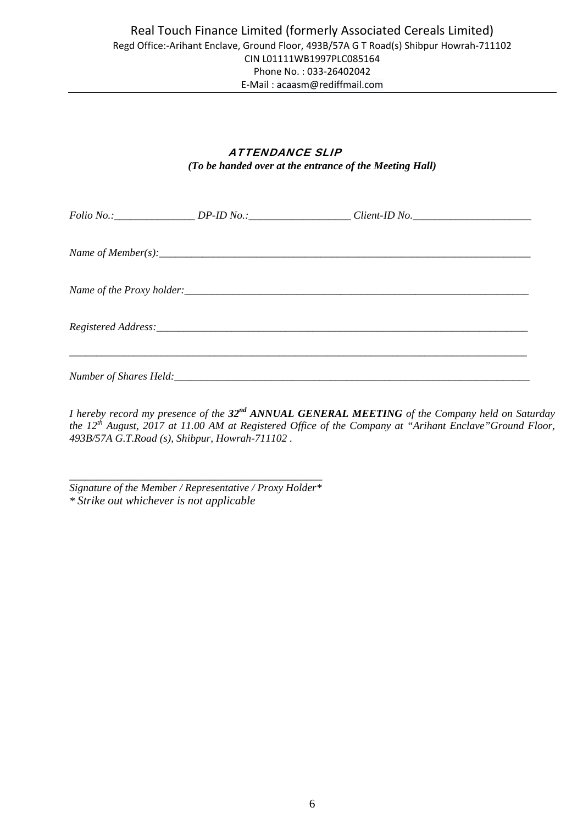# ATTENDANCE SLIP *(To be handed over at the entrance of the Meeting Hall)*

|  | Folio No.: _____________________DP-ID No.: _______________________Client-ID No. ______________________________ |  |
|--|----------------------------------------------------------------------------------------------------------------|--|
|  |                                                                                                                |  |
|  |                                                                                                                |  |
|  |                                                                                                                |  |
|  |                                                                                                                |  |

*I hereby record my presence of the 32nd ANNUAL GENERAL MEETING of the Company held on Saturday the 12th August, 2017 at 11.00 AM at Registered Office of the Company at "Arihant Enclave"Ground Floor, 493B/57A G.T.Road (s), Shibpur, Howrah-711102 .* 

*\_\_\_\_\_\_\_\_\_\_\_\_\_\_\_\_\_\_\_\_\_\_\_\_\_\_\_\_\_\_\_\_\_\_\_\_\_\_\_\_\_\_\_\_\_\_\_ Signature of the Member / Representative / Proxy Holder\* \* Strike out whichever is not applicable*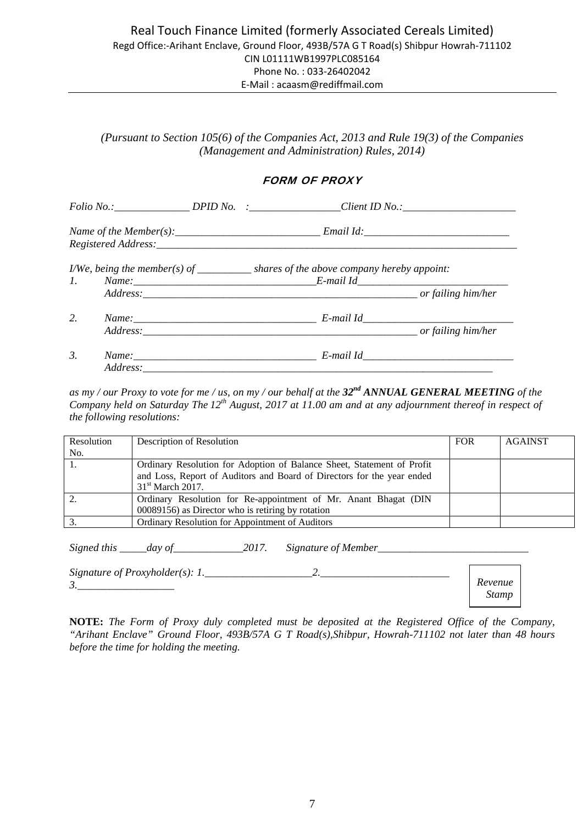*(Pursuant to Section 105(6) of the Companies Act, 2013 and Rule 19(3) of the Companies (Management and Administration) Rules, 2014)* 

# FORM OF PROXY

|    |          | Folio No.:____________________DPID No. :__________________Client ID No.:____________________________ |  |
|----|----------|------------------------------------------------------------------------------------------------------|--|
|    |          |                                                                                                      |  |
|    |          | $I/We$ , being the member(s) of _____________ shares of the above company hereby appoint:            |  |
| 2. |          |                                                                                                      |  |
| 3. | Address: |                                                                                                      |  |

*as my / our Proxy to vote for me / us, on my / our behalf at the 32nd ANNUAL GENERAL MEETING of the Company held on Saturday The 12th August, 2017 at 11.00 am and at any adjournment thereof in respect of the following resolutions:* 

| Resolution | Description of Resolution                                              | <b>FOR</b> | <b>AGAINST</b> |
|------------|------------------------------------------------------------------------|------------|----------------|
| No.        |                                                                        |            |                |
|            | Ordinary Resolution for Adoption of Balance Sheet, Statement of Profit |            |                |
|            | and Loss, Report of Auditors and Board of Directors for the year ended |            |                |
|            | $31st$ March 2017.                                                     |            |                |
|            | Ordinary Resolution for Re-appointment of Mr. Anant Bhagat (DIN        |            |                |
|            | 00089156) as Director who is retiring by rotation                      |            |                |
|            | Ordinary Resolution for Appointment of Auditors                        |            |                |

*Signed this* \_\_\_\_*day of* \_\_\_\_\_\_\_\_\_\_\_\_\_2017. Signature of Member\_\_\_\_\_\_\_\_\_\_\_\_\_\_\_\_\_

| Signature of Proxyholder(s): $1$ . |         |
|------------------------------------|---------|
| $\overline{\phantom{a}}$           | Kevenue |
|                                    | Stamp   |

**NOTE:** *The Form of Proxy duly completed must be deposited at the Registered Office of the Company, "Arihant Enclave" Ground Floor, 493B/57A G T Road(s),Shibpur, Howrah-711102 not later than 48 hours before the time for holding the meeting.*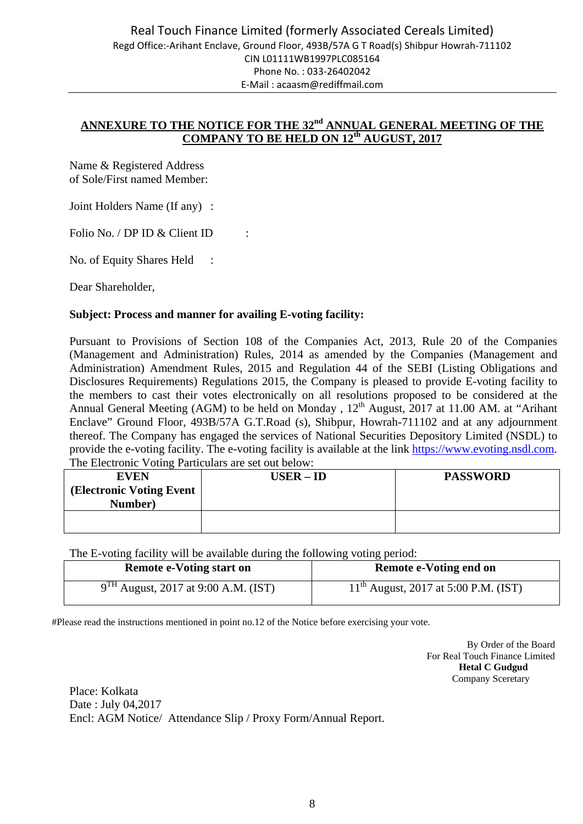# ANNEXURE TO THE NOTICE FOR THE 32<sup>nd</sup> ANNUAL GENERAL MEETING OF THE **COMPANY TO BE HELD ON 12th AUGUST, 2017**

Name & Registered Address of Sole/First named Member:

Joint Holders Name (If any) :

Folio No. / DP ID & Client ID :

No. of Equity Shares Held :

Dear Shareholder,

# **Subject: Process and manner for availing E-voting facility:**

Pursuant to Provisions of Section 108 of the Companies Act, 2013, Rule 20 of the Companies (Management and Administration) Rules, 2014 as amended by the Companies (Management and Administration) Amendment Rules, 2015 and Regulation 44 of the SEBI (Listing Obligations and Disclosures Requirements) Regulations 2015, the Company is pleased to provide E-voting facility to the members to cast their votes electronically on all resolutions proposed to be considered at the Annual General Meeting (AGM) to be held on Monday, 12<sup>th</sup> August, 2017 at 11.00 AM. at "Arihant Enclave" Ground Floor, 493B/57A G.T.Road (s), Shibpur, Howrah-711102 and at any adjournment thereof. The Company has engaged the services of National Securities Depository Limited (NSDL) to provide the e-voting facility. The e-voting facility is available at the link https://www.evoting.nsdl.com. The Electronic Voting Particulars are set out below:

| The Encending Voling I differently are set out below.<br><b>EVEN</b><br>(Electronic Voting Event)<br>Number) | $USER – ID$ | <b>PASSWORD</b> |
|--------------------------------------------------------------------------------------------------------------|-------------|-----------------|
|                                                                                                              |             |                 |

The E-voting facility will be available during the following voting period:

| <b>Remote e-Voting start on</b>               | Remote e-Voting end on                    |
|-----------------------------------------------|-------------------------------------------|
| $^{\text{H}}$ August, 2017 at 9:00 A.M. (IST) | $11^{th}$ August, 2017 at 5:00 P.M. (IST) |

#Please read the instructions mentioned in point no.12 of the Notice before exercising your vote.

By Order of the Board For Real Touch Finance Limited  **Hetal C Gudgud**  Company Sceretary

Place: Kolkata Date : July 04,2017 Encl: AGM Notice/ Attendance Slip / Proxy Form/Annual Report.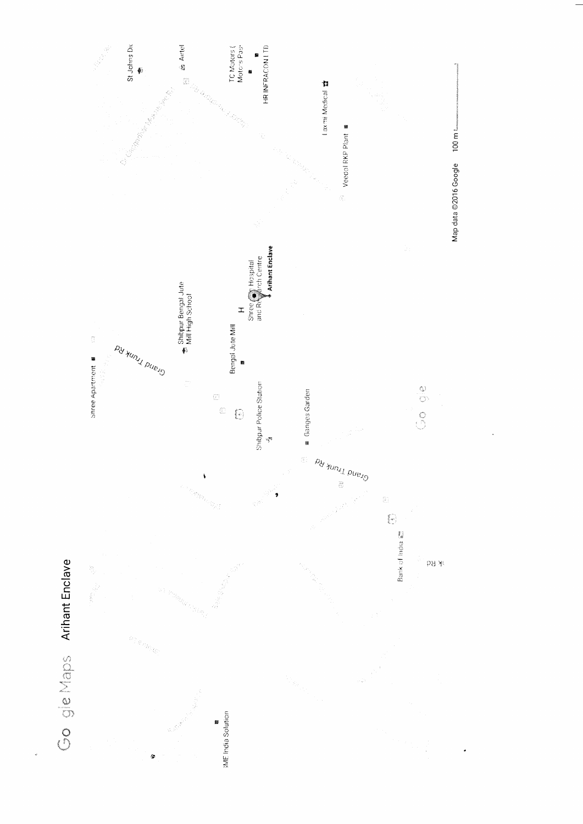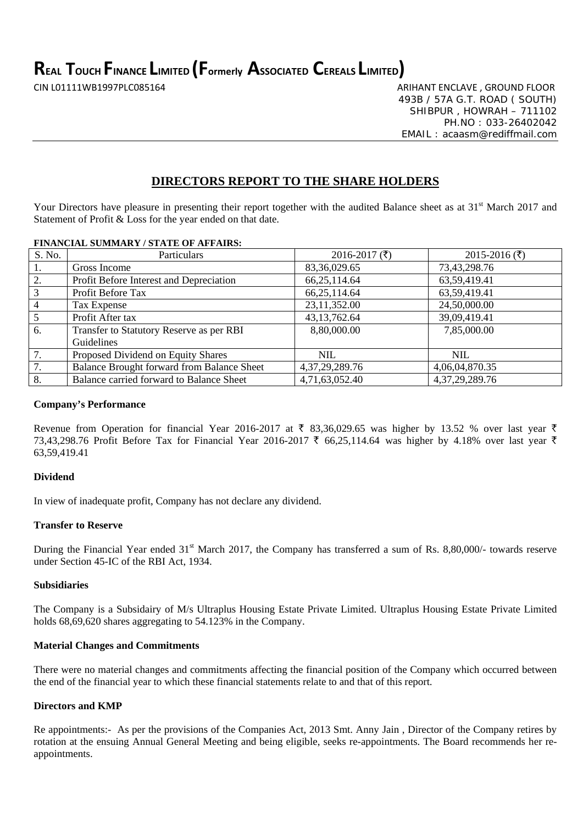**REAL TOUCH FINANCE LIMITED (Formerly ASSOCIATED CEREALS LIMITED)**

CIN L01111WB1997PLC085164 ARIHANT ENCLAVE , GROUND FLOOR 493B / 57A G.T. ROAD ( SOUTH) SHIBPUR , HOWRAH – 711102 PH.NO : 033-26402042 EMAIL : acaasm@rediffmail.com

# **DIRECTORS REPORT TO THE SHARE HOLDERS**

Your Directors have pleasure in presenting their report together with the audited Balance sheet as at 31<sup>st</sup> March 2017 and Statement of Profit & Loss for the year ended on that date.

# **FINANCIAL SUMMARY / STATE OF AFFAIRS:**

| S. No.         | Particulars                                | 2016-2017 $(\bar{\tau})$ | 2015-2016 ( $\bar{\tau}$ ) |
|----------------|--------------------------------------------|--------------------------|----------------------------|
|                | Gross Income                               | 83, 36, 029. 65          | 73,43,298.76               |
| 2.             | Profit Before Interest and Depreciation    | 66, 25, 114. 64          | 63,59,419.41               |
| 3              | Profit Before Tax                          | 66, 25, 114. 64          | 63,59,419.41               |
| $\overline{4}$ | Tax Expense                                | 23,11,352.00             | 24,50,000.00               |
| 5              | Profit After tax                           | 43, 13, 762. 64          | 39,09,419.41               |
| 6.             | Transfer to Statutory Reserve as per RBI   | 8,80,000.00              | 7,85,000.00                |
|                | Guidelines                                 |                          |                            |
| 7.             | Proposed Dividend on Equity Shares         | <b>NIL</b>               | <b>NIL</b>                 |
| 7.             | Balance Brought forward from Balance Sheet | 4, 37, 29, 289. 76       | 4,06,04,870.35             |
| 8.             | Balance carried forward to Balance Sheet   | 4,71,63,052.40           | 4, 37, 29, 289. 76         |

# **Company's Performance**

Revenue from Operation for financial Year 2016-2017 at  $\bar{\tau}$  83,36,029.65 was higher by 13.52 % over last year  $\bar{\tau}$ 73,43,298.76 Profit Before Tax for Financial Year 2016-2017 ₹ 66,25,114.64 was higher by 4.18% over last year ₹ 63,59,419.41

# **Dividend**

In view of inadequate profit, Company has not declare any dividend.

# **Transfer to Reserve**

During the Financial Year ended 31<sup>st</sup> March 2017, the Company has transferred a sum of Rs. 8,80,000/- towards reserve under Section 45-IC of the RBI Act, 1934.

# **Subsidiaries**

The Company is a Subsidairy of M/s Ultraplus Housing Estate Private Limited. Ultraplus Housing Estate Private Limited holds 68,69,620 shares aggregating to 54.123% in the Company.

# **Material Changes and Commitments**

There were no material changes and commitments affecting the financial position of the Company which occurred between the end of the financial year to which these financial statements relate to and that of this report.

# **Directors and KMP**

Re appointments:- As per the provisions of the Companies Act, 2013 Smt. Anny Jain , Director of the Company retires by rotation at the ensuing Annual General Meeting and being eligible, seeks re-appointments. The Board recommends her reappointments.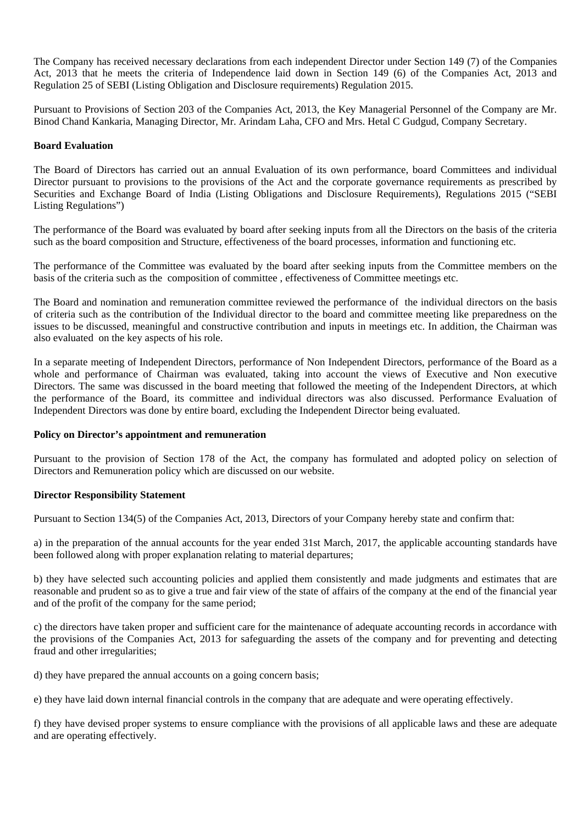The Company has received necessary declarations from each independent Director under Section 149 (7) of the Companies Act, 2013 that he meets the criteria of Independence laid down in Section 149 (6) of the Companies Act, 2013 and Regulation 25 of SEBI (Listing Obligation and Disclosure requirements) Regulation 2015.

Pursuant to Provisions of Section 203 of the Companies Act, 2013, the Key Managerial Personnel of the Company are Mr. Binod Chand Kankaria, Managing Director, Mr. Arindam Laha, CFO and Mrs. Hetal C Gudgud, Company Secretary.

# **Board Evaluation**

The Board of Directors has carried out an annual Evaluation of its own performance, board Committees and individual Director pursuant to provisions to the provisions of the Act and the corporate governance requirements as prescribed by Securities and Exchange Board of India (Listing Obligations and Disclosure Requirements), Regulations 2015 ("SEBI Listing Regulations")

The performance of the Board was evaluated by board after seeking inputs from all the Directors on the basis of the criteria such as the board composition and Structure, effectiveness of the board processes, information and functioning etc.

The performance of the Committee was evaluated by the board after seeking inputs from the Committee members on the basis of the criteria such as the composition of committee , effectiveness of Committee meetings etc.

The Board and nomination and remuneration committee reviewed the performance of the individual directors on the basis of criteria such as the contribution of the Individual director to the board and committee meeting like preparedness on the issues to be discussed, meaningful and constructive contribution and inputs in meetings etc. In addition, the Chairman was also evaluated on the key aspects of his role.

In a separate meeting of Independent Directors, performance of Non Independent Directors, performance of the Board as a whole and performance of Chairman was evaluated, taking into account the views of Executive and Non executive Directors. The same was discussed in the board meeting that followed the meeting of the Independent Directors, at which the performance of the Board, its committee and individual directors was also discussed. Performance Evaluation of Independent Directors was done by entire board, excluding the Independent Director being evaluated.

# **Policy on Director's appointment and remuneration**

Pursuant to the provision of Section 178 of the Act, the company has formulated and adopted policy on selection of Directors and Remuneration policy which are discussed on our website.

# **Director Responsibility Statement**

Pursuant to Section 134(5) of the Companies Act, 2013, Directors of your Company hereby state and confirm that:

a) in the preparation of the annual accounts for the year ended 31st March, 2017, the applicable accounting standards have been followed along with proper explanation relating to material departures;

b) they have selected such accounting policies and applied them consistently and made judgments and estimates that are reasonable and prudent so as to give a true and fair view of the state of affairs of the company at the end of the financial year and of the profit of the company for the same period;

c) the directors have taken proper and sufficient care for the maintenance of adequate accounting records in accordance with the provisions of the Companies Act, 2013 for safeguarding the assets of the company and for preventing and detecting fraud and other irregularities;

d) they have prepared the annual accounts on a going concern basis;

e) they have laid down internal financial controls in the company that are adequate and were operating effectively.

f) they have devised proper systems to ensure compliance with the provisions of all applicable laws and these are adequate and are operating effectively.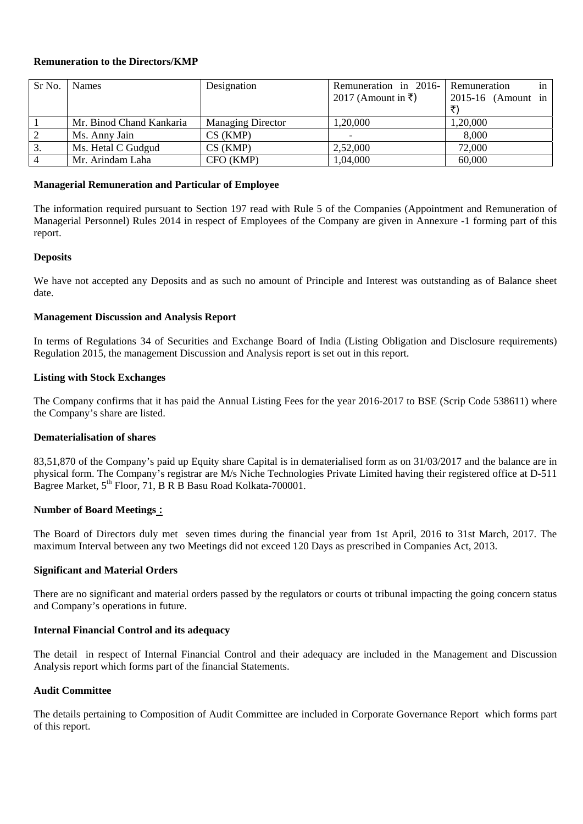# **Remuneration to the Directors/KMP**

| Sr No.         | <b>Names</b>             | Designation              | Remuneration in 2016- Remuneration | in <sub>1</sub>      |
|----------------|--------------------------|--------------------------|------------------------------------|----------------------|
|                |                          |                          | 2017 (Amount in ₹)                 | $2015-16$ (Amount in |
|                |                          |                          |                                    |                      |
|                | Mr. Binod Chand Kankaria | <b>Managing Director</b> | 1,20,000                           | 1,20,000             |
| 2              | Ms. Anny Jain            | CS(KMP)                  |                                    | 8,000                |
| 3.             | Ms. Hetal C Gudgud       | CS(KMP)                  | 2,52,000                           | 72,000               |
| $\overline{4}$ | Mr. Arindam Laha         | CFO (KMP)                | 1,04,000                           | 60,000               |

# **Managerial Remuneration and Particular of Employee**

The information required pursuant to Section 197 read with Rule 5 of the Companies (Appointment and Remuneration of Managerial Personnel) Rules 2014 in respect of Employees of the Company are given in Annexure -1 forming part of this report.

# **Deposits**

We have not accepted any Deposits and as such no amount of Principle and Interest was outstanding as of Balance sheet date.

# **Management Discussion and Analysis Report**

In terms of Regulations 34 of Securities and Exchange Board of India (Listing Obligation and Disclosure requirements) Regulation 2015, the management Discussion and Analysis report is set out in this report.

# **Listing with Stock Exchanges**

The Company confirms that it has paid the Annual Listing Fees for the year 2016-2017 to BSE (Scrip Code 538611) where the Company's share are listed.

# **Dematerialisation of shares**

83,51,870 of the Company's paid up Equity share Capital is in dematerialised form as on 31/03/2017 and the balance are in physical form. The Company's registrar are M/s Niche Technologies Private Limited having their registered office at D-511 Bagree Market, 5<sup>th</sup> Floor, 71, B R B Basu Road Kolkata-700001.

### **Number of Board Meetings :**

The Board of Directors duly met seven times during the financial year from 1st April, 2016 to 31st March, 2017. The maximum Interval between any two Meetings did not exceed 120 Days as prescribed in Companies Act, 2013.

### **Significant and Material Orders**

There are no significant and material orders passed by the regulators or courts ot tribunal impacting the going concern status and Company's operations in future.

### **Internal Financial Control and its adequacy**

The detail in respect of Internal Financial Control and their adequacy are included in the Management and Discussion Analysis report which forms part of the financial Statements.

# **Audit Committee**

The details pertaining to Composition of Audit Committee are included in Corporate Governance Report which forms part of this report.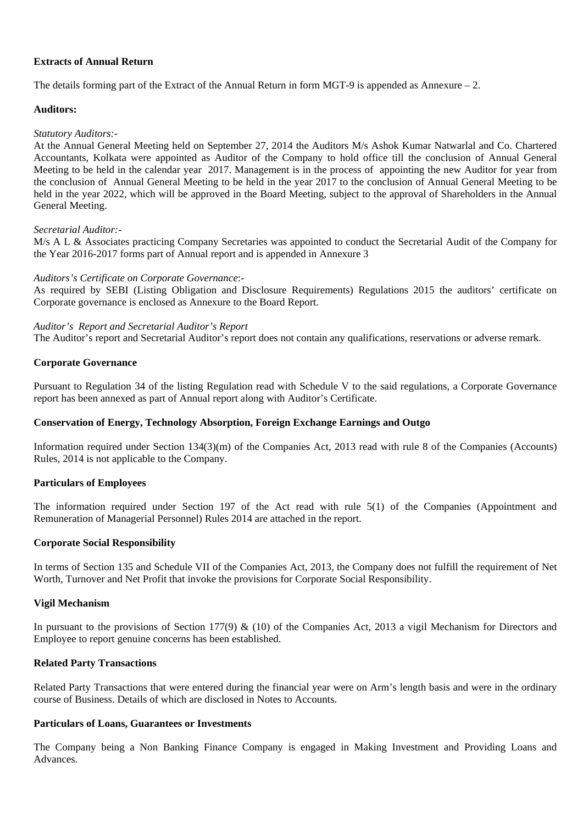# **Extracts of Annual Return**

The details forming part of the Extract of the Annual Return in form MGT-9 is appended as Annexure  $-2$ .

# **Auditors:**

# *Statutory Auditors:-*

At the Annual General Meeting held on September 27, 2014 the Auditors M/s Ashok Kumar Natwarlal and Co. Chartered Accountants, Kolkata were appointed as Auditor of the Company to hold office till the conclusion of Annual General Meeting to be held in the calendar year 2017. Management is in the process of appointing the new Auditor for year from the conclusion of Annual General Meeting to be held in the year 2017 to the conclusion of Annual General Meeting to be held in the year 2022, which will be approved in the Board Meeting, subject to the approval of Shareholders in the Annual General Meeting.

# *Secretarial Auditor:-*

M/s A L & Associates practicing Company Secretaries was appointed to conduct the Secretarial Audit of the Company for the Year 2016-2017 forms part of Annual report and is appended in Annexure 3

# *Auditors's Certificate on Corporate Governance*:-

As required by SEBI (Listing Obligation and Disclosure Requirements) Regulations 2015 the auditors' certificate on Corporate governance is enclosed as Annexure to the Board Report.

### *Auditor's Report and Secretarial Auditor's Report*

The Auditor's report and Secretarial Auditor's report does not contain any qualifications, reservations or adverse remark.

# **Corporate Governance**

Pursuant to Regulation 34 of the listing Regulation read with Schedule V to the said regulations, a Corporate Governance report has been annexed as part of Annual report along with Auditor's Certificate.

# **Conservation of Energy, Technology Absorption, Foreign Exchange Earnings and Outgo**

Information required under Section 134(3)(m) of the Companies Act, 2013 read with rule 8 of the Companies (Accounts) Rules, 2014 is not applicable to the Company.

### **Particulars of Employees**

The information required under Section 197 of the Act read with rule 5(1) of the Companies (Appointment and Remuneration of Managerial Personnel) Rules 2014 are attached in the report.

### **Corporate Social Responsibility**

In terms of Section 135 and Schedule VII of the Companies Act, 2013, the Company does not fulfill the requirement of Net Worth, Turnover and Net Profit that invoke the provisions for Corporate Social Responsibility.

### **Vigil Mechanism**

In pursuant to the provisions of Section 177(9) & (10) of the Companies Act, 2013 a vigil Mechanism for Directors and Employee to report genuine concerns has been established.

# **Related Party Transactions**

Related Party Transactions that were entered during the financial year were on Arm's length basis and were in the ordinary course of Business. Details of which are disclosed in Notes to Accounts.

# **Particulars of Loans, Guarantees or Investments**

The Company being a Non Banking Finance Company is engaged in Making Investment and Providing Loans and Advances.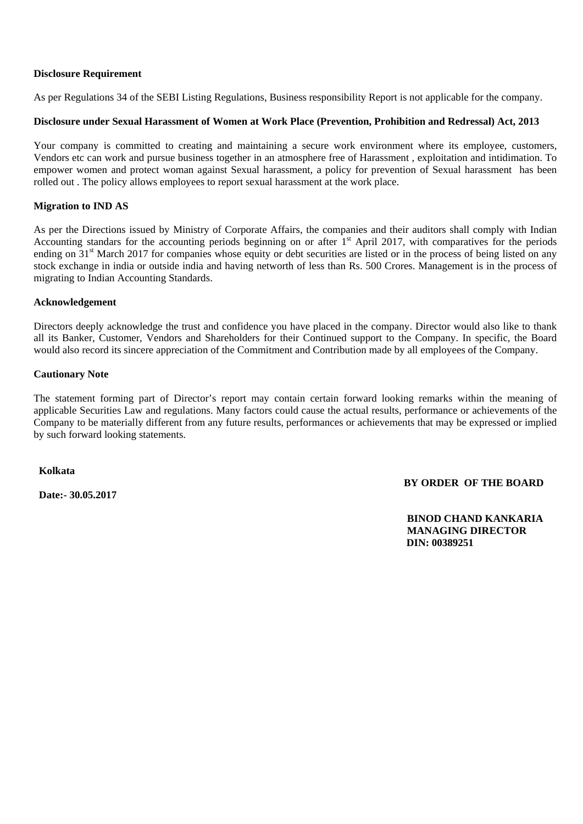# **Disclosure Requirement**

As per Regulations 34 of the SEBI Listing Regulations, Business responsibility Report is not applicable for the company.

# **Disclosure under Sexual Harassment of Women at Work Place (Prevention, Prohibition and Redressal) Act, 2013**

Your company is committed to creating and maintaining a secure work environment where its employee, customers, Vendors etc can work and pursue business together in an atmosphere free of Harassment , exploitation and intidimation. To empower women and protect woman against Sexual harassment, a policy for prevention of Sexual harassment has been rolled out . The policy allows employees to report sexual harassment at the work place.

# **Migration to IND AS**

As per the Directions issued by Ministry of Corporate Affairs, the companies and their auditors shall comply with Indian Accounting standars for the accounting periods beginning on or after  $1<sup>st</sup>$  April 2017, with comparatives for the periods ending on 31<sup>st</sup> March 2017 for companies whose equity or debt securities are listed or in the process of being listed on any stock exchange in india or outside india and having networth of less than Rs. 500 Crores. Management is in the process of migrating to Indian Accounting Standards.

# **Acknowledgement**

Directors deeply acknowledge the trust and confidence you have placed in the company. Director would also like to thank all its Banker, Customer, Vendors and Shareholders for their Continued support to the Company. In specific, the Board would also record its sincere appreciation of the Commitment and Contribution made by all employees of the Company.

# **Cautionary Note**

The statement forming part of Director's report may contain certain forward looking remarks within the meaning of applicable Securities Law and regulations. Many factors could cause the actual results, performance or achievements of the Company to be materially different from any future results, performances or achievements that may be expressed or implied by such forward looking statements.

 **Kolkata** 

 **Date:- 30.05.2017** 

# **BY ORDER OF THE BOARD**

 **BINOD CHAND KANKARIA MANAGING DIRECTOR DIN: 00389251**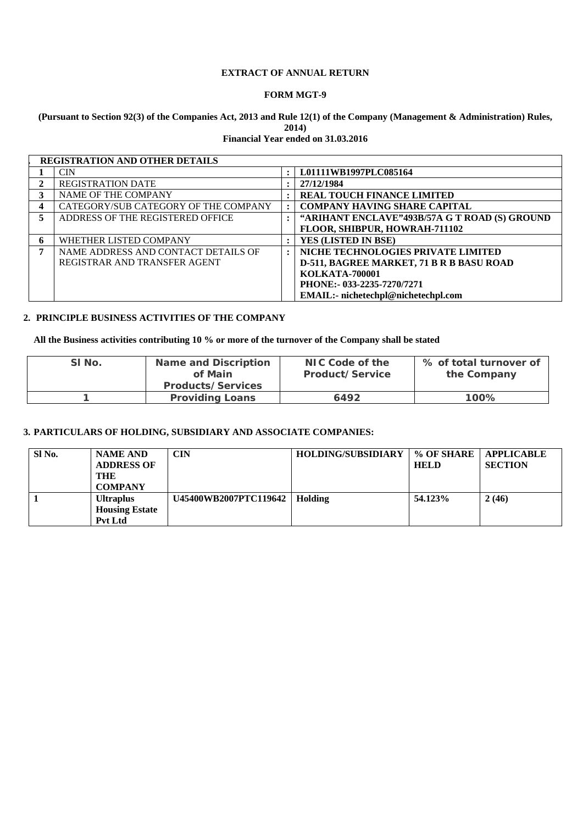# **EXTRACT OF ANNUAL RETURN**

# **FORM MGT-9**

# **(Pursuant to Section 92(3) of the Companies Act, 2013 and Rule 12(1) of the Company (Management & Administration) Rules, 2014)**

**Financial Year ended on 31.03.2016** 

|    | <b>REGISTRATION AND OTHER DETAILS</b> |                      |                                                 |
|----|---------------------------------------|----------------------|-------------------------------------------------|
|    | <b>CIN</b>                            | $\ddot{\cdot}$       | L01111WB1997PLC085164                           |
|    | <b>REGISTRATION DATE</b>              | $\bullet$            | 27/12/1984                                      |
| 3  | NAME OF THE COMPANY                   | $\ddot{\phantom{a}}$ | <b>REAL TOUCH FINANCE LIMITED</b>               |
| 4  | CATEGORY/SUB CATEGORY OF THE COMPANY  | $\ddot{\phantom{a}}$ | <b>COMPANY HAVING SHARE CAPITAL</b>             |
| 5. | ADDRESS OF THE REGISTERED OFFICE      | $\ddot{\phantom{a}}$ | "ARIHANT ENCLAVE"493B/57A G T ROAD (S) GROUND   |
|    |                                       |                      | FLOOR, SHIBPUR, HOWRAH-711102                   |
| 6  | WHETHER LISTED COMPANY                | $\ddot{\cdot}$       | YES (LISTED IN BSE)                             |
| 7  | NAME ADDRESS AND CONTACT DETAILS OF   | $\ddot{\phantom{a}}$ | NICHE TECHNOLOGIES PRIVATE LIMITED              |
|    | REGISTRAR AND TRANSFER AGENT          |                      | <b>D-511, BAGREE MARKET, 71 B R B BASU ROAD</b> |
|    |                                       |                      | <b>KOLKATA-700001</b>                           |
|    |                                       |                      | PHONE: - 033-2235-7270/7271                     |
|    |                                       |                      | <b>EMAIL:-</b> nichetechpl@nichetechpl.com      |

# **2. PRINCIPLE BUSINESS ACTIVITIES OF THE COMPANY**

**All the Business activities contributing 10 % or more of the turnover of the Company shall be stated** 

| <b>Name and Discription</b><br>SI No.<br>of Main |                          | NIC Code of the<br>Product/Service | % of total turnover of<br>the Company |
|--------------------------------------------------|--------------------------|------------------------------------|---------------------------------------|
|                                                  | <b>Products/Services</b> |                                    |                                       |
|                                                  | <b>Providing Loans</b>   | 6492                               | 100%                                  |

# **3. PARTICULARS OF HOLDING, SUBSIDIARY AND ASSOCIATE COMPANIES:**

| SI <sub>No.</sub> | <b>NAME AND</b><br><b>ADDRESS OF</b><br>THE<br><b>COMPANY</b> | <b>CIN</b>            | <b>HOLDING/SUBSIDIARY</b> | % OF SHARE<br><b>HELD</b> | APPLICABLE<br><b>SECTION</b> |
|-------------------|---------------------------------------------------------------|-----------------------|---------------------------|---------------------------|------------------------------|
|                   | <b>Ultraplus</b><br><b>Housing Estate</b><br><b>Pvt Ltd</b>   | U45400WB2007PTC119642 | Holding                   | 54.123%                   | 2(46)                        |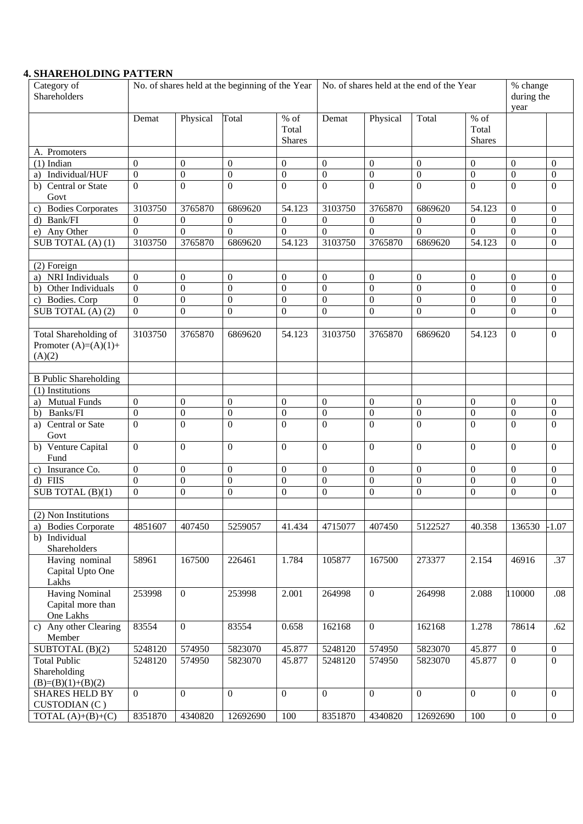# **4. SHAREHOLDING PATTERN**

| Category of<br>Shareholders                                      | No. of shares held at the beginning of the Year |                  |                  | No. of shares held at the end of the Year |                  |                  | % change<br>during the<br>year |                                  |                  |                                    |
|------------------------------------------------------------------|-------------------------------------------------|------------------|------------------|-------------------------------------------|------------------|------------------|--------------------------------|----------------------------------|------------------|------------------------------------|
|                                                                  | Demat                                           | Physical         | Total            | $%$ of<br>Total<br><b>Shares</b>          | Demat            | Physical         | Total                          | $%$ of<br>Total<br><b>Shares</b> |                  |                                    |
| A. Promoters                                                     |                                                 |                  |                  |                                           |                  |                  |                                |                                  |                  |                                    |
| $(1)$ Indian                                                     | $\theta$                                        | $\Omega$         | $\Omega$         | $\overline{0}$                            | $\Omega$         | $\overline{0}$   | $\mathbf{0}$                   | $\theta$                         | $\theta$         | $\overline{0}$                     |
| Individual/HUF<br>a)                                             | $\boldsymbol{0}$                                | $\overline{0}$   | $\mathbf{0}$     | $\boldsymbol{0}$                          | $\boldsymbol{0}$ | $\overline{0}$   | $\boldsymbol{0}$               | $\boldsymbol{0}$                 | $\overline{0}$   | $\boldsymbol{0}$                   |
| b) Central or State<br>Govt                                      | $\theta$                                        | $\Omega$         | $\theta$         | $\boldsymbol{0}$                          | $\Omega$         | $\overline{0}$   | $\boldsymbol{0}$               | $\Omega$                         | $\Omega$         | $\overline{0}$                     |
| <b>Bodies Corporates</b>                                         | 3103750                                         | 3765870          | 6869620          | 54.123                                    | 3103750          | 3765870          | 6869620                        | 54.123                           | $\overline{0}$   | $\overline{0}$                     |
| Bank/FI<br>d)                                                    | $\overline{0}$                                  | $\theta$         | $\overline{0}$   | $\Omega$                                  | $\mathbf{0}$     | $\mathbf{0}$     | $\overline{0}$                 | $\overline{0}$                   | $\overline{0}$   | $\overline{0}$                     |
| e) Any Other                                                     | $\theta$                                        | $\Omega$         | $\Omega$         | $\Omega$                                  | $\overline{0}$   | $\theta$         | $\theta$                       | $\Omega$                         | $\boldsymbol{0}$ | $\boldsymbol{0}$                   |
| SUB TOTAL $(A)$ $(1)$                                            | 3103750                                         | 3765870          | 6869620          | 54.123                                    | 3103750          | 3765870          | 6869620                        | 54.123                           | $\boldsymbol{0}$ | $\overline{0}$                     |
|                                                                  |                                                 |                  |                  |                                           |                  |                  |                                |                                  |                  |                                    |
| (2) Foreign                                                      |                                                 |                  |                  |                                           |                  |                  |                                |                                  |                  |                                    |
| NRI Individuals<br>a)                                            | $\boldsymbol{0}$                                | $\overline{0}$   | $\theta$         | $\overline{0}$                            | $\boldsymbol{0}$ | $\overline{0}$   | $\theta$                       | $\overline{0}$                   | $\overline{0}$   | $\overline{0}$                     |
| b) Other Individuals                                             | $\theta$                                        | $\Omega$         | $\Omega$         | $\theta$                                  | $\Omega$         | $\Omega$         | $\mathbf{0}$                   | $\Omega$                         | $\theta$         | $\boldsymbol{0}$                   |
| c) Bodies. Corp                                                  | $\boldsymbol{0}$                                | $\overline{0}$   | $\theta$         | $\theta$                                  | $\Omega$         | $\overline{0}$   | $\overline{0}$                 | $\Omega$                         | $\theta$         | $\overline{0}$                     |
| SUB TOTAL $(A)$ $(2)$                                            | $\mathbf{0}$                                    | $\Omega$         | $\overline{0}$   | $\theta$                                  | $\Omega$         | $\Omega$         | $\mathbf{0}$                   | $\Omega$                         | $\theta$         | $\Omega$                           |
|                                                                  |                                                 |                  |                  |                                           |                  |                  |                                |                                  |                  |                                    |
| <b>Total Shareholding of</b><br>Promoter $(A)=(A)(1)+$<br>(A)(2) | 3103750                                         | 3765870          | 6869620          | 54.123                                    | 3103750          | 3765870          | 6869620                        | 54.123                           | $\theta$         | $\overline{0}$                     |
|                                                                  |                                                 |                  |                  |                                           |                  |                  |                                |                                  |                  |                                    |
| <b>B</b> Public Shareholding<br>(1) Institutions                 |                                                 |                  |                  |                                           |                  |                  |                                |                                  |                  |                                    |
|                                                                  | $\overline{0}$                                  | $\overline{0}$   | $\mathbf{0}$     | $\Omega$                                  | $\mathbf{0}$     | $\overline{0}$   | $\mathbf{0}$                   | $\Omega$                         | $\overline{0}$   |                                    |
| <b>Mutual Funds</b><br>a)<br>Banks/FI                            | $\overline{0}$                                  | $\boldsymbol{0}$ | $\overline{0}$   | $\overline{0}$                            | $\overline{0}$   | $\boldsymbol{0}$ | $\boldsymbol{0}$               | $\boldsymbol{0}$                 | $\boldsymbol{0}$ | $\overline{0}$<br>$\boldsymbol{0}$ |
| b)<br>Central or Sate<br>a)                                      | $\overline{0}$                                  | $\theta$         | $\overline{0}$   | $\overline{0}$                            | $\overline{0}$   | $\overline{0}$   | $\overline{0}$                 | $\overline{0}$                   | $\overline{0}$   | $\theta$                           |
| Govt                                                             |                                                 |                  |                  |                                           |                  |                  |                                |                                  |                  |                                    |
| b) Venture Capital<br>Fund                                       | $\theta$                                        | $\Omega$         | $\Omega$         | $\Omega$                                  | $\Omega$         | $\Omega$         | $\Omega$                       | $\Omega$                         | $\theta$         | $\Omega$                           |
| c) Insurance Co.                                                 | $\boldsymbol{0}$                                | $\boldsymbol{0}$ | $\mathbf{0}$     | $\overline{0}$                            | $\boldsymbol{0}$ | $\overline{0}$   | $\mathbf{0}$                   | $\theta$                         | $\mathbf{0}$     | $\boldsymbol{0}$                   |
| d) FIIS                                                          | $\overline{0}$                                  | $\boldsymbol{0}$ | $\boldsymbol{0}$ | $\theta$                                  | $\overline{0}$   | $\boldsymbol{0}$ | $\boldsymbol{0}$               | $\theta$                         | $\boldsymbol{0}$ | $\boldsymbol{0}$                   |
| SUB TOTAL $(B)(1)$                                               | $\Omega$                                        | $\Omega$         | $\Omega$         | $\theta$                                  | $\Omega$         | $\overline{0}$   | $\overline{0}$                 | $\Omega$                         | $\theta$         | $\overline{0}$                     |
|                                                                  |                                                 |                  |                  |                                           |                  |                  |                                |                                  |                  |                                    |
| (2) Non Institutions                                             |                                                 |                  |                  |                                           |                  |                  |                                |                                  |                  |                                    |
| <b>Bodies Corporate</b><br>a)                                    | 4851607                                         | 407450           | 5259057          | 41.434                                    | 4715077          | 407450           | 5122527                        | 40.358                           | 136530           | $-1.07$                            |
| b) Individual<br>Shareholders                                    |                                                 |                  |                  |                                           |                  |                  |                                |                                  |                  |                                    |
| Having nominal                                                   | 58961                                           | 167500           | 226461           | 1.784                                     | 105877           | 167500           | 273377                         | 2.154                            | 46916            | .37                                |
| Capital Upto One                                                 |                                                 |                  |                  |                                           |                  |                  |                                |                                  |                  |                                    |
| Lakhs                                                            |                                                 |                  |                  |                                           |                  |                  |                                |                                  |                  |                                    |
| <b>Having Nominal</b><br>Capital more than                       | 253998                                          | $\mathbf{0}$     | 253998           | 2.001                                     | 264998           | $\mathbf{0}$     | 264998                         | 2.088                            | 110000           | .08                                |
| One Lakhs                                                        |                                                 |                  |                  |                                           |                  |                  |                                |                                  |                  |                                    |
| c) Any other Clearing<br>Member                                  | 83554                                           | $\mathbf{0}$     | 83554            | 0.658                                     | 162168           | $\boldsymbol{0}$ | 162168                         | 1.278                            | 78614            | .62                                |
| SUBTOTAL (B)(2)                                                  | 5248120                                         | 574950           | 5823070          | 45.877                                    | 5248120          | 574950           | 5823070                        | 45.877                           | $\boldsymbol{0}$ | $\boldsymbol{0}$                   |
| <b>Total Public</b>                                              | 5248120                                         | 574950           | 5823070          | 45.877                                    | 5248120          | 574950           | 5823070                        | 45.877                           | $\overline{0}$   | $\mathbf{0}$                       |
| Shareholding                                                     |                                                 |                  |                  |                                           |                  |                  |                                |                                  |                  |                                    |
| $(B)=(B)(1)+(B)(2)$                                              |                                                 |                  |                  |                                           |                  |                  |                                |                                  |                  |                                    |
| <b>SHARES HELD BY</b>                                            | $\mathbf{0}$                                    | $\Omega$         | $\overline{0}$   | $\Omega$                                  | $\overline{0}$   | $\overline{0}$   | $\boldsymbol{0}$               | $\overline{0}$                   | $\overline{0}$   | $\overline{0}$                     |
| CUSTODIAN (C)                                                    |                                                 |                  |                  |                                           |                  |                  |                                |                                  |                  |                                    |
| TOTAL $(A)+(B)+(C)$                                              | 8351870                                         | 4340820          | 12692690         | 100                                       | 8351870          | 4340820          | 12692690                       | 100                              | $\boldsymbol{0}$ | $\boldsymbol{0}$                   |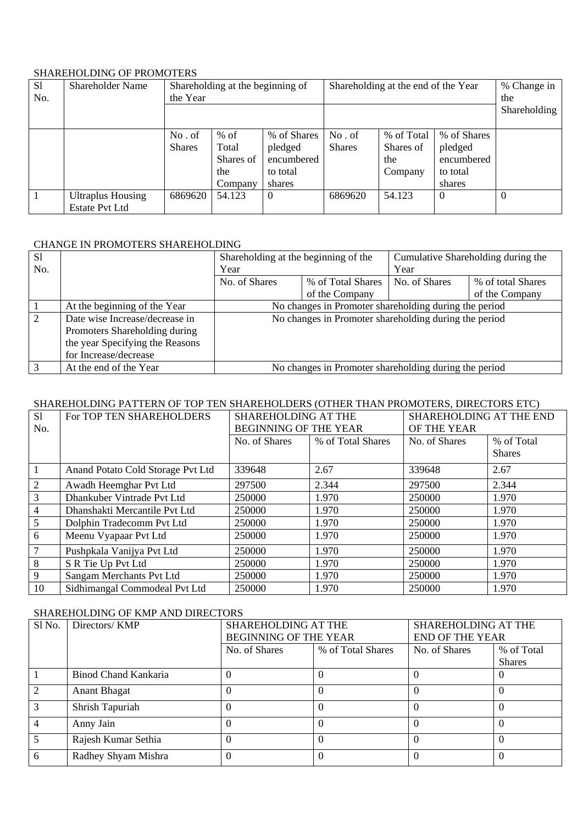# SHAREHOLDING OF PROMOTERS

| <sub>S1</sub><br>No. | <b>Shareholder Name</b>                           | Shareholding at the beginning of<br>the Year |                                                |                                                            | Shareholding at the end of the Year |                                           |                                                            | % Change in<br>the |
|----------------------|---------------------------------------------------|----------------------------------------------|------------------------------------------------|------------------------------------------------------------|-------------------------------------|-------------------------------------------|------------------------------------------------------------|--------------------|
|                      |                                                   |                                              |                                                |                                                            |                                     |                                           |                                                            | Shareholding       |
|                      |                                                   | No. of<br><b>Shares</b>                      | $%$ of<br>Total<br>Shares of<br>the<br>Company | % of Shares<br>pledged<br>encumbered<br>to total<br>shares | No.of<br><b>Shares</b>              | % of Total<br>Shares of<br>the<br>Company | % of Shares<br>pledged<br>encumbered<br>to total<br>shares |                    |
|                      | <b>Ultraplus Housing</b><br><b>Estate Pvt Ltd</b> | 6869620                                      | 54.123                                         | $\Omega$                                                   | 6869620                             | 54.123                                    | $\Omega$                                                   | $\theta$           |

# CHANGE IN PROMOTERS SHAREHOLDING

| <sub>S1</sub> |                                 | Shareholding at the beginning of the                  |                                                       |               | Cumulative Shareholding during the |
|---------------|---------------------------------|-------------------------------------------------------|-------------------------------------------------------|---------------|------------------------------------|
| No.           |                                 | Year                                                  |                                                       | Year          |                                    |
|               |                                 | No. of Shares                                         | % of Total Shares                                     | No. of Shares | % of total Shares                  |
|               |                                 |                                                       | of the Company                                        |               | of the Company                     |
|               | At the beginning of the Year    | No changes in Promoter shareholding during the period |                                                       |               |                                    |
| 2             | Date wise Increase/decrease in  |                                                       | No changes in Promoter shareholding during the period |               |                                    |
|               | Promoters Shareholding during   |                                                       |                                                       |               |                                    |
|               | the year Specifying the Reasons |                                                       |                                                       |               |                                    |
|               | for Increase/decrease           |                                                       |                                                       |               |                                    |
|               | At the end of the Year          |                                                       | No changes in Promoter shareholding during the period |               |                                    |

# SHAREHOLDING PATTERN OF TOP TEN SHAREHOLDERS (OTHER THAN PROMOTERS, DIRECTORS ETC)

| S <sub>1</sub> | For TOP TEN SHAREHOLDERS          | SHAREHOLDING AT THE          |                   | SHAREHOLDING AT THE END |               |
|----------------|-----------------------------------|------------------------------|-------------------|-------------------------|---------------|
| No.            |                                   | <b>BEGINNING OF THE YEAR</b> |                   | OF THE YEAR             |               |
|                |                                   | No. of Shares                | % of Total Shares | No. of Shares           | % of Total    |
|                |                                   |                              |                   |                         | <b>Shares</b> |
| $\mathbf{1}$   | Anand Potato Cold Storage Pvt Ltd | 339648                       | 2.67              | 339648                  | 2.67          |
| 2              | Awadh Heemghar Pvt Ltd            | 297500                       | 2.344             | 297500                  | 2.344         |
| $\overline{3}$ | Dhankuber Vintrade Pvt Ltd        | 250000                       | 1.970             | 250000                  | 1.970         |
| $\overline{4}$ | Dhanshakti Mercantile Pvt Ltd     | 250000                       | 1.970             | 250000                  | 1.970         |
| 5              | Dolphin Tradecomm Pvt Ltd         | 250000                       | 1.970             | 250000                  | 1.970         |
| 6              | Meenu Vyapaar Pvt Ltd             | 250000                       | 1.970             | 250000                  | 1.970         |
| 7              | Pushpkala Vanijya Pvt Ltd         | 250000                       | 1.970             | 250000                  | 1.970         |
| 8              | S R Tie Up Pvt Ltd                | 250000                       | 1.970             | 250000                  | 1.970         |
| 9              | Sangam Merchants Pvt Ltd          | 250000                       | 1.970             | 250000                  | 1.970         |
| 10             | Sidhimangal Commodeal Pvt Ltd     | 250000                       | 1.970             | 250000                  | 1.970         |

# SHAREHOLDING OF KMP AND DIRECTORS

| Sl No.        | Directors/ KMP       | <b>SHAREHOLDING AT THE</b><br>BEGINNING OF THE YEAR |                   | SHAREHOLDING AT THE<br><b>END OF THE YEAR</b> |               |
|---------------|----------------------|-----------------------------------------------------|-------------------|-----------------------------------------------|---------------|
|               |                      | No. of Shares                                       | % of Total Shares | No. of Shares                                 | % of Total    |
|               |                      |                                                     |                   |                                               | <b>Shares</b> |
|               | Binod Chand Kankaria | $\Omega$                                            |                   |                                               | O             |
| $\mathcal{D}$ | <b>Anant Bhagat</b>  |                                                     |                   |                                               | $\theta$      |
|               | Shrish Tapuriah      |                                                     |                   |                                               | $\theta$      |
|               | Anny Jain            |                                                     |                   |                                               | $\theta$      |
|               | Rajesh Kumar Sethia  |                                                     |                   |                                               | $\Omega$      |
| 6             | Radhey Shyam Mishra  | $\Omega$                                            |                   |                                               |               |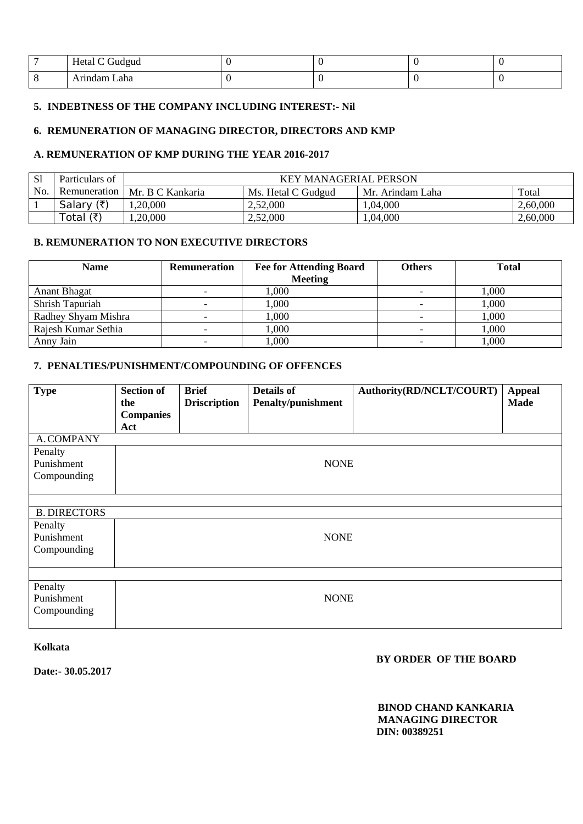|     | Hetal C Gudgud |  |  |
|-----|----------------|--|--|
| . . | Laha<br>ındam  |  |  |

# **5. INDEBTNESS OF THE COMPANY INCLUDING INTEREST:- Nil**

# **6. REMUNERATION OF MANAGING DIRECTOR, DIRECTORS AND KMP**

# **A. REMUNERATION OF KMP DURING THE YEAR 2016-2017**

| <sub>S1</sub> | Particulars of       | <b>KEY MANAGERIAL PERSON</b> |                    |                  |          |  |  |
|---------------|----------------------|------------------------------|--------------------|------------------|----------|--|--|
| No.           | Remuneration         | Mr. B C Kankaria             | Ms. Hetal C Gudgud | Mr. Arindam Laha | Total    |  |  |
|               | (₹)<br>Salary        | ,20,000                      | 2.52,000           | ,04,000          | 2,60,000 |  |  |
|               | Total $(\bar{\tau})$ | .20,000                      | 2,52,000           | ,04,000          | 2,60,000 |  |  |

# **B. REMUNERATION TO NON EXECUTIVE DIRECTORS**

| <b>Name</b>         | Remuneration | <b>Fee for Attending Board</b> | Others | <b>Total</b> |
|---------------------|--------------|--------------------------------|--------|--------------|
|                     |              | <b>Meeting</b>                 |        |              |
| <b>Anant Bhagat</b> |              | 1,000                          |        | 1,000        |
| Shrish Tapuriah     |              | 1,000                          |        | 1,000        |
| Radhey Shyam Mishra |              | 000.1                          |        | 1,000        |
| Rajesh Kumar Sethia |              | 000.                           |        | 1,000        |
| Anny Jain           |              | 000.                           |        | ,000         |

# **7. PENALTIES/PUNISHMENT/COMPOUNDING OF OFFENCES**

| <b>Type</b>                          | <b>Section of</b><br>the<br><b>Companies</b><br>Act | <b>Brief</b><br><b>Driscription</b> | <b>Details of</b><br><b>Penalty/punishment</b> | Authority(RD/NCLT/COURT) | <b>Appeal</b><br><b>Made</b> |
|--------------------------------------|-----------------------------------------------------|-------------------------------------|------------------------------------------------|--------------------------|------------------------------|
| A. COMPANY                           |                                                     |                                     |                                                |                          |                              |
| Penalty<br>Punishment<br>Compounding |                                                     |                                     | <b>NONE</b>                                    |                          |                              |
|                                      |                                                     |                                     |                                                |                          |                              |
| <b>B. DIRECTORS</b>                  |                                                     |                                     |                                                |                          |                              |
| Penalty<br>Punishment<br>Compounding |                                                     |                                     | <b>NONE</b>                                    |                          |                              |
|                                      |                                                     |                                     |                                                |                          |                              |
| Penalty<br>Punishment<br>Compounding |                                                     |                                     | <b>NONE</b>                                    |                          |                              |

### **Kolkata**

**Date:- 30.05.2017** 

# **BY ORDER OF THE BOARD**

 **BINOD CHAND KANKARIA MANAGING DIRECTOR DIN: 00389251**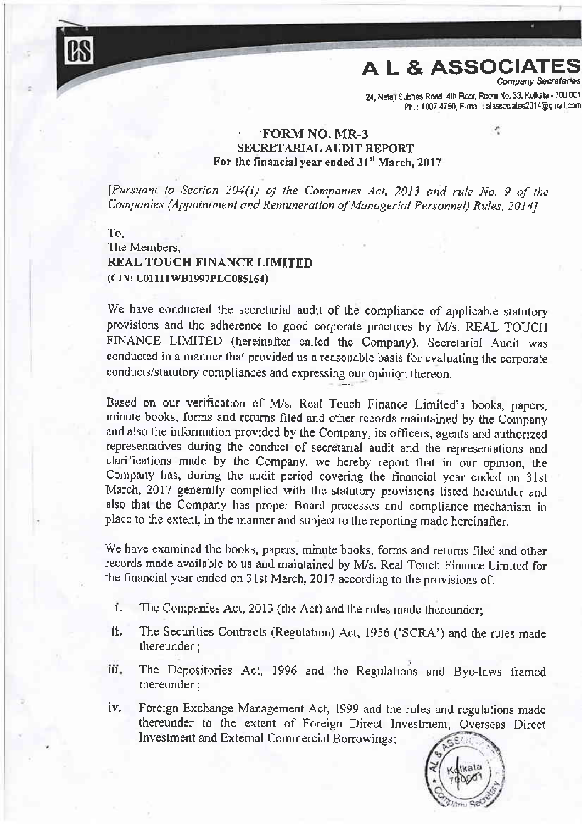24, Netaji Subhas Road, 4th Floor, Room No. 33, Kolkata - 700 001<br>Ph.: 4007 4750, E-mail : alassociates2014@gmail.com

 $\sigma$ 

# . FORM NO. MR-3 SECRETARIAL AUDIT REPORT For the financial vear ended 31<sup>st</sup> March, 2017

[Pursuant to Section 204(1) of the Companies Act, 2013 and rule No. 9 of the Companies (Appoiniment and Remuneration of Managerial Personnel) Rules, 2014]

To. The Members. REAL TOUCH FINANCE LIMITED (CIN: L01111WB1997PLC085164)

We have conducted the secretarial audit of the compliance of applicable statutory provisions and the adherence to good corporate practices by M/s. REAL TOUCH FINANCE LIMITED (hereinafter called the Company). Secretarial Audit was conducted in a manner that provided us a reasonable basis for evaluating the corporate conducts/statutory compliances and expressing our opinion thereon.

Based on our verification of M/s. Real Touch Finance Limited's books, papers, minute books, forms and returns filed and other records maintained by the Company and also the information provided by the Company, its officers, agents and authorized representatives during the conduct of secretarial audit and the representations and clarifications made by the Company, we hereby report that in our opinion, the Company has, during the audit period covering the financial year ended on 31st March, 2017 generally complied with the statutory provisions listed hereunder and also that the Company has proper Board processes and compliance mechanism in place to the extent, in the manner and subject to the reporting made hereinafter:

We have examined the books, papers, minute books, forms and returns filed and other records made available to us and maintained by M/s. Real Touch Finance Limited for the financial year ended on 31st March, 2017 according to the provisions of:

- i. The Companies Act, 2013 (the Act) and the rules made thereunder;
- ïi. The Securities Contracts (Regulation) Act, 1956 ('SCRA') and the rules made thereunder ;
- The Depositories Act, 1996 and the Regulations and Bye-laws framed thereunder; iii.
- Foreign Exchange Management Act, 1999 and the rules and regulations made iv. thereunder to the extent of Foreign Direct Investment, Overseas Direct Investment and External Commercial Borrowings;

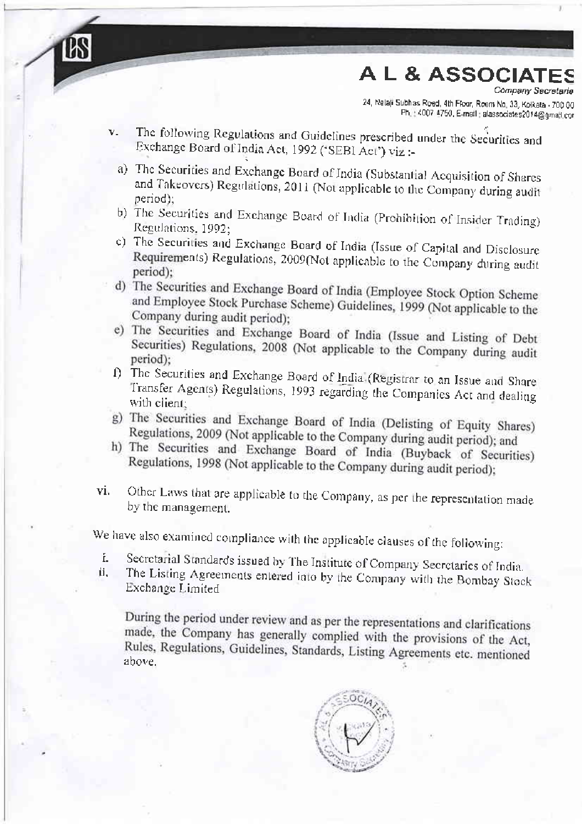,, ",,,,,,-.",,,,-,^-."^i"T,:fr::ff; fr {07q{.na a\*sdaks:0'i@!ru or

- v. The following Regulations and Guidelines prescribed under the Securities and Exchange Board of India Act, 1992 ('SEBI Act') viz :
	- a) The Securities and Exchange Board of India (Substantial Acquisition of Shares and Takeovers) Regulations, 2011 (Not applicable to the Company during audit period):
	- b) The Securities and Exchange Board of India (Prohibition of Insider Trading) Regulations. 1992:
	- The Securities and Exchange Board of India (Issue of Capital and Disclosure Requirements) Regulations, 2009(Not applicable to the Company during audit period):
- d) The Securities and Exchange Board of India (Employee Stock Option Scheme and Employee Stock Purchase Scheme) Guidelines, 1999 (Not applicable to the Company during audit period):
- e) The Securities and Exchange Board of India (Issue and Listing of Debt Securities) Regulations, 2008 (Not applicable to the Company during audit
- (1) The Securities and Exchange Board of India (Registrar to an Issue and Share Transfer Agents) Regulations, 1993 regarding the Companies Act and dealing
- g) The Securities and Exchange Board of India (Delisting of Equity Shares) Regulations, 2009 (Not applicable to the Company during audit period); and
- h) The Securities and Exchange Board of India (Buyback of Securities) Regulations, 1998 (Not applicable to the Company during audit period);
- vi. Other Laws that are applicable to the Company, as per the representation made by the management.

We have also examined compliance with the applicable clauses of the following:

- i. Secretarial Standards issued by The Institute of Company Secretaries of India
- i. The Listing Agreements entered into by the Company with the Bombay Stock Exchange Limited

During the period under review and as per the representations and clarifications<br>made, the Company b made, the Company has generally complied with the provisions of the Act, Rules, Regulations, Guidelines, Standards, Listing Agreements etc. mentioned above.

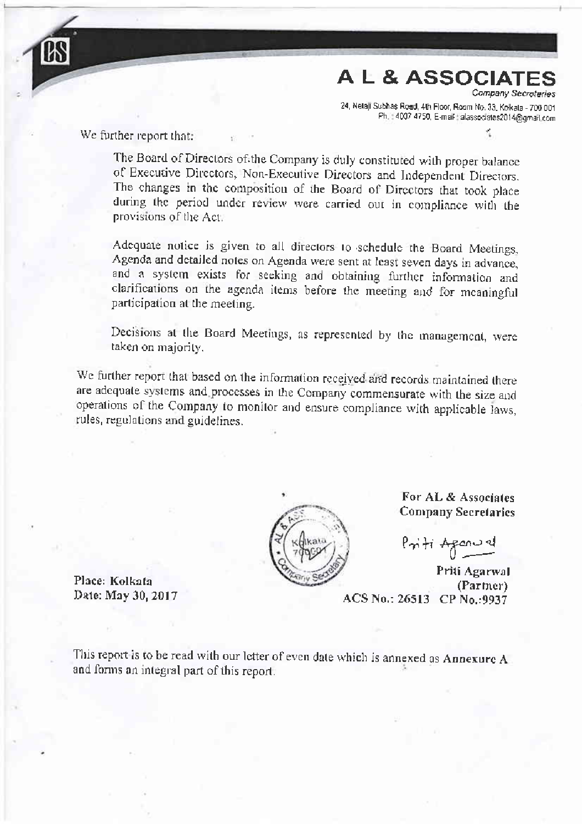Ph.: 4001 4th Floor, Room No. 33, Kolkala - 700 001 Ph.: 4007 4750, E-mail: alassociates

We further report that:

The Board of Directors of the Company is duly constituted with proper balance of Executive Directors, Non-Executive Directors and Independent Directors. The changes in the composition of the Board of Directors that took place during the period under review were carried out in compliance with the provisions of the Act.

Adequate notice is given to all directors to schedule the Board Meetings, Agenda and detailed notes on Agenda were sent at least seven days in advance. and a system exists for seeking and obtaining further information and clarifications on the agenda items before the meeting and for mcaningful participation at the meeting.

Decisions at the Board Meetings, as represented by the management, were taken on majority.

We further report that based on the information received and records maintained there are adequate systems and processes in the Company commensurate with the size and operations of the Company to monitor and ensure compliance with applicable laws, rules, regulations and guidelines.



For AL & Associates **Company Secretaries** 

Priti Agenuel

Priti Agarwal (Partner)<br>Date: May 30, 2017 **ACS No.: 26513** CP No.:9937

Place: Kolkata

This report is to be read with our letter of even date which is annexed as Annexure A and forms an integral part of this report.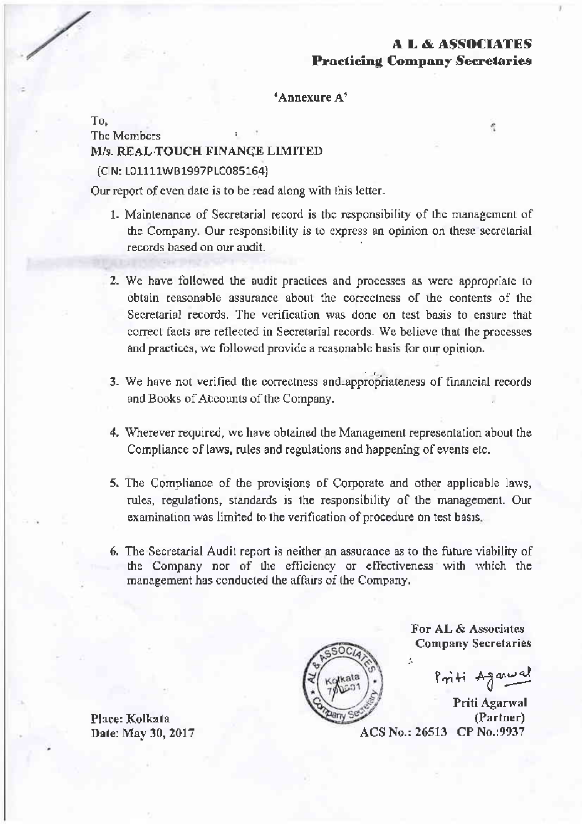$\mathcal{C}_i$ 

Procticing Compony Secretaries

'Annexure A'

To. The Members M/s. REAL TOUCH FINANCE LIMITED (CIN: L01111WB1997PLC085164)

Our report of even date is to be read along with this letter.

- 1. Maintenance of Secretarial record is the responsibility of the management of the Company. Our responsibility is to express an opinion on these secretarial records based on our audit.
- 2. We have followed the audit practices and processes as were appropriate to obtain reasonable assurance about the correctness of the contents of the Secretarial records. The verification was done on test basis to ensure that correct facts are reflected in Secretarial records. We believe that the processes and practices, we followed provide a reasonable basis for our opinion.
- 3. We have not verified the correctness and appropriateness of financial records and Books of Accounts of the Company.
- 4. Wherever required, we have obtained the Management representation about the Compliance of laws, rules and regulations and happening of events etc.
- 5. The Compliance of the provisions of Corporate and other applicable laws, rules, regulations, standards is the responsibility of the management. Our examination was limited to the verification of procedure on test basis.
- 6. The Secretarial Audit report is neither an assurance as to the future viability of the Company nor of the efficiency or effectiveness with which the management has conducted the affairs of the Company.



For AL & Associates Company Secretaries

Priti Aganual

Priti Agarwal (Partner) ACS No.: 26513 CP No.:9937

Place: Kolkata Date: May 30, 2017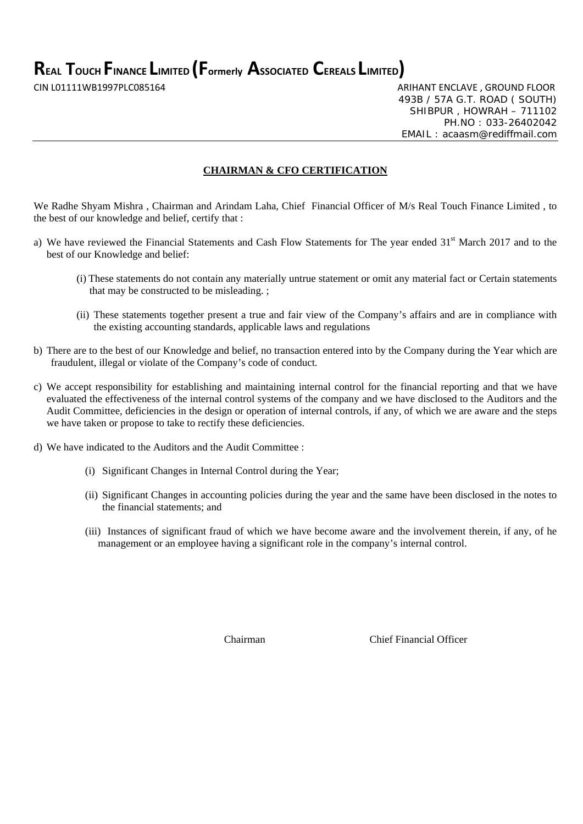**REAL TOUCH FINANCE LIMITED (Formerly ASSOCIATED CEREALS LIMITED)**

CIN L01111WB1997PLC085164 ARIHANT ENCLAVE , GROUND FLOOR 493B / 57A G.T. ROAD ( SOUTH) SHIBPUR , HOWRAH – 711102 PH.NO : 033-26402042 EMAIL : acaasm@rediffmail.com

# **CHAIRMAN & CFO CERTIFICATION**

We Radhe Shyam Mishra , Chairman and Arindam Laha, Chief Financial Officer of M/s Real Touch Finance Limited , to the best of our knowledge and belief, certify that :

- a) We have reviewed the Financial Statements and Cash Flow Statements for The year ended 31<sup>st</sup> March 2017 and to the best of our Knowledge and belief:
	- (i) These statements do not contain any materially untrue statement or omit any material fact or Certain statements that may be constructed to be misleading. ;
	- (ii) These statements together present a true and fair view of the Company's affairs and are in compliance with the existing accounting standards, applicable laws and regulations
- b) There are to the best of our Knowledge and belief, no transaction entered into by the Company during the Year which are fraudulent, illegal or violate of the Company's code of conduct.
- c) We accept responsibility for establishing and maintaining internal control for the financial reporting and that we have evaluated the effectiveness of the internal control systems of the company and we have disclosed to the Auditors and the Audit Committee, deficiencies in the design or operation of internal controls, if any, of which we are aware and the steps we have taken or propose to take to rectify these deficiencies.
- d) We have indicated to the Auditors and the Audit Committee :
	- (i) Significant Changes in Internal Control during the Year;
	- (ii) Significant Changes in accounting policies during the year and the same have been disclosed in the notes to the financial statements; and
	- (iii) Instances of significant fraud of which we have become aware and the involvement therein, if any, of he management or an employee having a significant role in the company's internal control.

Chairman Chief Financial Officer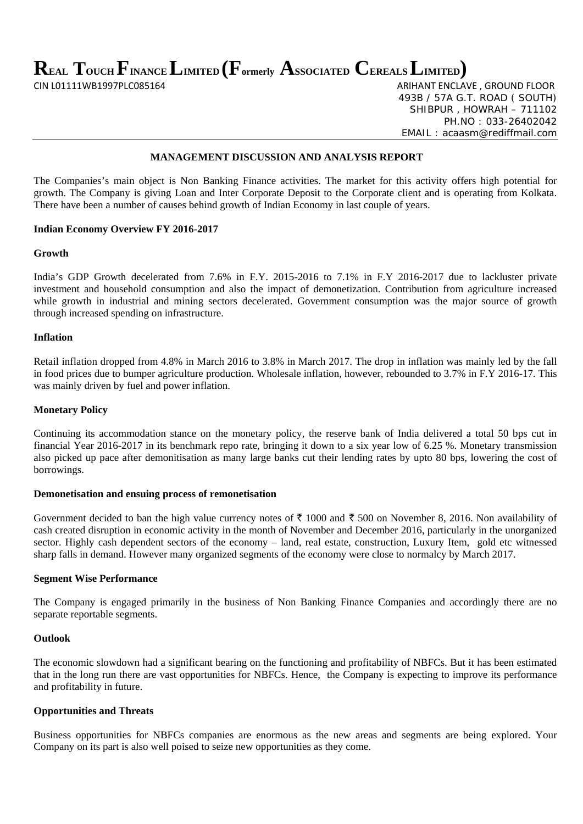**REAL TOUCH FINANCE LIMITED (Formerly ASSOCIATED CEREALS LIMITED)** 

CIN L01111WB1997PLC085164 ARIHANT ENCLAVE , GROUND FLOOR 493B / 57A G.T. ROAD ( SOUTH) SHIBPUR , HOWRAH – 711102 PH.NO : 033-26402042 EMAIL : acaasm@rediffmail.com

# **MANAGEMENT DISCUSSION AND ANALYSIS REPORT**

The Companies's main object is Non Banking Finance activities. The market for this activity offers high potential for growth. The Company is giving Loan and Inter Corporate Deposit to the Corporate client and is operating from Kolkata. There have been a number of causes behind growth of Indian Economy in last couple of years.

### **Indian Economy Overview FY 2016-2017**

# **Growth**

India's GDP Growth decelerated from 7.6% in F.Y. 2015-2016 to 7.1% in F.Y 2016-2017 due to lackluster private investment and household consumption and also the impact of demonetization. Contribution from agriculture increased while growth in industrial and mining sectors decelerated. Government consumption was the major source of growth through increased spending on infrastructure.

### **Inflation**

Retail inflation dropped from 4.8% in March 2016 to 3.8% in March 2017. The drop in inflation was mainly led by the fall in food prices due to bumper agriculture production. Wholesale inflation, however, rebounded to 3.7% in F.Y 2016-17. This was mainly driven by fuel and power inflation.

#### **Monetary Policy**

Continuing its accommodation stance on the monetary policy, the reserve bank of India delivered a total 50 bps cut in financial Year 2016-2017 in its benchmark repo rate, bringing it down to a six year low of 6.25 %. Monetary transmission also picked up pace after demonitisation as many large banks cut their lending rates by upto 80 bps, lowering the cost of borrowings.

### **Demonetisation and ensuing process of remonetisation**

Government decided to ban the high value currency notes of  $\bar{\tau}$  1000 and  $\bar{\tau}$  500 on November 8, 2016. Non availability of cash created disruption in economic activity in the month of November and December 2016, particularly in the unorganized sector. Highly cash dependent sectors of the economy – land, real estate, construction, Luxury Item, gold etc witnessed sharp falls in demand. However many organized segments of the economy were close to normalcy by March 2017.

### **Segment Wise Performance**

The Company is engaged primarily in the business of Non Banking Finance Companies and accordingly there are no separate reportable segments.

# **Outlook**

The economic slowdown had a significant bearing on the functioning and profitability of NBFCs. But it has been estimated that in the long run there are vast opportunities for NBFCs. Hence, the Company is expecting to improve its performance and profitability in future.

### **Opportunities and Threats**

Business opportunities for NBFCs companies are enormous as the new areas and segments are being explored. Your Company on its part is also well poised to seize new opportunities as they come.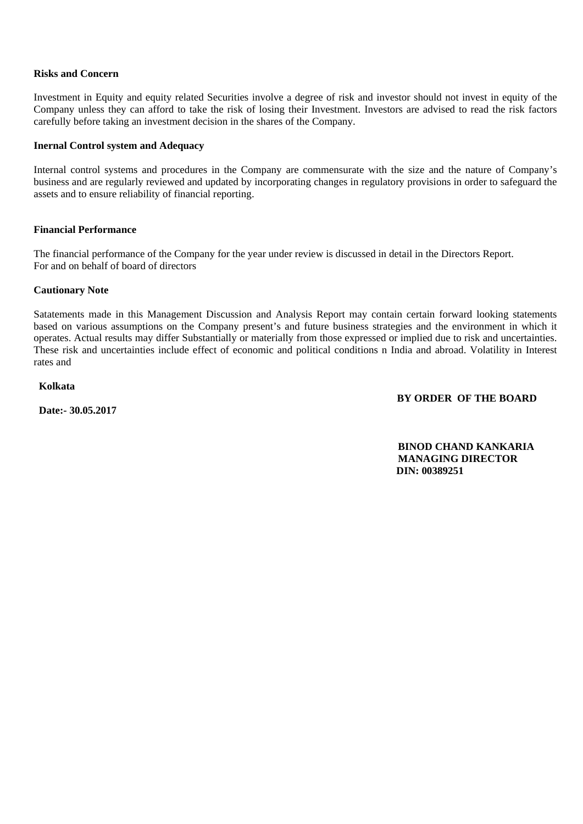# **Risks and Concern**

Investment in Equity and equity related Securities involve a degree of risk and investor should not invest in equity of the Company unless they can afford to take the risk of losing their Investment. Investors are advised to read the risk factors carefully before taking an investment decision in the shares of the Company.

# **Inernal Control system and Adequacy**

Internal control systems and procedures in the Company are commensurate with the size and the nature of Company's business and are regularly reviewed and updated by incorporating changes in regulatory provisions in order to safeguard the assets and to ensure reliability of financial reporting.

# **Financial Performance**

The financial performance of the Company for the year under review is discussed in detail in the Directors Report. For and on behalf of board of directors

# **Cautionary Note**

Satatements made in this Management Discussion and Analysis Report may contain certain forward looking statements based on various assumptions on the Company present's and future business strategies and the environment in which it operates. Actual results may differ Substantially or materially from those expressed or implied due to risk and uncertainties. These risk and uncertainties include effect of economic and political conditions n India and abroad. Volatility in Interest rates and

# **Kolkata**

 **Date:- 30.05.2017** 

# **BY ORDER OF THE BOARD**

 **BINOD CHAND KANKARIA MANAGING DIRECTOR DIN: 00389251**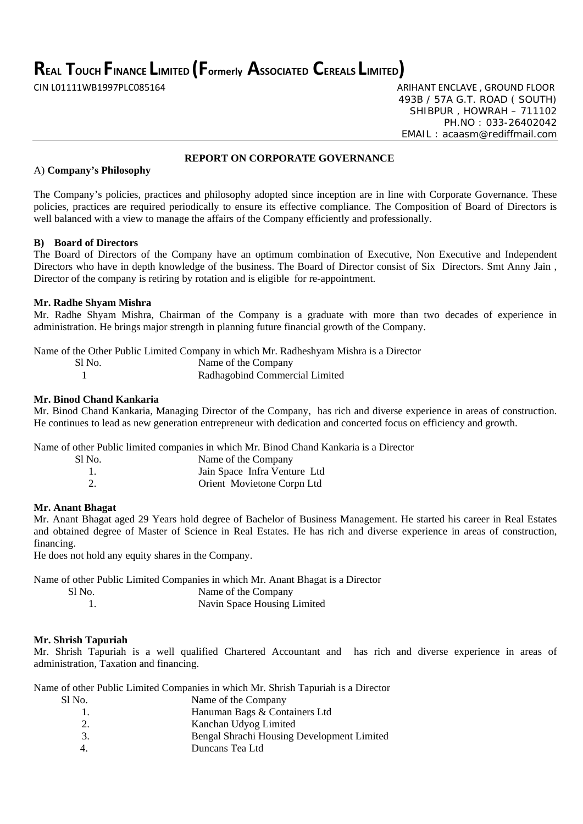**REAL TOUCH FINANCE LIMITED (Formerly ASSOCIATED CEREALS LIMITED)**

CIN L01111WB1997PLC085164 ARIHANT ENCLAVE , GROUND FLOOR 493B / 57A G.T. ROAD ( SOUTH) SHIBPUR , HOWRAH – 711102 PH.NO : 033-26402042 EMAIL : acaasm@rediffmail.com

# **REPORT ON CORPORATE GOVERNANCE**

# A) **Company's Philosophy**

The Company's policies, practices and philosophy adopted since inception are in line with Corporate Governance. These policies, practices are required periodically to ensure its effective compliance. The Composition of Board of Directors is well balanced with a view to manage the affairs of the Company efficiently and professionally.

# **B) Board of Directors**

The Board of Directors of the Company have an optimum combination of Executive, Non Executive and Independent Directors who have in depth knowledge of the business. The Board of Director consist of Six Directors. Smt Anny Jain , Director of the company is retiring by rotation and is eligible for re-appointment.

# **Mr. Radhe Shyam Mishra**

Mr. Radhe Shyam Mishra, Chairman of the Company is a graduate with more than two decades of experience in administration. He brings major strength in planning future financial growth of the Company.

Name of the Other Public Limited Company in which Mr. Radheshyam Mishra is a Director Sl No. Name of the Company 1 Radhagobind Commercial Limited

# **Mr. Binod Chand Kankaria**

Mr. Binod Chand Kankaria, Managing Director of the Company, has rich and diverse experience in areas of construction. He continues to lead as new generation entrepreneur with dedication and concerted focus on efficiency and growth.

Name of other Public limited companies in which Mr. Binod Chand Kankaria is a Director

| Sl No. | Name of the Company          |
|--------|------------------------------|
| -1.    | Jain Space Infra Venture Ltd |
|        | Orient Movietone Corpn Ltd   |

# **Mr. Anant Bhagat**

Mr. Anant Bhagat aged 29 Years hold degree of Bachelor of Business Management. He started his career in Real Estates and obtained degree of Master of Science in Real Estates. He has rich and diverse experience in areas of construction, financing.

He does not hold any equity shares in the Company.

Name of other Public Limited Companies in which Mr. Anant Bhagat is a Director

| - SI No. | Name of the Company         |
|----------|-----------------------------|
|          | Navin Space Housing Limited |

# **Mr. Shrish Tapuriah**

Mr. Shrish Tapuriah is a well qualified Chartered Accountant and has rich and diverse experience in areas of administration, Taxation and financing.

Name of other Public Limited Companies in which Mr. Shrish Tapuriah is a Director

| Sl No. | Name of the Company                        |
|--------|--------------------------------------------|
|        | Hanuman Bags & Containers Ltd              |
|        | Kanchan Udyog Limited                      |
| 3.     | Bengal Shrachi Housing Development Limited |
|        | Duncans Tea Ltd                            |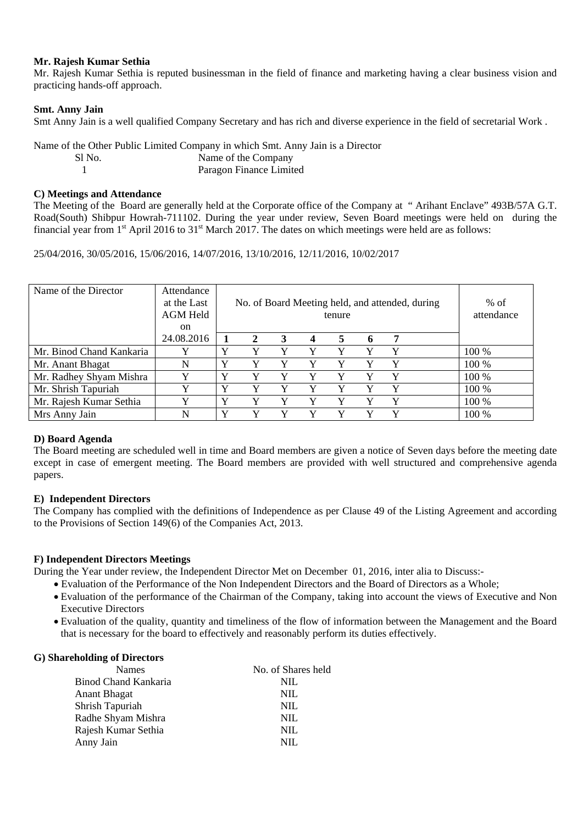# **Mr. Rajesh Kumar Sethia**

Mr. Rajesh Kumar Sethia is reputed businessman in the field of finance and marketing having a clear business vision and practicing hands-off approach.

# **Smt. Anny Jain**

Smt Anny Jain is a well qualified Company Secretary and has rich and diverse experience in the field of secretarial Work .

Name of the Other Public Limited Company in which Smt. Anny Jain is a Director Sl No. Name of the Company 1 Paragon Finance Limited

# **C) Meetings and Attendance**

The Meeting of the Board are generally held at the Corporate office of the Company at " Arihant Enclave" 493B/57A G.T. Road(South) Shibpur Howrah-711102. During the year under review, Seven Board meetings were held on during the financial year from  $1<sup>st</sup>$  April 2016 to 31 $<sup>st</sup>$  March 2017. The dates on which meetings were held are as follows:</sup>

25/04/2016, 30/05/2016, 15/06/2016, 14/07/2016, 13/10/2016, 12/11/2016, 10/02/2017

| Name of the Director     | Attendance<br>at the Last<br><b>AGM Held</b><br><sub>on</sub> | No. of Board Meeting held, and attended, during<br>tenure |   |   |   |   | $%$ of<br>attendance |   |       |
|--------------------------|---------------------------------------------------------------|-----------------------------------------------------------|---|---|---|---|----------------------|---|-------|
|                          | 24.08.2016                                                    |                                                           |   | 3 | 4 | 5 | $\sqrt{2}$           |   |       |
| Mr. Binod Chand Kankaria |                                                               | v                                                         |   |   |   |   |                      |   | 100 % |
| Mr. Anant Bhagat         | N                                                             | Y                                                         |   |   |   |   |                      |   | 100 % |
| Mr. Radhey Shyam Mishra  |                                                               | Y                                                         |   | Y | Y | Y |                      | v | 100 % |
| Mr. Shrish Tapuriah      | v                                                             | v                                                         | v | V | v | v |                      | v | 100 % |
| Mr. Rajesh Kumar Sethia  |                                                               | Y                                                         |   |   |   | v |                      | Y | 100 % |
| Mrs Anny Jain            | N                                                             | v                                                         |   | v | v |   |                      | v | 100 % |

# **D) Board Agenda**

The Board meeting are scheduled well in time and Board members are given a notice of Seven days before the meeting date except in case of emergent meeting. The Board members are provided with well structured and comprehensive agenda papers.

# **E) Independent Directors**

The Company has complied with the definitions of Independence as per Clause 49 of the Listing Agreement and according to the Provisions of Section 149(6) of the Companies Act, 2013.

# **F) Independent Directors Meetings**

During the Year under review, the Independent Director Met on December 01, 2016, inter alia to Discuss:-

- Evaluation of the Performance of the Non Independent Directors and the Board of Directors as a Whole;
- Evaluation of the performance of the Chairman of the Company, taking into account the views of Executive and Non Executive Directors
- Evaluation of the quality, quantity and timeliness of the flow of information between the Management and the Board that is necessary for the board to effectively and reasonably perform its duties effectively.

# **G) Shareholding of Directors**

| <b>Names</b>         | No. of Shares held |
|----------------------|--------------------|
| Binod Chand Kankaria | NIL                |
| <b>Anant Bhagat</b>  | NIL                |
| Shrish Tapuriah      | NIL                |
| Radhe Shyam Mishra   | NIL                |
| Rajesh Kumar Sethia  | NIL                |
| Anny Jain            | NIL.               |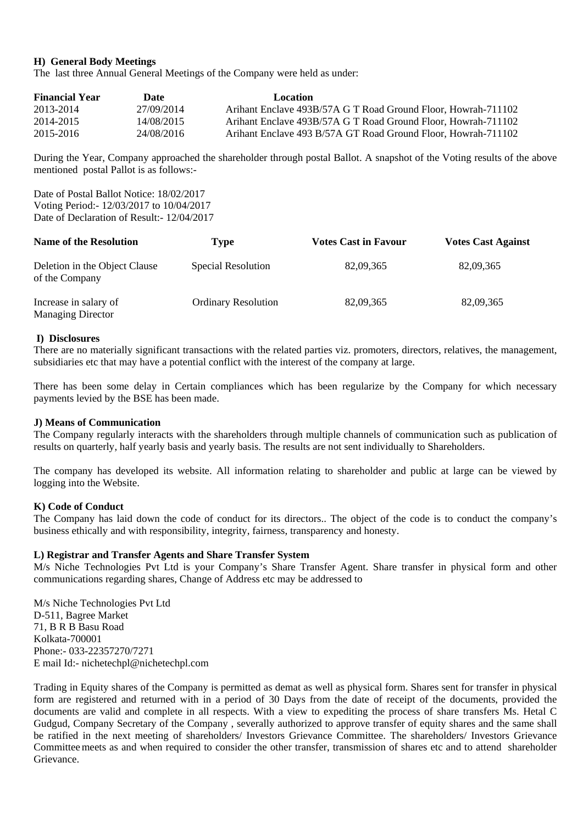# **H) General Body Meetings**

The last three Annual General Meetings of the Company were held as under:

| <b>Financial Year</b> | Date       | Location                                                      |
|-----------------------|------------|---------------------------------------------------------------|
| 2013-2014             | 27/09/2014 | Arihant Enclave 493B/57A G T Road Ground Floor, Howrah-711102 |
| 2014-2015             | 14/08/2015 | Arihant Enclave 493B/57A G T Road Ground Floor, Howrah-711102 |
| 2015-2016             | 24/08/2016 | Arihant Enclave 493 B/57A GT Road Ground Floor, Howrah-711102 |

During the Year, Company approached the shareholder through postal Ballot. A snapshot of the Voting results of the above mentioned postal Pallot is as follows:-

Date of Postal Ballot Notice: 18/02/2017 Voting Period:- 12/03/2017 to 10/04/2017 Date of Declaration of Result:- 12/04/2017

| <b>Name of the Resolution</b>                     | Type                       | <b>Votes Cast in Favour</b> | <b>Votes Cast Against</b> |
|---------------------------------------------------|----------------------------|-----------------------------|---------------------------|
| Deletion in the Object Clause<br>of the Company   | Special Resolution         | 82,09,365                   | 82,09,365                 |
| Increase in salary of<br><b>Managing Director</b> | <b>Ordinary Resolution</b> | 82,09,365                   | 82,09,365                 |

### **I) Disclosures**

There are no materially significant transactions with the related parties viz. promoters, directors, relatives, the management, subsidiaries etc that may have a potential conflict with the interest of the company at large.

There has been some delay in Certain compliances which has been regularize by the Company for which necessary payments levied by the BSE has been made.

### **J) Means of Communication**

The Company regularly interacts with the shareholders through multiple channels of communication such as publication of results on quarterly, half yearly basis and yearly basis. The results are not sent individually to Shareholders.

The company has developed its website. All information relating to shareholder and public at large can be viewed by logging into the Website.

### **K) Code of Conduct**

The Company has laid down the code of conduct for its directors.. The object of the code is to conduct the company's business ethically and with responsibility, integrity, fairness, transparency and honesty.

### **L) Registrar and Transfer Agents and Share Transfer System**

M/s Niche Technologies Pvt Ltd is your Company's Share Transfer Agent. Share transfer in physical form and other communications regarding shares, Change of Address etc may be addressed to

M/s Niche Technologies Pvt Ltd D-511, Bagree Market 71, B R B Basu Road Kolkata-700001 Phone:- 033-22357270/7271 E mail Id:- nichetechpl@nichetechpl.com

Trading in Equity shares of the Company is permitted as demat as well as physical form. Shares sent for transfer in physical form are registered and returned with in a period of 30 Days from the date of receipt of the documents, provided the documents are valid and complete in all respects. With a view to expediting the process of share transfers Ms. Hetal C Gudgud, Company Secretary of the Company , severally authorized to approve transfer of equity shares and the same shall be ratified in the next meeting of shareholders/ Investors Grievance Committee. The shareholders/ Investors Grievance Committee meets as and when required to consider the other transfer, transmission of shares etc and to attend shareholder Grievance.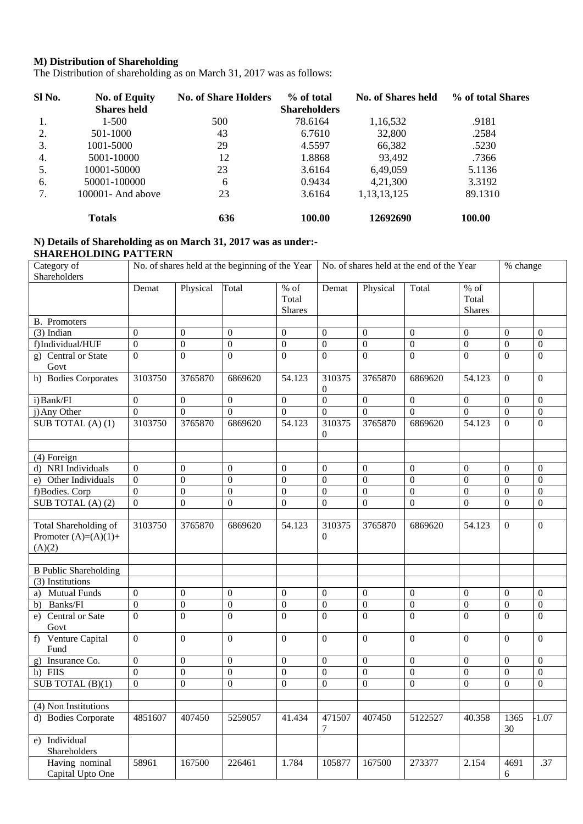# **M) Distribution of Shareholding**

The Distribution of shareholding as on March 31, 2017 was as follows:

| Sl No. | <b>No. of Equity</b> | <b>No. of Share Holders</b> | % of total          | <b>No. of Shares held</b> | % of total Shares |
|--------|----------------------|-----------------------------|---------------------|---------------------------|-------------------|
|        | <b>Shares held</b>   |                             | <b>Shareholders</b> |                           |                   |
| 1.     | $1 - 500$            | 500                         | 78.6164             | 1,16,532                  | .9181             |
| 2.     | 501-1000             | 43                          | 6.7610              | 32,800                    | .2584             |
| 3.     | 1001-5000            | 29                          | 4.5597              | 66,382                    | .5230             |
| 4.     | 5001-10000           | 12                          | 1.8868              | 93,492                    | .7366             |
| 5.     | 10001-50000          | 23                          | 3.6164              | 6,49,059                  | 5.1136            |
| 6.     | 50001-100000         | 6                           | 0.9434              | 4,21,300                  | 3.3192            |
| 7.     | $100001$ - And above | 23                          | 3.6164              | 1, 13, 13, 125            | 89.1310           |
|        | <b>Totals</b>        | 636                         | 100.00              | 12692690                  | 100.00            |

### **N) Details of Shareholding as on March 31, 2017 was as under:- SHAREHOLDING PATTERN**

| Category of<br>Shareholders                               |                  |                  | No. of shares held at the beginning of the Year |                                  |                          | No. of shares held at the end of the Year |                  |                                  | % change         |                  |
|-----------------------------------------------------------|------------------|------------------|-------------------------------------------------|----------------------------------|--------------------------|-------------------------------------------|------------------|----------------------------------|------------------|------------------|
|                                                           | Demat            | Physical         | Total                                           | $%$ of<br>Total<br><b>Shares</b> | Demat                    | Physical                                  | Total            | $%$ of<br>Total<br><b>Shares</b> |                  |                  |
| <b>B.</b> Promoters                                       |                  |                  |                                                 |                                  |                          |                                           |                  |                                  |                  |                  |
| $(3)$ Indian                                              | $\overline{0}$   | $\overline{0}$   | $\mathbf{0}$                                    | $\mathbf{0}$                     | $\overline{0}$           | $\mathbf{0}$                              | $\theta$         | $\mathbf{0}$                     | $\Omega$         | $\theta$         |
| f)Individual/HUF                                          | $\boldsymbol{0}$ | $\boldsymbol{0}$ | $\boldsymbol{0}$                                | $\boldsymbol{0}$                 | $\boldsymbol{0}$         | $\boldsymbol{0}$                          | $\boldsymbol{0}$ | $\boldsymbol{0}$                 | $\boldsymbol{0}$ | $\boldsymbol{0}$ |
| g) Central or State<br>Govt                               | $\boldsymbol{0}$ | $\theta$         | $\Omega$                                        | $\Omega$                         | $\theta$                 | $\overline{0}$                            | $\theta$         | $\Omega$                         | $\theta$         | $\theta$         |
| h) Bodies Corporates                                      | 3103750          | 3765870          | 6869620                                         | 54.123                           | 310375<br>0              | 3765870                                   | 6869620          | 54.123                           | $\overline{0}$   | $\boldsymbol{0}$ |
| i) Bank/FI                                                | $\boldsymbol{0}$ | $\overline{0}$   | $\boldsymbol{0}$                                | $\overline{0}$                   | $\overline{0}$           | $\mathbf{0}$                              | $\mathbf{0}$     | $\mathbf{0}$                     | $\theta$         | $\mathbf{0}$     |
| j) Any Other                                              | $\overline{0}$   | $\overline{0}$   | $\overline{0}$                                  | $\overline{0}$                   | $\overline{0}$           | $\mathbf{0}$                              | $\Omega$         | $\mathbf{0}$                     | $\theta$         | $\boldsymbol{0}$ |
| SUB TOTAL (A) (1)                                         | 3103750          | 3765870          | 6869620                                         | 54.123                           | 310375<br>0              | 3765870                                   | 6869620          | 54.123                           | $\overline{0}$   | $\overline{0}$   |
|                                                           |                  |                  |                                                 |                                  |                          |                                           |                  |                                  |                  |                  |
| (4) Foreign                                               |                  |                  |                                                 |                                  |                          |                                           |                  |                                  |                  |                  |
| d) NRI Individuals                                        | $\overline{0}$   | $\overline{0}$   | $\overline{0}$                                  | $\mathbf{0}$                     | $\mathbf{0}$             | $\overline{0}$                            | $\theta$         | $\theta$                         | $\Omega$         | $\mathbf{0}$     |
| e) Other Individuals                                      | $\boldsymbol{0}$ | $\boldsymbol{0}$ | $\boldsymbol{0}$                                | $\boldsymbol{0}$                 | $\boldsymbol{0}$         | $\overline{0}$                            | $\boldsymbol{0}$ | $\boldsymbol{0}$                 | $\boldsymbol{0}$ | $\boldsymbol{0}$ |
| f)Bodies. Corp                                            | $\overline{0}$   | $\boldsymbol{0}$ | $\overline{0}$                                  | $\boldsymbol{0}$                 | $\boldsymbol{0}$         | $\overline{0}$                            | $\boldsymbol{0}$ | $\boldsymbol{0}$                 | $\theta$         | $\overline{0}$   |
| SUB TOTAL (A) (2)                                         | $\boldsymbol{0}$ | $\overline{0}$   | $\boldsymbol{0}$                                | $\overline{0}$                   | $\overline{0}$           | $\boldsymbol{0}$                          | $\theta$         | $\theta$                         | $\overline{0}$   | $\boldsymbol{0}$ |
| Total Shareholding of<br>Promoter $(A)=(A)(1)+$<br>(A)(2) | 3103750          | 3765870          | 6869620                                         | 54.123                           | 310375<br>$\overline{0}$ | 3765870                                   | 6869620          | 54.123                           | $\theta$         | $\overline{0}$   |
|                                                           |                  |                  |                                                 |                                  |                          |                                           |                  |                                  |                  |                  |
| <b>B</b> Public Shareholding                              |                  |                  |                                                 |                                  |                          |                                           |                  |                                  |                  |                  |
| (3) Institutions                                          |                  |                  |                                                 |                                  |                          |                                           |                  |                                  |                  |                  |
| <b>Mutual Funds</b><br>a)                                 | $\overline{0}$   | $\overline{0}$   | $\mathbf{0}$                                    | $\mathbf{0}$                     | $\mathbf{0}$             | $\mathbf{0}$                              | $\theta$         | $\theta$                         | $\theta$         | $\mathbf{0}$     |
| Banks/FI<br>b)                                            | $\boldsymbol{0}$ | $\overline{0}$   | $\boldsymbol{0}$                                | $\boldsymbol{0}$                 | $\mathbf{0}$             | $\boldsymbol{0}$                          | $\boldsymbol{0}$ | $\mathbf{0}$                     | $\overline{0}$   | $\boldsymbol{0}$ |
| Central or Sate<br>e)<br>Govt                             | $\Omega$         | $\theta$         | $\boldsymbol{0}$                                | $\Omega$                         | $\Omega$                 | $\Omega$                                  | $\Omega$         | $\mathbf{0}$                     | $\theta$         | $\theta$         |
| Venture Capital<br>$f$ )<br>Fund                          | $\overline{0}$   | $\Omega$         | $\overline{0}$                                  | $\Omega$                         | $\Omega$                 | $\mathbf{0}$                              | $\mathbf{0}$     | $\mathbf{0}$                     | $\theta$         | $\theta$         |
| g) Insurance Co.                                          | $\boldsymbol{0}$ | $\boldsymbol{0}$ | $\overline{0}$                                  | $\overline{0}$                   | $\overline{0}$           | $\boldsymbol{0}$                          | $\boldsymbol{0}$ | $\Omega$                         | $\theta$         | $\overline{0}$   |
| h) FIIS                                                   | $\theta$         | $\boldsymbol{0}$ | $\boldsymbol{0}$                                | $\overline{0}$                   | $\boldsymbol{0}$         | $\boldsymbol{0}$                          | $\mathbf{0}$     | $\theta$                         | $\overline{0}$   | $\overline{0}$   |
| SUB TOTAL $(\overline{B})(1)$                             | $\boldsymbol{0}$ | $\theta$         | $\overline{0}$                                  | $\overline{0}$                   | $\overline{0}$           | $\boldsymbol{0}$                          | $\Omega$         | $\Omega$                         | $\theta$         | $\overline{0}$   |
|                                                           |                  |                  |                                                 |                                  |                          |                                           |                  |                                  |                  |                  |
| (4) Non Institutions                                      |                  |                  |                                                 |                                  |                          |                                           |                  |                                  |                  |                  |
| d) Bodies Corporate                                       | 4851607          | 407450           | 5259057                                         | 41.434                           | 471507<br>7              | 407450                                    | 5122527          | 40.358                           | 1365<br>30       | $-1.07$          |
| e) Individual<br>Shareholders                             |                  |                  |                                                 |                                  |                          |                                           |                  |                                  |                  |                  |
| Having nominal<br>Capital Upto One                        | 58961            | 167500           | 226461                                          | 1.784                            | 105877                   | 167500                                    | 273377           | 2.154                            | 4691<br>6        | .37              |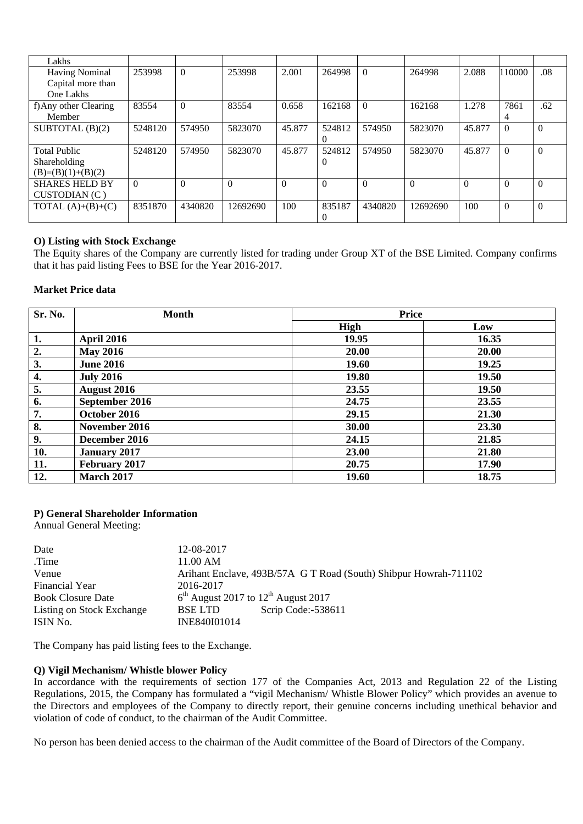| Lakhs                 |          |          |          |          |          |          |          |          |          |          |
|-----------------------|----------|----------|----------|----------|----------|----------|----------|----------|----------|----------|
| <b>Having Nominal</b> | 253998   | $\Omega$ | 253998   | 2.001    | 264998   | $\Omega$ | 264998   | 2.088    | 110000   | .08      |
| Capital more than     |          |          |          |          |          |          |          |          |          |          |
| One Lakhs             |          |          |          |          |          |          |          |          |          |          |
| f) Any other Clearing | 83554    | $\Omega$ | 83554    | 0.658    | 162168   | $\Omega$ | 162168   | 1.278    | 7861     | .62      |
| Member                |          |          |          |          |          |          |          |          | 4        |          |
| SUBTOTAL $(B)(2)$     | 5248120  | 574950   | 5823070  | 45.877   | 524812   | 574950   | 5823070  | 45.877   | $\Omega$ |          |
|                       |          |          |          |          |          |          |          |          |          |          |
| <b>Total Public</b>   | 5248120  | 574950   | 5823070  | 45.877   | 524812   | 574950   | 5823070  | 45.877   | $\Omega$ | 0        |
| Shareholding          |          |          |          |          | $\theta$ |          |          |          |          |          |
| $(B)=(B)(1)+(B)(2)$   |          |          |          |          |          |          |          |          |          |          |
| <b>SHARES HELD BY</b> | $\theta$ | $\theta$ | $\Omega$ | $\Omega$ | $\Omega$ | $\theta$ | $\Omega$ | $\Omega$ | $\Omega$ | $\Omega$ |
| CUSTODIAN (C)         |          |          |          |          |          |          |          |          |          |          |
| TOTAL $(A)+(B)+(C)$   | 8351870  | 4340820  | 12692690 | 100      | 835187   | 4340820  | 12692690 | 100      | $\theta$ | $\Omega$ |
|                       |          |          |          |          |          |          |          |          |          |          |

# **O) Listing with Stock Exchange**

The Equity shares of the Company are currently listed for trading under Group XT of the BSE Limited. Company confirms that it has paid listing Fees to BSE for the Year 2016-2017.

# **Market Price data**

| Sr. No. | <b>Month</b>        | <b>Price</b> |       |  |
|---------|---------------------|--------------|-------|--|
|         |                     | <b>High</b>  | Low   |  |
| 1.      | <b>April 2016</b>   | 19.95        | 16.35 |  |
| 2.      | <b>May 2016</b>     | 20.00        | 20.00 |  |
| 3.      | <b>June 2016</b>    | 19.60        | 19.25 |  |
| 4.      | <b>July 2016</b>    | 19.80        | 19.50 |  |
| 5.      | August 2016         | 23.55        | 19.50 |  |
| 6.      | September 2016      | 24.75        | 23.55 |  |
| 7.      | October 2016        | 29.15        | 21.30 |  |
| 8.      | November 2016       | 30.00        | 23.30 |  |
| 9.      | December 2016       | 24.15        | 21.85 |  |
| 10.     | <b>January 2017</b> | 23.00        | 21.80 |  |
| 11.     | February 2017       | 20.75        | 17.90 |  |
| 12.     | <b>March 2017</b>   | 19.60        | 18.75 |  |

# **P) General Shareholder Information**

Annual General Meeting:

| Date                      | 12-08-2017                                        |                                                                  |
|---------------------------|---------------------------------------------------|------------------------------------------------------------------|
| Time.                     | $11.00 \text{ AM}$                                |                                                                  |
| Venue                     |                                                   | Arihant Enclave, 493B/57A G T Road (South) Shibpur Howrah-711102 |
| <b>Financial Year</b>     | 2016-2017                                         |                                                                  |
| <b>Book Closure Date</b>  | $6th$ August 2017 to 12 <sup>th</sup> August 2017 |                                                                  |
| Listing on Stock Exchange | <b>BSELTD</b>                                     | Scrip Code:-538611                                               |
| ISIN No.                  | INE840I01014                                      |                                                                  |

The Company has paid listing fees to the Exchange.

# **Q) Vigil Mechanism/ Whistle blower Policy**

In accordance with the requirements of section 177 of the Companies Act, 2013 and Regulation 22 of the Listing Regulations, 2015, the Company has formulated a "vigil Mechanism/ Whistle Blower Policy" which provides an avenue to the Directors and employees of the Company to directly report, their genuine concerns including unethical behavior and violation of code of conduct, to the chairman of the Audit Committee.

No person has been denied access to the chairman of the Audit committee of the Board of Directors of the Company.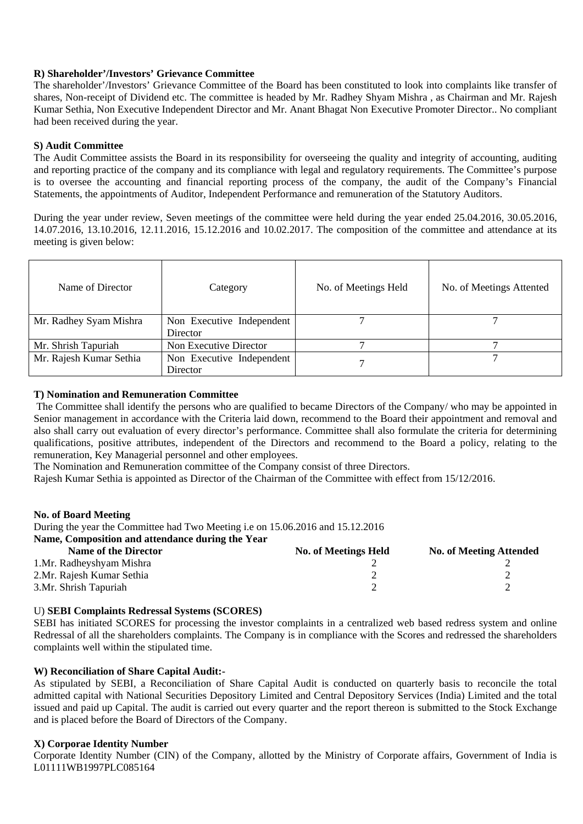# **R) Shareholder'/Investors' Grievance Committee**

The shareholder'/Investors' Grievance Committee of the Board has been constituted to look into complaints like transfer of shares, Non-receipt of Dividend etc. The committee is headed by Mr. Radhey Shyam Mishra , as Chairman and Mr. Rajesh Kumar Sethia, Non Executive Independent Director and Mr. Anant Bhagat Non Executive Promoter Director.. No compliant had been received during the year.

# **S) Audit Committee**

The Audit Committee assists the Board in its responsibility for overseeing the quality and integrity of accounting, auditing and reporting practice of the company and its compliance with legal and regulatory requirements. The Committee's purpose is to oversee the accounting and financial reporting process of the company, the audit of the Company's Financial Statements, the appointments of Auditor, Independent Performance and remuneration of the Statutory Auditors.

During the year under review, Seven meetings of the committee were held during the year ended 25.04.2016, 30.05.2016, 14.07.2016, 13.10.2016, 12.11.2016, 15.12.2016 and 10.02.2017. The composition of the committee and attendance at its meeting is given below:

| Name of Director                                     | Category                  | No. of Meetings Held | No. of Meetings Attented |
|------------------------------------------------------|---------------------------|----------------------|--------------------------|
| Mr. Radhey Syam Mishra                               | Non Executive Independent |                      |                          |
|                                                      | Director                  |                      |                          |
| Mr. Shrish Tapuriah                                  | Non Executive Director    |                      |                          |
| Mr. Rajesh Kumar Sethia<br>Non Executive Independent |                           |                      |                          |
|                                                      | Director                  |                      |                          |

# **T) Nomination and Remuneration Committee**

 The Committee shall identify the persons who are qualified to became Directors of the Company/ who may be appointed in Senior management in accordance with the Criteria laid down, recommend to the Board their appointment and removal and also shall carry out evaluation of every director's performance. Committee shall also formulate the criteria for determining qualifications, positive attributes, independent of the Directors and recommend to the Board a policy, relating to the remuneration, Key Managerial personnel and other employees.

The Nomination and Remuneration committee of the Company consist of three Directors.

Rajesh Kumar Sethia is appointed as Director of the Chairman of the Committee with effect from 15/12/2016.

### **No. of Board Meeting**

During the year the Committee had Two Meeting i.e on 15.06.2016 and 15.12.2016

# **Name, Composition and attendance during the Year**

| <b>Name of the Director</b> | <b>No. of Meetings Held</b> | <b>No. of Meeting Attended</b> |
|-----------------------------|-----------------------------|--------------------------------|
| 1. Mr. Radheyshyam Mishra   |                             |                                |
| 2. Mr. Rajesh Kumar Sethia  |                             |                                |
| 3.Mr. Shrish Tapuriah       |                             |                                |

### U) **SEBI Complaints Redressal Systems (SCORES)**

SEBI has initiated SCORES for processing the investor complaints in a centralized web based redress system and online Redressal of all the shareholders complaints. The Company is in compliance with the Scores and redressed the shareholders complaints well within the stipulated time.

# **W) Reconciliation of Share Capital Audit:-**

As stipulated by SEBI, a Reconciliation of Share Capital Audit is conducted on quarterly basis to reconcile the total admitted capital with National Securities Depository Limited and Central Depository Services (India) Limited and the total issued and paid up Capital. The audit is carried out every quarter and the report thereon is submitted to the Stock Exchange and is placed before the Board of Directors of the Company.

# **X) Corporae Identity Number**

Corporate Identity Number (CIN) of the Company, allotted by the Ministry of Corporate affairs, Government of India is L01111WB1997PLC085164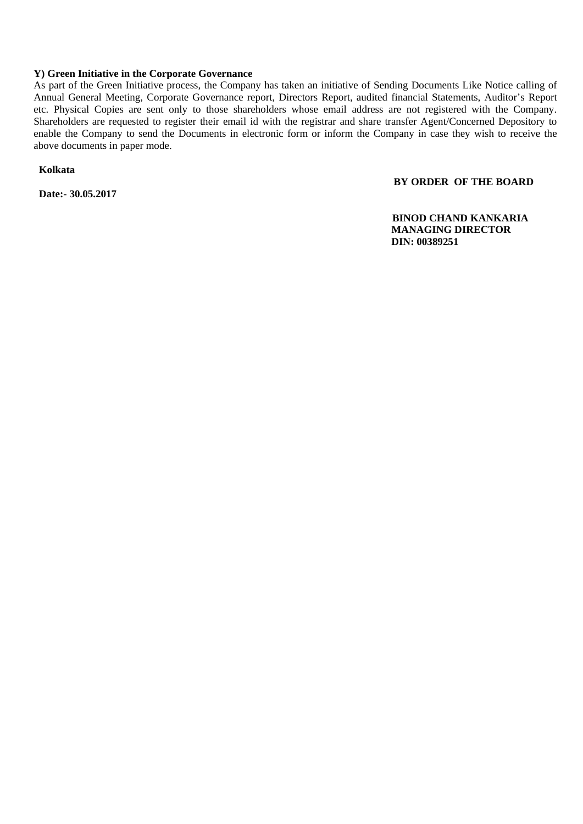# **Y) Green Initiative in the Corporate Governance**

As part of the Green Initiative process, the Company has taken an initiative of Sending Documents Like Notice calling of Annual General Meeting, Corporate Governance report, Directors Report, audited financial Statements, Auditor's Report etc. Physical Copies are sent only to those shareholders whose email address are not registered with the Company. Shareholders are requested to register their email id with the registrar and share transfer Agent/Concerned Depository to enable the Company to send the Documents in electronic form or inform the Company in case they wish to receive the above documents in paper mode.

 **Kolkata** 

 **Date:- 30.05.2017** 

# **BY ORDER OF THE BOARD**

 **BINOD CHAND KANKARIA MANAGING DIRECTOR DIN: 00389251**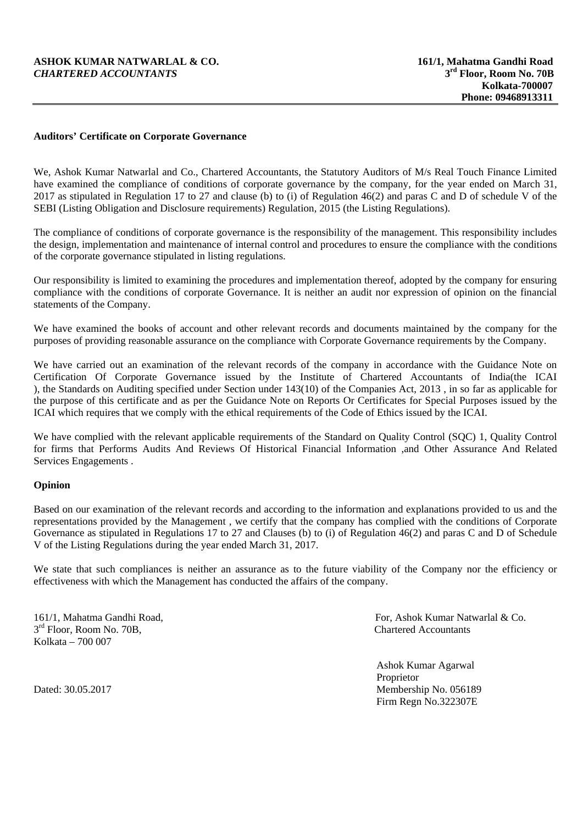# **ASHOK KUMAR NATWARLAL & CO.** 161/1, Mahatma Gandhi Road *CHARTERED ACCOUNTANTS* 3<sup>rd</sup> Floor. Room No. 70B  $CHARTERED$   $ACCOUNTANTS$

# **Auditors' Certificate on Corporate Governance**

We, Ashok Kumar Natwarlal and Co., Chartered Accountants, the Statutory Auditors of M/s Real Touch Finance Limited have examined the compliance of conditions of corporate governance by the company, for the year ended on March 31, 2017 as stipulated in Regulation 17 to 27 and clause (b) to (i) of Regulation 46(2) and paras C and D of schedule V of the SEBI (Listing Obligation and Disclosure requirements) Regulation, 2015 (the Listing Regulations).

The compliance of conditions of corporate governance is the responsibility of the management. This responsibility includes the design, implementation and maintenance of internal control and procedures to ensure the compliance with the conditions of the corporate governance stipulated in listing regulations.

Our responsibility is limited to examining the procedures and implementation thereof, adopted by the company for ensuring compliance with the conditions of corporate Governance. It is neither an audit nor expression of opinion on the financial statements of the Company.

We have examined the books of account and other relevant records and documents maintained by the company for the purposes of providing reasonable assurance on the compliance with Corporate Governance requirements by the Company.

We have carried out an examination of the relevant records of the company in accordance with the Guidance Note on Certification Of Corporate Governance issued by the Institute of Chartered Accountants of India(the ICAI ), the Standards on Auditing specified under Section under 143(10) of the Companies Act, 2013 , in so far as applicable for the purpose of this certificate and as per the Guidance Note on Reports Or Certificates for Special Purposes issued by the ICAI which requires that we comply with the ethical requirements of the Code of Ethics issued by the ICAI.

We have complied with the relevant applicable requirements of the Standard on Quality Control (SQC) 1, Quality Control for firms that Performs Audits And Reviews Of Historical Financial Information ,and Other Assurance And Related Services Engagements .

### **Opinion**

Based on our examination of the relevant records and according to the information and explanations provided to us and the representations provided by the Management , we certify that the company has complied with the conditions of Corporate Governance as stipulated in Regulations 17 to 27 and Clauses (b) to (i) of Regulation 46(2) and paras C and D of Schedule V of the Listing Regulations during the year ended March 31, 2017.

We state that such compliances is neither an assurance as to the future viability of the Company nor the efficiency or effectiveness with which the Management has conducted the affairs of the company.

 $3<sup>rd</sup>$  Floor, Room No. 70B, Chartered Accountants Kolkata – 700 007

161/1, Mahatma Gandhi Road, For, Ashok Kumar Natwarlal & Co.

 Ashok Kumar Agarwal Proprietor Dated: 30.05.2017 Membership No. 056189 Firm Regn No.322307E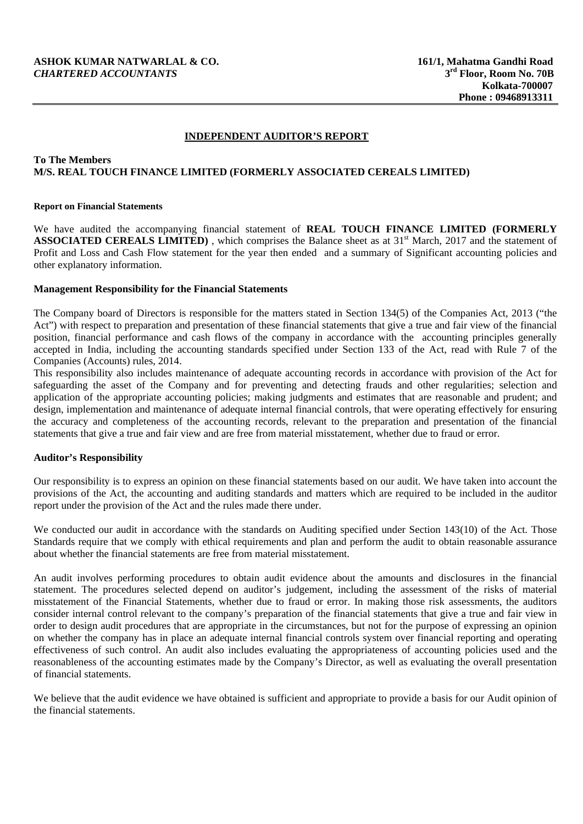# **INDEPENDENT AUDITOR'S REPORT**

# **To The Members M/S. REAL TOUCH FINANCE LIMITED (FORMERLY ASSOCIATED CEREALS LIMITED)**

#### **Report on Financial Statements**

We have audited the accompanying financial statement of **REAL TOUCH FINANCE LIMITED (FORMERLY ASSOCIATED CEREALS LIMITED)**, which comprises the Balance sheet as at 31<sup>st</sup> March, 2017 and the statement of Profit and Loss and Cash Flow statement for the year then ended and a summary of Significant accounting policies and other explanatory information.

### **Management Responsibility for the Financial Statements**

The Company board of Directors is responsible for the matters stated in Section 134(5) of the Companies Act, 2013 ("the Act") with respect to preparation and presentation of these financial statements that give a true and fair view of the financial position, financial performance and cash flows of the company in accordance with the accounting principles generally accepted in India, including the accounting standards specified under Section 133 of the Act, read with Rule 7 of the Companies (Accounts) rules, 2014.

This responsibility also includes maintenance of adequate accounting records in accordance with provision of the Act for safeguarding the asset of the Company and for preventing and detecting frauds and other regularities; selection and application of the appropriate accounting policies; making judgments and estimates that are reasonable and prudent; and design, implementation and maintenance of adequate internal financial controls, that were operating effectively for ensuring the accuracy and completeness of the accounting records, relevant to the preparation and presentation of the financial statements that give a true and fair view and are free from material misstatement, whether due to fraud or error.

### **Auditor's Responsibility**

Our responsibility is to express an opinion on these financial statements based on our audit. We have taken into account the provisions of the Act, the accounting and auditing standards and matters which are required to be included in the auditor report under the provision of the Act and the rules made there under.

We conducted our audit in accordance with the standards on Auditing specified under Section 143(10) of the Act. Those Standards require that we comply with ethical requirements and plan and perform the audit to obtain reasonable assurance about whether the financial statements are free from material misstatement.

An audit involves performing procedures to obtain audit evidence about the amounts and disclosures in the financial statement. The procedures selected depend on auditor's judgement, including the assessment of the risks of material misstatement of the Financial Statements, whether due to fraud or error. In making those risk assessments, the auditors consider internal control relevant to the company's preparation of the financial statements that give a true and fair view in order to design audit procedures that are appropriate in the circumstances, but not for the purpose of expressing an opinion on whether the company has in place an adequate internal financial controls system over financial reporting and operating effectiveness of such control. An audit also includes evaluating the appropriateness of accounting policies used and the reasonableness of the accounting estimates made by the Company's Director, as well as evaluating the overall presentation of financial statements.

We believe that the audit evidence we have obtained is sufficient and appropriate to provide a basis for our Audit opinion of the financial statements.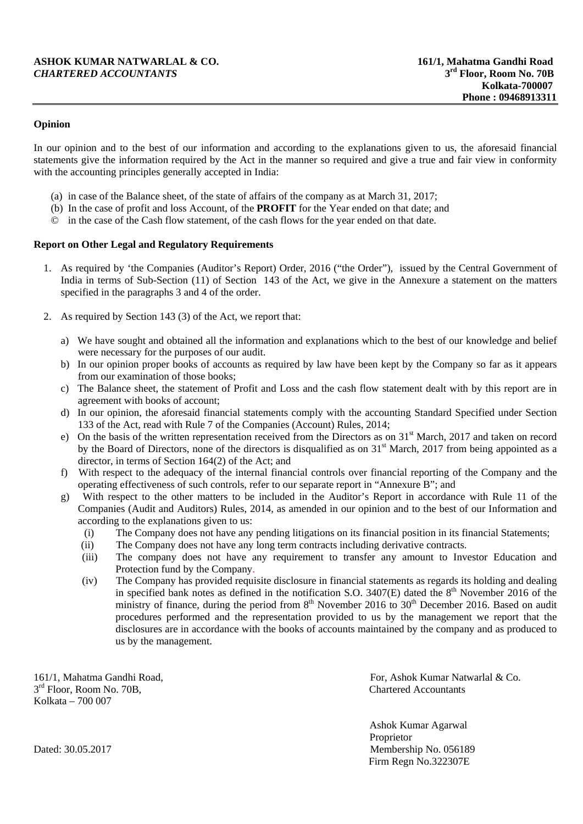# **ASHOK KUMAR NATWARLAL & CO.** 161/1, Mahatma Gandhi Road *CHARTERED ACCOUNTANTS* 3<sup>rd</sup> Floor, Room No. 70B  $CHARTERED$   $ACCOUNTANTS$

# **Opinion**

In our opinion and to the best of our information and according to the explanations given to us, the aforesaid financial statements give the information required by the Act in the manner so required and give a true and fair view in conformity with the accounting principles generally accepted in India:

- (a) in case of the Balance sheet, of the state of affairs of the company as at March 31, 2017;
- (b) In the case of profit and loss Account, of the **PROFIT** for the Year ended on that date; and
- © in the case of the Cash flow statement, of the cash flows for the year ended on that date.

### **Report on Other Legal and Regulatory Requirements**

- 1. As required by 'the Companies (Auditor's Report) Order, 2016 ("the Order"), issued by the Central Government of India in terms of Sub-Section (11) of Section 143 of the Act, we give in the Annexure a statement on the matters specified in the paragraphs 3 and 4 of the order.
- 2. As required by Section 143 (3) of the Act, we report that:
	- a) We have sought and obtained all the information and explanations which to the best of our knowledge and belief were necessary for the purposes of our audit.
	- b) In our opinion proper books of accounts as required by law have been kept by the Company so far as it appears from our examination of those books;
	- c) The Balance sheet, the statement of Profit and Loss and the cash flow statement dealt with by this report are in agreement with books of account;
	- d) In our opinion, the aforesaid financial statements comply with the accounting Standard Specified under Section 133 of the Act, read with Rule 7 of the Companies (Account) Rules, 2014;
	- e) On the basis of the written representation received from the Directors as on  $31<sup>st</sup>$  March, 2017 and taken on record by the Board of Directors, none of the directors is disqualified as on 31<sup>st</sup> March, 2017 from being appointed as a director, in terms of Section 164(2) of the Act; and
	- f) With respect to the adequacy of the internal financial controls over financial reporting of the Company and the operating effectiveness of such controls, refer to our separate report in "Annexure B"; and
	- g) With respect to the other matters to be included in the Auditor's Report in accordance with Rule 11 of the Companies (Audit and Auditors) Rules, 2014, as amended in our opinion and to the best of our Information and according to the explanations given to us:
		- (i) The Company does not have any pending litigations on its financial position in its financial Statements;
		- (ii) The Company does not have any long term contracts including derivative contracts.
		- (iii) The company does not have any requirement to transfer any amount to Investor Education and Protection fund by the Company.
		- (iv) The Company has provided requisite disclosure in financial statements as regards its holding and dealing in specified bank notes as defined in the notification S.O.  $3407(E)$  dated the  $8<sup>th</sup>$  November 2016 of the ministry of finance, during the period from  $8<sup>th</sup>$  November 2016 to  $30<sup>th</sup>$  December 2016. Based on audit procedures performed and the representation provided to us by the management we report that the disclosures are in accordance with the books of accounts maintained by the company and as produced to us by the management.

 $3<sup>rd</sup>$  Floor, Room No. 70B, Chartered Accountants Kolkata – 700 007

161/1, Mahatma Gandhi Road, For, Ashok Kumar Natwarlal & Co.

 Ashok Kumar Agarwal Proprietor Dated: 30.05.2017 Membership No. 056189 Firm Regn No.322307E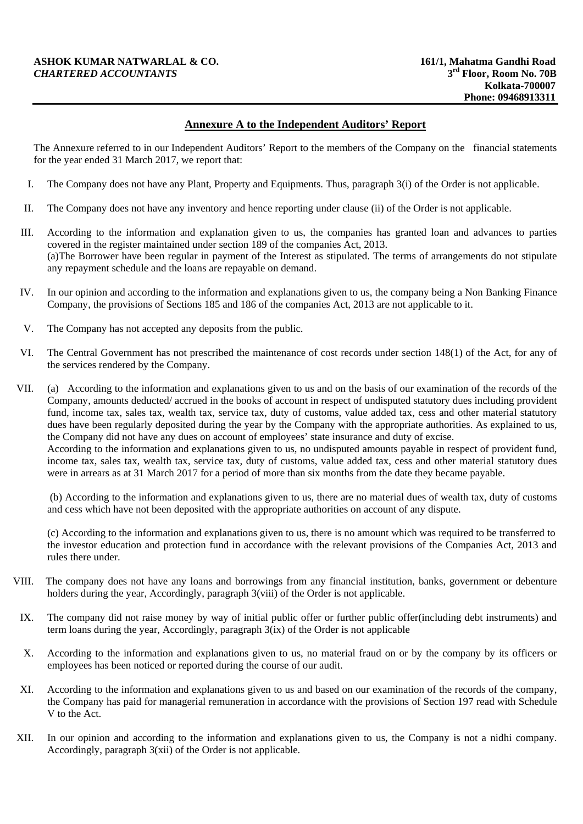# **ASHOK KUMAR NATWARLAL & CO.** 161/1, Mahatma Gandhi Road *CHARTERED ACCOUNTANTS* 3<sup>rd</sup> Floor. Room No. 70B  $CHARTERED$   $ACCOUNTANTS$

# **Annexure A to the Independent Auditors' Report**

The Annexure referred to in our Independent Auditors' Report to the members of the Company on the financial statements for the year ended 31 March 2017, we report that:

- I. The Company does not have any Plant, Property and Equipments. Thus, paragraph 3(i) of the Order is not applicable.
- II. The Company does not have any inventory and hence reporting under clause (ii) of the Order is not applicable.
- III. According to the information and explanation given to us, the companies has granted loan and advances to parties covered in the register maintained under section 189 of the companies Act, 2013. (a)The Borrower have been regular in payment of the Interest as stipulated. The terms of arrangements do not stipulate any repayment schedule and the loans are repayable on demand.
- IV. In our opinion and according to the information and explanations given to us, the company being a Non Banking Finance Company, the provisions of Sections 185 and 186 of the companies Act, 2013 are not applicable to it.
- V. The Company has not accepted any deposits from the public.
- VI. The Central Government has not prescribed the maintenance of cost records under section 148(1) of the Act, for any of the services rendered by the Company.
- VII. (a) According to the information and explanations given to us and on the basis of our examination of the records of the Company, amounts deducted/ accrued in the books of account in respect of undisputed statutory dues including provident fund, income tax, sales tax, wealth tax, service tax, duty of customs, value added tax, cess and other material statutory dues have been regularly deposited during the year by the Company with the appropriate authorities. As explained to us, the Company did not have any dues on account of employees' state insurance and duty of excise. According to the information and explanations given to us, no undisputed amounts payable in respect of provident fund, income tax, sales tax, wealth tax, service tax, duty of customs, value added tax, cess and other material statutory dues were in arrears as at 31 March 2017 for a period of more than six months from the date they became payable.

 (b) According to the information and explanations given to us, there are no material dues of wealth tax, duty of customs and cess which have not been deposited with the appropriate authorities on account of any dispute.

 (c) According to the information and explanations given to us, there is no amount which was required to be transferred to the investor education and protection fund in accordance with the relevant provisions of the Companies Act, 2013 and rules there under.

- VIII. The company does not have any loans and borrowings from any financial institution, banks, government or debenture holders during the year, Accordingly, paragraph 3(viii) of the Order is not applicable.
- IX. The company did not raise money by way of initial public offer or further public offer(including debt instruments) and term loans during the year, Accordingly, paragraph 3(ix) of the Order is not applicable
- X. According to the information and explanations given to us, no material fraud on or by the company by its officers or employees has been noticed or reported during the course of our audit.
- XI. According to the information and explanations given to us and based on our examination of the records of the company, the Company has paid for managerial remuneration in accordance with the provisions of Section 197 read with Schedule V to the Act.
- XII. In our opinion and according to the information and explanations given to us, the Company is not a nidhi company. Accordingly, paragraph 3(xii) of the Order is not applicable.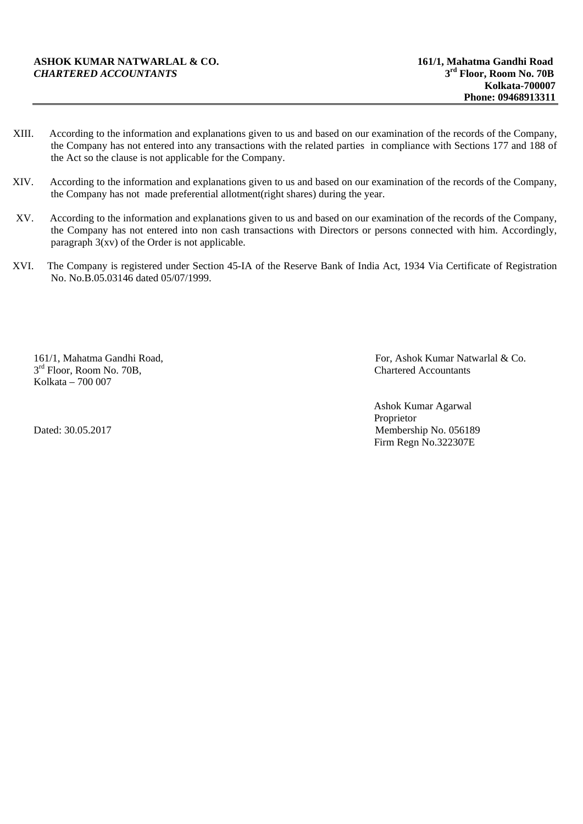- XIII. According to the information and explanations given to us and based on our examination of the records of the Company, the Company has not entered into any transactions with the related parties in compliance with Sections 177 and 188 of the Act so the clause is not applicable for the Company.
- XIV. According to the information and explanations given to us and based on our examination of the records of the Company, the Company has not made preferential allotment(right shares) during the year.
- XV. According to the information and explanations given to us and based on our examination of the records of the Company, the Company has not entered into non cash transactions with Directors or persons connected with him. Accordingly, paragraph  $3(xv)$  of the Order is not applicable.
- XVI. The Company is registered under Section 45-IA of the Reserve Bank of India Act, 1934 Via Certificate of Registration No. No.B.05.03146 dated 05/07/1999.

 $3<sup>rd</sup>$  Floor, Room No. 70B, Kolkata – 700 007

161/1, Mahatma Gandhi Road,<br>  $3^{rd}$  Floor. Room No. 70B.<br>
Chartered Accountants

 Ashok Kumar Agarwal Proprietor Dated: 30.05.2017 Membership No. 056189 Firm Regn No.322307E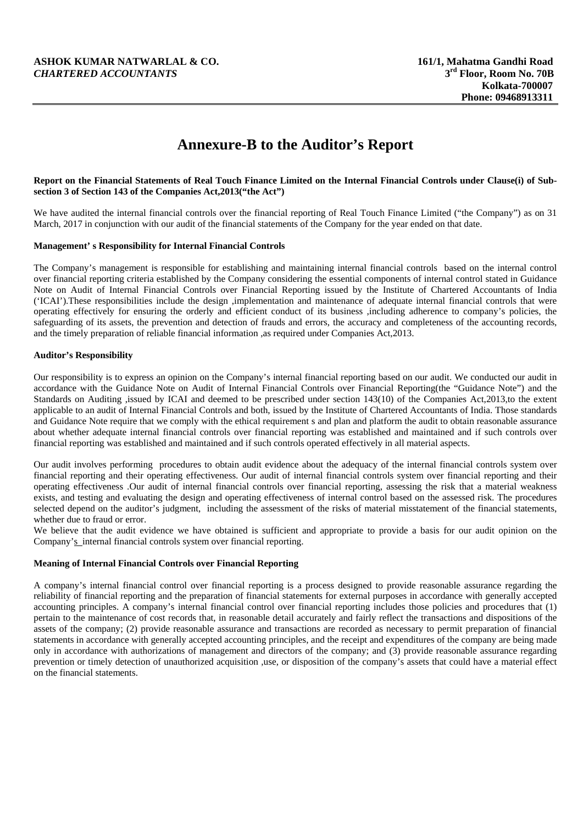# **ASHOK KUMAR NATWARLAL & CO.** 161/1, Mahatma Gandhi Road *CHARTERED ACCOUNTANTS* 3<sup>rd</sup> Floor. Room No. 70B  $CHARTERED$   $ACCOUNTANTS$

# **Annexure-B to the Auditor's Report**

#### **Report on the Financial Statements of Real Touch Finance Limited on the Internal Financial Controls under Clause(i) of Subsection 3 of Section 143 of the Companies Act,2013("the Act")**

We have audited the internal financial controls over the financial reporting of Real Touch Finance Limited ("the Company") as on 31 March, 2017 in conjunction with our audit of the financial statements of the Company for the year ended on that date.

#### **Management' s Responsibility for Internal Financial Controls**

The Company's management is responsible for establishing and maintaining internal financial controls based on the internal control over financial reporting criteria established by the Company considering the essential components of internal control stated in Guidance Note on Audit of Internal Financial Controls over Financial Reporting issued by the Institute of Chartered Accountants of India ('ICAI').These responsibilities include the design ,implementation and maintenance of adequate internal financial controls that were operating effectively for ensuring the orderly and efficient conduct of its business ,including adherence to company's policies, the safeguarding of its assets, the prevention and detection of frauds and errors, the accuracy and completeness of the accounting records, and the timely preparation of reliable financial information ,as required under Companies Act,2013.

#### **Auditor's Responsibility**

Our responsibility is to express an opinion on the Company's internal financial reporting based on our audit. We conducted our audit in accordance with the Guidance Note on Audit of Internal Financial Controls over Financial Reporting(the "Guidance Note") and the Standards on Auditing ,issued by ICAI and deemed to be prescribed under section 143(10) of the Companies Act,2013,to the extent applicable to an audit of Internal Financial Controls and both, issued by the Institute of Chartered Accountants of India. Those standards and Guidance Note require that we comply with the ethical requirement s and plan and platform the audit to obtain reasonable assurance about whether adequate internal financial controls over financial reporting was established and maintained and if such controls over financial reporting was established and maintained and if such controls operated effectively in all material aspects.

Our audit involves performing procedures to obtain audit evidence about the adequacy of the internal financial controls system over financial reporting and their operating effectiveness. Our audit of internal financial controls system over financial reporting and their operating effectiveness .Our audit of internal financial controls over financial reporting, assessing the risk that a material weakness exists, and testing and evaluating the design and operating effectiveness of internal control based on the assessed risk. The procedures selected depend on the auditor's judgment, including the assessment of the risks of material misstatement of the financial statements, whether due to fraud or error.

We believe that the audit evidence we have obtained is sufficient and appropriate to provide a basis for our audit opinion on the Company's internal financial controls system over financial reporting.

#### **Meaning of Internal Financial Controls over Financial Reporting**

A company's internal financial control over financial reporting is a process designed to provide reasonable assurance regarding the reliability of financial reporting and the preparation of financial statements for external purposes in accordance with generally accepted accounting principles. A company's internal financial control over financial reporting includes those policies and procedures that (1) pertain to the maintenance of cost records that, in reasonable detail accurately and fairly reflect the transactions and dispositions of the assets of the company; (2) provide reasonable assurance and transactions are recorded as necessary to permit preparation of financial statements in accordance with generally accepted accounting principles, and the receipt and expenditures of the company are being made only in accordance with authorizations of management and directors of the company; and (3) provide reasonable assurance regarding prevention or timely detection of unauthorized acquisition ,use, or disposition of the company's assets that could have a material effect on the financial statements.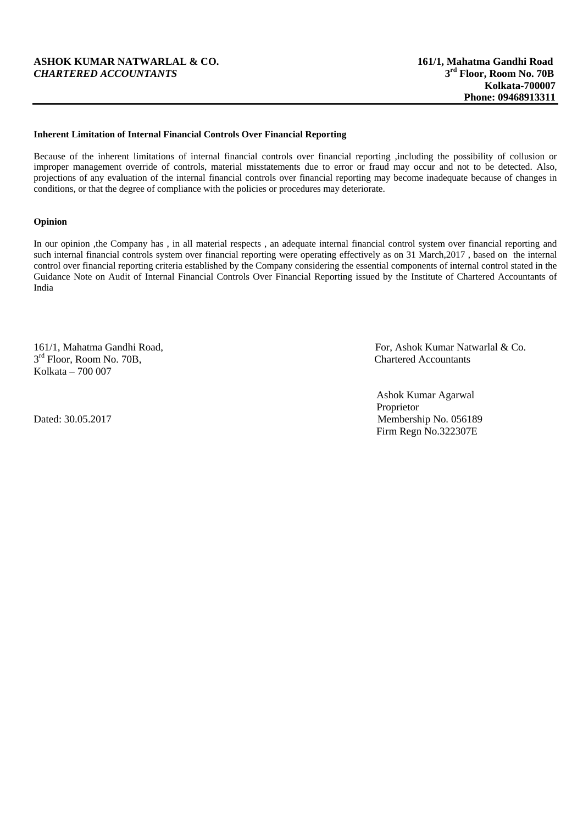# **ASHOK KUMAR NATWARLAL & CO.** 161/1, Mahatma Gandhi Road *CHARTERED ACCOUNTANTS* 3<sup>rd</sup> Floor, Room No. 70B  $CHARTERED$   $ACCOUNTANTS$

#### **Inherent Limitation of Internal Financial Controls Over Financial Reporting**

Because of the inherent limitations of internal financial controls over financial reporting ,including the possibility of collusion or improper management override of controls, material misstatements due to error or fraud may occur and not to be detected. Also, projections of any evaluation of the internal financial controls over financial reporting may become inadequate because of changes in conditions, or that the degree of compliance with the policies or procedures may deteriorate.

#### **Opinion**

In our opinion ,the Company has , in all material respects , an adequate internal financial control system over financial reporting and such internal financial controls system over financial reporting were operating effectively as on 31 March,2017 , based on the internal control over financial reporting criteria established by the Company considering the essential components of internal control stated in the Guidance Note on Audit of Internal Financial Controls Over Financial Reporting issued by the Institute of Chartered Accountants of India

 $3<sup>rd</sup>$  Floor, Room No. 70B, Chartered Accountants Kolkata – 700 007

161/1, Mahatma Gandhi Road, For, Ashok Kumar Natwarlal & Co.

 Ashok Kumar Agarwal Proprietor Dated: 30.05.2017 Membership No. 056189 Firm Regn No.322307E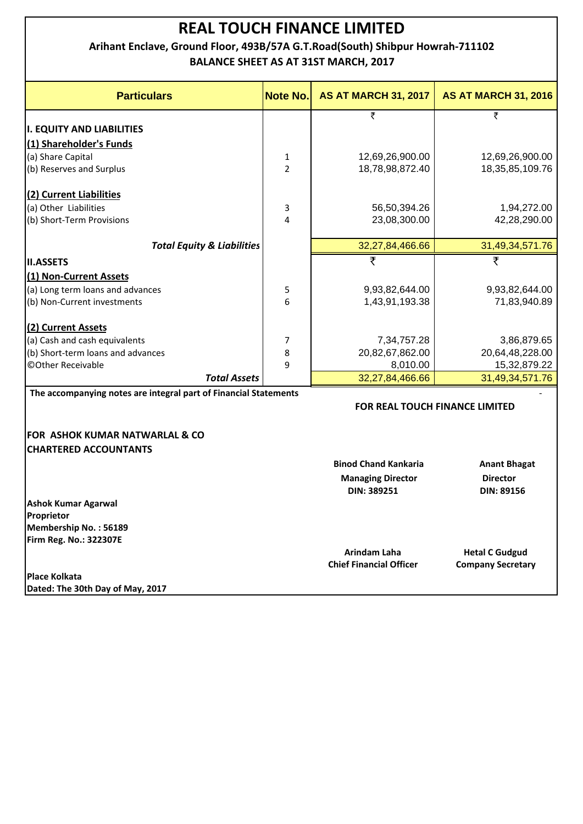**Arihant Enclave, Ground Floor, 493B/57A G.T.Road(South) Shibpur Howrah‐711102 BALANCE SHEET AS AT 31ST MARCH, 2017**

| <b>Particulars</b>                                               | <b>Note No.</b> | <b>AS AT MARCH 31, 2017</b>    | <b>AS AT MARCH 31, 2016</b>           |
|------------------------------------------------------------------|-----------------|--------------------------------|---------------------------------------|
|                                                                  |                 | ₹                              | ₹                                     |
| <b>I. EQUITY AND LIABILITIES</b>                                 |                 |                                |                                       |
| (1) Shareholder's Funds                                          |                 |                                |                                       |
| (a) Share Capital                                                | 1               | 12,69,26,900.00                | 12,69,26,900.00                       |
| (b) Reserves and Surplus                                         | $\overline{2}$  | 18,78,98,872.40                | 18, 35, 85, 109. 76                   |
| (2) Current Liabilities                                          |                 |                                |                                       |
| (a) Other Liabilities                                            | 3               | 56,50,394.26                   | 1,94,272.00                           |
| (b) Short-Term Provisions                                        | 4               | 23,08,300.00                   | 42,28,290.00                          |
| <b>Total Equity &amp; Liabilities</b>                            |                 | 32,27,84,466.66                | 31,49,34,571.76                       |
| <b>II.ASSETS</b>                                                 |                 | ₹                              | ₹                                     |
| (1) Non-Current Assets                                           |                 |                                |                                       |
| (a) Long term loans and advances                                 | 5               | 9,93,82,644.00                 | 9,93,82,644.00                        |
| (b) Non-Current investments                                      | 6               | 1,43,91,193.38                 | 71,83,940.89                          |
| (2) Current Assets                                               |                 |                                |                                       |
| (a) Cash and cash equivalents                                    | 7               | 7,34,757.28                    | 3,86,879.65                           |
| (b) Short-term loans and advances                                | 8               | 20,82,67,862.00                | 20,64,48,228.00                       |
| © Other Receivable                                               | 9               | 8,010.00                       | 15,32,879.22                          |
| <b>Total Assets</b>                                              |                 | 32,27,84,466.66                | 31,49,34,571.76                       |
| The accompanying notes are integral part of Financial Statements |                 |                                |                                       |
|                                                                  |                 |                                | <b>FOR REAL TOUCH FINANCE LIMITED</b> |
| <b>FOR ASHOK KUMAR NATWARLAL &amp; CO</b>                        |                 |                                |                                       |
| <b>CHARTERED ACCOUNTANTS</b>                                     |                 |                                |                                       |
|                                                                  |                 | <b>Binod Chand Kankaria</b>    | <b>Anant Bhagat</b>                   |
|                                                                  |                 | <b>Managing Director</b>       | <b>Director</b>                       |
|                                                                  |                 | DIN: 389251                    | <b>DIN: 89156</b>                     |
| <b>Ashok Kumar Agarwal</b>                                       |                 |                                |                                       |
| Proprietor                                                       |                 |                                |                                       |
| Membership No.: 56189                                            |                 |                                |                                       |
| Firm Reg. No.: 322307E                                           |                 |                                |                                       |
|                                                                  |                 | Arindam Laha                   | <b>Hetal C Gudgud</b>                 |
|                                                                  |                 | <b>Chief Financial Officer</b> | <b>Company Secretary</b>              |
| <b>Place Kolkata</b>                                             |                 |                                |                                       |

**Dated: The 30th Day of May, 2017**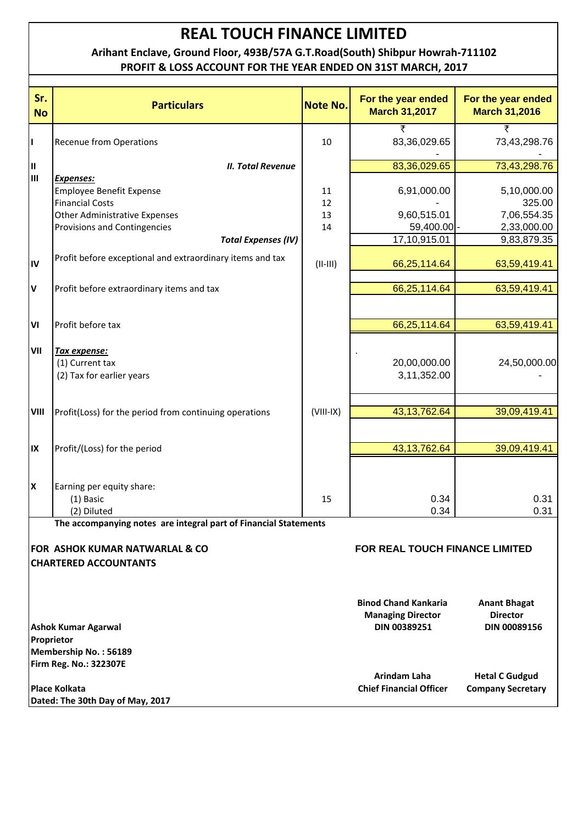# **Arihant Enclave, Ground Floor, 493B/57A G.T.Road(South) Shibpur Howrah‐711102 PROFIT & LOSS ACCOUNT FOR THE YEAR ENDED ON 31ST MARCH, 2017**

| Sr.<br><b>No</b> | <b>Particulars</b>                                               | <b>Note No.</b> | For the year ended<br><b>March 31,2017</b> | For the year ended<br><b>March 31,2016</b> |
|------------------|------------------------------------------------------------------|-----------------|--------------------------------------------|--------------------------------------------|
|                  |                                                                  |                 | ₹                                          | ₹                                          |
| П                | <b>Recenue from Operations</b>                                   | 10              | 83,36,029.65                               | 73,43,298.76                               |
| Ш                | <b>II. Total Revenue</b>                                         |                 | 83,36,029.65                               | 73,43,298.76                               |
| Iш               | <b>Expenses:</b>                                                 |                 |                                            |                                            |
|                  | <b>Employee Benefit Expense</b>                                  | 11              | 6,91,000.00                                | 5,10,000.00                                |
|                  | <b>Financial Costs</b>                                           | 12              |                                            | 325.00                                     |
|                  | <b>Other Administrative Expenses</b>                             | 13              | 9,60,515.01                                | 7,06,554.35                                |
|                  | Provisions and Contingencies                                     | 14              | 59,400.00 -                                | 2,33,000.00                                |
|                  | <b>Total Expenses (IV)</b>                                       |                 | 17,10,915.01                               | 9,83,879.35                                |
|                  | Profit before exceptional and extraordinary items and tax        |                 |                                            |                                            |
| IV               |                                                                  | $(II-III)$      | 66,25,114.64                               | 63,59,419.41                               |
| V                | Profit before extraordinary items and tax                        |                 | 66,25,114.64                               | 63,59,419.41                               |
|                  |                                                                  |                 |                                            |                                            |
| VI               | Profit before tax                                                |                 | 66,25,114.64                               | 63,59,419.41                               |
|                  |                                                                  |                 |                                            |                                            |
| VII              | Tax expense:                                                     |                 |                                            |                                            |
|                  | (1) Current tax                                                  |                 | 20,00,000.00                               | 24,50,000.00                               |
|                  | (2) Tax for earlier years                                        |                 | 3,11,352.00                                |                                            |
|                  |                                                                  |                 |                                            |                                            |
| VIII             | Profit(Loss) for the period from continuing operations           | $(VIII-IX)$     | 43, 13, 762. 64                            | 39,09,419.41                               |
|                  |                                                                  |                 |                                            |                                            |
|                  |                                                                  |                 |                                            |                                            |
| IX               | Profit/(Loss) for the period                                     |                 | 43, 13, 762. 64                            | 39,09,419.41                               |
|                  |                                                                  |                 |                                            |                                            |
| Ιx               | Earning per equity share:                                        |                 |                                            |                                            |
|                  | (1) Basic                                                        | 15              | 0.34                                       | 0.31                                       |
|                  | (2) Diluted                                                      |                 | 0.34                                       | 0.31                                       |
|                  | The accompanying notes are integral part of Financial Statements |                 |                                            |                                            |
|                  | <b>FOR ASHOK KUMAR NATWARLAL &amp; CO</b>                        |                 | <b>FOR REAL TOUCH FINANCE LIMITED</b>      |                                            |
|                  | <b>CHARTERED ACCOUNTANTS</b>                                     |                 |                                            |                                            |
|                  |                                                                  |                 |                                            |                                            |
|                  |                                                                  |                 |                                            |                                            |
|                  |                                                                  |                 | <b>Binod Chand Kankaria</b>                | <b>Anant Bhagat</b>                        |
|                  |                                                                  |                 | <b>Managing Director</b><br>DIN 00389251   | <b>Director</b><br><b>DIN 00089156</b>     |
|                  | <b>Ashok Kumar Agarwal</b><br>Proprietor                         |                 |                                            |                                            |
|                  | Membership No.: 56189                                            |                 |                                            |                                            |
|                  | Firm Reg. No.: 322307E                                           |                 |                                            |                                            |
|                  |                                                                  |                 | Arindam Laha                               | <b>Hetal C Gudgud</b>                      |
|                  | Place Kolkata                                                    |                 | <b>Chief Financial Officer</b>             | <b>Company Secretary</b>                   |
|                  | Dated: The 30th Day of May, 2017                                 |                 |                                            |                                            |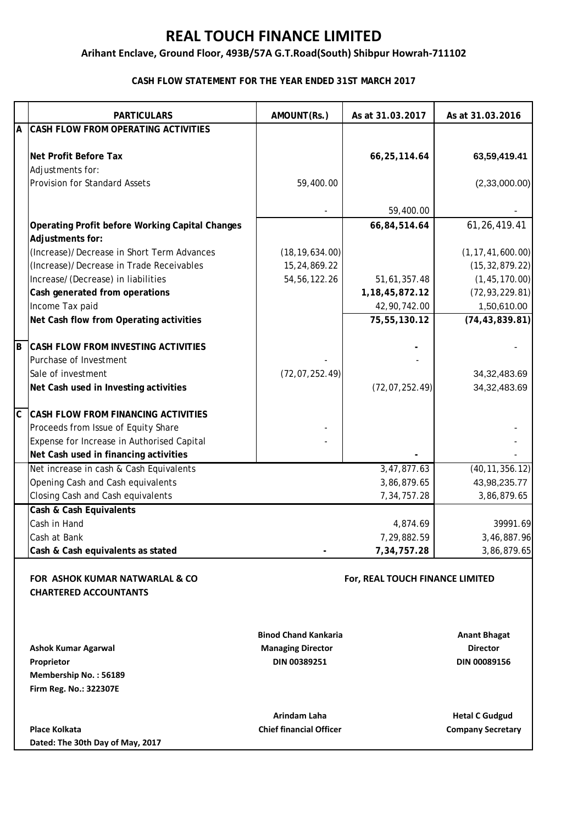# **Arihant Enclave, Ground Floor, 493B/57A G.T.Road(South) Shibpur Howrah‐711102**

# **CASH FLOW STATEMENT FOR THE YEAR ENDED 31ST MARCH 2017**

|             | <b>PARTICULARS</b>                                     | AMOUNT(Rs.)                    | As at 31.03.2017                | As at 31.03.2016         |
|-------------|--------------------------------------------------------|--------------------------------|---------------------------------|--------------------------|
| A           | CASH FLOW FROM OPERATING ACTIVITIES                    |                                |                                 |                          |
|             |                                                        |                                |                                 |                          |
|             | Net Profit Before Tax                                  |                                | 66,25,114.64                    | 63,59,419.41             |
|             | Adjustments for:                                       |                                |                                 |                          |
|             | <b>Provision for Standard Assets</b>                   | 59,400.00                      |                                 | (2,33,000.00)            |
|             |                                                        |                                |                                 |                          |
|             |                                                        |                                | 59,400.00                       |                          |
|             | <b>Operating Profit before Working Capital Changes</b> |                                | 66,84,514.64                    | 61, 26, 419.41           |
|             | Adjustments for:                                       |                                |                                 |                          |
|             | (Increase)/Decrease in Short Term Advances             | (18, 19, 634.00)               |                                 | (1, 17, 41, 600.00)      |
|             | (Increase)/Decrease in Trade Receivables               | 15,24,869.22                   |                                 | (15, 32, 879.22)         |
|             | Increase/(Decrease) in liabilities                     | 54, 56, 122. 26                | 51,61,357.48                    | (1, 45, 170.00)          |
|             | Cash generated from operations                         |                                | 1, 18, 45, 872. 12              | (72, 93, 229.81)         |
|             | Income Tax paid                                        |                                | 42,90,742.00                    | 1,50,610.00              |
|             | Net Cash flow from Operating activities                |                                | 75,55,130.12                    | (74, 43, 839.81)         |
|             |                                                        |                                |                                 |                          |
| B           | CASH FLOW FROM INVESTING ACTIVITIES                    |                                |                                 |                          |
|             | Purchase of Investment                                 |                                |                                 |                          |
|             | Sale of investment                                     | (72, 07, 252.49)               |                                 | 34, 32, 483. 69          |
|             | Net Cash used in Investing activities                  |                                | (72, 07, 252.49)                | 34, 32, 483. 69          |
|             |                                                        |                                |                                 |                          |
| $\mathsf C$ | <b>CASH FLOW FROM FINANCING ACTIVITIES</b>             |                                |                                 |                          |
|             | Proceeds from Issue of Equity Share                    |                                |                                 |                          |
|             | Expense for Increase in Authorised Capital             |                                |                                 |                          |
|             | Net Cash used in financing activities                  |                                |                                 |                          |
|             | Net increase in cash & Cash Equivalents                |                                | 3,47,877.63                     | (40, 11, 356.12)         |
|             | Opening Cash and Cash equivalents                      |                                | 3,86,879.65                     | 43,98,235.77             |
|             | Closing Cash and Cash equivalents                      |                                | 7,34,757.28                     | 3,86,879.65              |
|             | Cash & Cash Equivalents                                |                                |                                 |                          |
|             | Cash in Hand                                           |                                | 4,874.69                        | 39991.69                 |
|             | Cash at Bank                                           |                                | 7,29,882.59                     | 3,46,887.96              |
|             | Cash & Cash equivalents as stated                      |                                | 7,34,757.28                     | 3,86,879.65              |
|             |                                                        |                                |                                 |                          |
|             | <b>FOR ASHOK KUMAR NATWARLAL &amp; CO.</b>             |                                | For, REAL TOUCH FINANCE LIMITED |                          |
|             | <b>CHARTERED ACCOUNTANTS</b>                           |                                |                                 |                          |
|             |                                                        |                                |                                 |                          |
|             |                                                        |                                |                                 |                          |
|             |                                                        | <b>Binod Chand Kankaria</b>    |                                 | <b>Anant Bhagat</b>      |
|             | <b>Ashok Kumar Agarwal</b>                             | <b>Managing Director</b>       |                                 | <b>Director</b>          |
|             | Proprietor                                             | DIN 00389251                   |                                 | DIN 00089156             |
|             | Membership No.: 56189                                  |                                |                                 |                          |
|             | Firm Reg. No.: 322307E                                 |                                |                                 |                          |
|             |                                                        | <b>Arindam Laha</b>            |                                 | <b>Hetal C Gudgud</b>    |
|             | <b>Place Kolkata</b>                                   | <b>Chief financial Officer</b> |                                 | <b>Company Secretary</b> |
|             | Dated: The 30th Day of May, 2017                       |                                |                                 |                          |
|             |                                                        |                                |                                 |                          |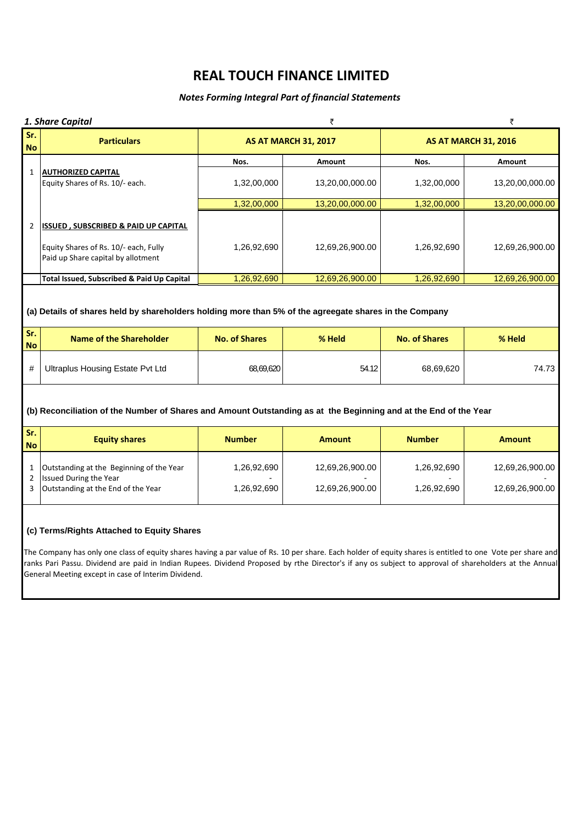# *Notes Forming Integral Part of financial Statements*

|                  | 1. Share Capital                                                                                                                                                                                                                                                                                                                                                                                                          |                      | ₹                           |                      | ₹                           |  |
|------------------|---------------------------------------------------------------------------------------------------------------------------------------------------------------------------------------------------------------------------------------------------------------------------------------------------------------------------------------------------------------------------------------------------------------------------|----------------------|-----------------------------|----------------------|-----------------------------|--|
| Sr.<br><b>No</b> | <b>Particulars</b>                                                                                                                                                                                                                                                                                                                                                                                                        |                      | <b>AS AT MARCH 31, 2017</b> |                      | <b>AS AT MARCH 31, 2016</b> |  |
|                  |                                                                                                                                                                                                                                                                                                                                                                                                                           | Nos.                 | Amount                      | Nos.                 | Amount                      |  |
| $\mathbf{1}$     | <b>AUTHORIZED CAPITAL</b><br>Equity Shares of Rs. 10/- each.                                                                                                                                                                                                                                                                                                                                                              | 1,32,00,000          | 13,20,00,000.00             | 1,32,00,000          | 13,20,00,000.00             |  |
|                  |                                                                                                                                                                                                                                                                                                                                                                                                                           | 1,32,00,000          | 13,20,00,000.00             | 1,32,00,000          | 13,20,00,000.00             |  |
| $\overline{2}$   | <b>ISSUED, SUBSCRIBED &amp; PAID UP CAPITAL</b><br>Equity Shares of Rs. 10/- each, Fully<br>Paid up Share capital by allotment                                                                                                                                                                                                                                                                                            | 1,26,92,690          | 12,69,26,900.00             | 1,26,92,690          | 12,69,26,900.00             |  |
|                  | Total Issued, Subscribed & Paid Up Capital                                                                                                                                                                                                                                                                                                                                                                                | 1,26,92,690          | 12,69,26,900.00             | 1,26,92,690          | 12,69,26,900.00             |  |
| Sr.              | (a) Details of shares held by shareholders holding more than 5% of the agreegate shares in the Company                                                                                                                                                                                                                                                                                                                    |                      |                             |                      |                             |  |
| <b>No</b>        | <b>Name of the Shareholder</b>                                                                                                                                                                                                                                                                                                                                                                                            | <b>No. of Shares</b> | % Held                      | <b>No. of Shares</b> | % Held                      |  |
| #                | <b>Ultraplus Housing Estate Pvt Ltd</b>                                                                                                                                                                                                                                                                                                                                                                                   | 68,69,620            | 54.12                       | 68,69,620            | 74.73                       |  |
|                  | (b) Reconciliation of the Number of Shares and Amount Outstanding as at the Beginning and at the End of the Year                                                                                                                                                                                                                                                                                                          |                      |                             |                      |                             |  |
| Sr.<br><b>No</b> | <b>Equity shares</b>                                                                                                                                                                                                                                                                                                                                                                                                      | <b>Number</b>        | <b>Amount</b>               | <b>Number</b>        | <b>Amount</b>               |  |
| 1<br>2           | Outstanding at the Beginning of the Year<br><b>Issued During the Year</b>                                                                                                                                                                                                                                                                                                                                                 | 1,26,92,690          | 12,69,26,900.00             | 1,26,92,690          | 12,69,26,900.00             |  |
| 3                | Outstanding at the End of the Year                                                                                                                                                                                                                                                                                                                                                                                        | 1,26,92,690          | 12,69,26,900.00             | 1,26,92,690          | 12,69,26,900.00             |  |
|                  | (c) Terms/Rights Attached to Equity Shares<br>The Company has only one class of equity shares having a par value of Rs. 10 per share. Each holder of equity shares is entitled to one Vote per share and<br>ranks Pari Passu. Dividend are paid in Indian Rupees. Dividend Proposed by rthe Director's if any os subject to approval of shareholders at the Annual<br>General Meeting except in case of Interim Dividend. |                      |                             |                      |                             |  |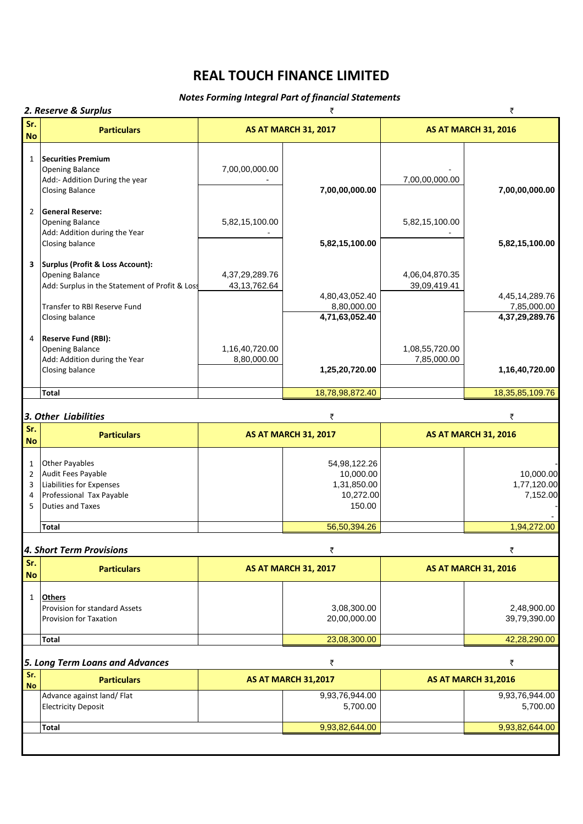# *Notes Forming Integral Part of financial Statements*

*2. Reserve & Surplus* ` `

| Sr.                                |                                                                                                                         |                                   |                                                                 |                                |                                      |
|------------------------------------|-------------------------------------------------------------------------------------------------------------------------|-----------------------------------|-----------------------------------------------------------------|--------------------------------|--------------------------------------|
| <b>No</b>                          | <b>Particulars</b>                                                                                                      |                                   | <b>AS AT MARCH 31, 2017</b>                                     |                                | <b>AS AT MARCH 31, 2016</b>          |
| $\mathbf{1}$                       | <b>Securities Premium</b><br>Opening Balance<br>Add:- Addition During the year<br><b>Closing Balance</b>                | 7,00,00,000.00                    | 7,00,00,000.00                                                  | 7,00,00,000.00                 | 7,00,00,000.00                       |
| $\overline{2}$                     | <b>General Reserve:</b><br><b>Opening Balance</b><br>Add: Addition during the Year<br>Closing balance                   | 5,82,15,100.00                    | 5,82,15,100.00                                                  | 5,82,15,100.00                 | 5,82,15,100.00                       |
| 3                                  | Surplus (Profit & Loss Account):<br><b>Opening Balance</b><br>Add: Surplus in the Statement of Profit & Loss            | 4,37,29,289.76<br>43, 13, 762. 64 | 4,80,43,052.40                                                  | 4,06,04,870.35<br>39,09,419.41 | 4,45,14,289.76                       |
|                                    | Transfer to RBI Reserve Fund<br>Closing balance                                                                         |                                   | 8,80,000.00<br>4,71,63,052.40                                   |                                | 7,85,000.00<br>4,37,29,289.76        |
| 4                                  | <b>Reserve Fund (RBI):</b><br><b>Opening Balance</b><br>Add: Addition during the Year<br>Closing balance                | 1,16,40,720.00<br>8,80,000.00     | 1,25,20,720.00                                                  | 1,08,55,720.00<br>7,85,000.00  | 1,16,40,720.00                       |
|                                    | Total                                                                                                                   |                                   | 18,78,98,872.40                                                 |                                | 18, 35, 85, 109. 76                  |
|                                    | 3. Other Liabilities                                                                                                    |                                   | ₹                                                               |                                | ₹                                    |
| Sr.<br><b>No</b>                   | <b>Particulars</b>                                                                                                      |                                   | <b>AS AT MARCH 31, 2017</b>                                     |                                | <b>AS AT MARCH 31, 2016</b>          |
| 1<br>$\overline{2}$<br>3<br>4<br>5 | <b>Other Payables</b><br>Audit Fees Payable<br>Liabilities for Expenses<br>Professional Tax Payable<br>Duties and Taxes |                                   | 54,98,122.26<br>10,000.00<br>1,31,850.00<br>10,272.00<br>150.00 |                                | 10,000.00<br>1,77,120.00<br>7,152.00 |
|                                    | <b>Total</b>                                                                                                            |                                   | 56,50,394.26                                                    |                                | 1,94,272.00                          |
|                                    | 4. Short Term Provisions                                                                                                |                                   | ₹                                                               |                                | ₹                                    |
| Sr.<br><b>No</b>                   | <b>Particulars</b>                                                                                                      |                                   | <b>AS AT MARCH 31, 2017</b>                                     |                                | <b>AS AT MARCH 31, 2016</b>          |
| 1                                  | Others<br><b>Provision for standard Assets</b><br><b>Provision for Taxation</b>                                         |                                   | 3,08,300.00<br>20,00,000.00                                     |                                | 2,48,900.00<br>39,79,390.00          |
|                                    | <b>Total</b>                                                                                                            |                                   | 23,08,300.00                                                    |                                | 42,28,290.00                         |
|                                    | 5. Long Term Loans and Advances                                                                                         |                                   | ₹                                                               |                                | ₹                                    |
| Sr.<br><b>No</b>                   | <b>Particulars</b>                                                                                                      |                                   | <b>AS AT MARCH 31,2017</b>                                      |                                | <b>AS AT MARCH 31,2016</b>           |
|                                    | Advance against land/ Flat<br><b>Electricity Deposit</b>                                                                |                                   | 9,93,76,944.00<br>5,700.00                                      |                                | 9,93,76,944.00<br>5,700.00           |
|                                    | <b>Total</b>                                                                                                            |                                   | 9,93,82,644.00                                                  |                                | 9,93,82,644.00                       |
|                                    |                                                                                                                         |                                   |                                                                 |                                |                                      |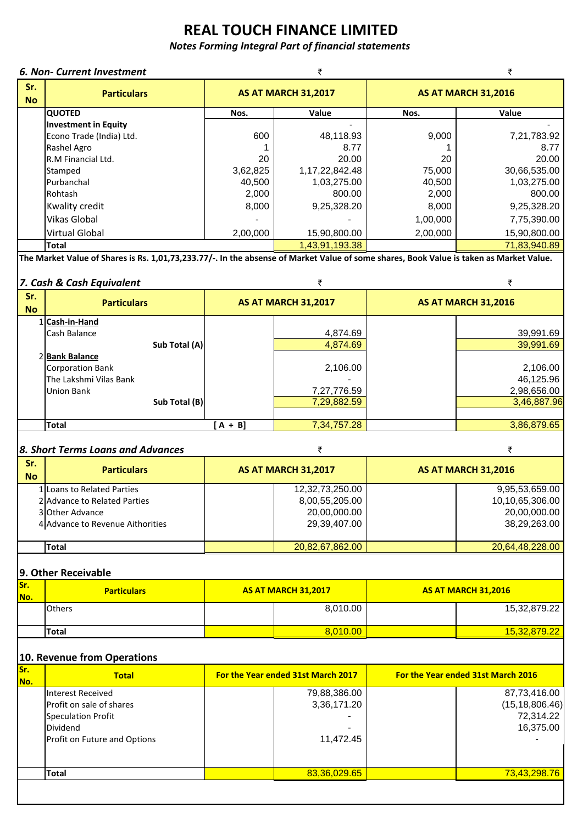# *Notes Forming Integral Part of financial statements*

# *6. Non‐ Current Investment* ` `

| Sr.<br><b>No</b> | <b>Particulars</b>       | <b>AS AT MARCH 31,2017</b> |                    | <b>AS AT MARCH 31,2016</b> |              |  |
|------------------|--------------------------|----------------------------|--------------------|----------------------------|--------------|--|
|                  | <b>QUOTED</b>            | Nos.                       | Value              | Nos.                       | Value        |  |
|                  | Investment in Equity     |                            |                    |                            |              |  |
|                  | Econo Trade (India) Ltd. | 600                        | 48,118.93          | 9.000                      | 7,21,783.92  |  |
|                  | Rashel Agro              |                            | 8.77               |                            | 8.77         |  |
|                  | R.M Financial Ltd.       | 20                         | 20.00              | 20                         | 20.00        |  |
|                  | Stamped                  | 3,62,825                   | 1, 17, 22, 842. 48 | 75,000                     | 30,66,535.00 |  |
|                  | <b>Purbanchal</b>        | 40,500                     | 1,03,275.00        | 40,500                     | 1,03,275.00  |  |
|                  | Rohtash                  | 2,000                      | 800.00             | 2,000                      | 800.00       |  |
|                  | Kwality credit           | 8,000                      | 9,25,328.20        | 8,000                      | 9,25,328.20  |  |
|                  | <b>Vikas Global</b>      |                            |                    | 1,00,000                   | 7,75,390.00  |  |
|                  | <b>Virtual Global</b>    | 2,00,000                   | 15,90,800.00       | 2,00,000                   | 15,90,800.00 |  |
|                  | <b>Total</b>             |                            | 1,43,91,193.38     |                            | 71,83,940.89 |  |
|                  |                          |                            |                    |                            |              |  |

The Market Value of Shares is Rs. 1,01,73,233.77/-. In the absense of Market Value of some shares, Book Value is taken as Market Value.

# **7.** *Cash* & *Cash Equivalent*  $\bar{z}$   $\bar{z}$

| Sr.<br><b>No</b> | <b>Particulars</b>                                           |         | <b>AS AT MARCH 31,2017</b> |  | <b>AS AT MARCH 31,2016</b>              |  |
|------------------|--------------------------------------------------------------|---------|----------------------------|--|-----------------------------------------|--|
|                  | 1 Cash-in-Hand<br>Cash Balance                               |         | 4,874.69                   |  | 39,991.69                               |  |
|                  | Sub Total (A)<br>2 Bank Balance<br>Corporation Bank          |         | 4,874.69<br>2,106.00       |  | 39,991.69<br>2,106.00                   |  |
|                  | The Lakshmi Vilas Bank<br><b>Union Bank</b><br>Sub Total (B) |         | 7,27,776.59<br>7,29,882.59 |  | 46,125.96<br>2,98,656.00<br>3,46,887.96 |  |
|                  | <b>Total</b>                                                 | $A + B$ | 7,34,757.28                |  | 3,86,879.65                             |  |

# *8. Short Terms Loans and Advances* ` `

| Sr.<br><b>No</b> | <b>Particulars</b>               | <b>AS AT MARCH 31,2017</b> | <b>AS AT MARCH 31,2016</b> |
|------------------|----------------------------------|----------------------------|----------------------------|
|                  | 1 Loans to Related Parties       | 12,32,73,250.00            | 9,95,53,659.00             |
|                  | 2 Advance to Related Parties     | 8,00,55,205.00             | 10,10,65,306.00            |
|                  | 3 Other Advance                  | 20,00,000.00               | 20,00,000.00               |
|                  | 4 Advance to Revenue Aithorities | 29,39,407.00               | 38,29,263.00               |
|                  |                                  |                            |                            |
|                  | <b>Total</b>                     | 20,82,67,862.00            | 20,64,48,228.00            |

# **9. Other Receivable**

| Sr.<br>No. | <b>Particulars</b> |  | <b>AS AT MARCH 31.2017</b> | <b>AS AT MARCH 31.2016</b> |
|------------|--------------------|--|----------------------------|----------------------------|
|            | <b>Others</b>      |  | 8,010.00                   | 15,32,879.22               |
|            | Total              |  | 8.010.00                   | 15,32,879.22               |

# **10. Revenue from Operations**

| Sr.<br>lNo. | <b>Total</b>                                                                                                    | For the Year ended 31st March 2017            | For the Year ended 31st March 2016                         |
|-------------|-----------------------------------------------------------------------------------------------------------------|-----------------------------------------------|------------------------------------------------------------|
|             | Interest Received<br>Profit on sale of shares<br>Speculation Profit<br>Dividend<br>Profit on Future and Options | 79,88,386.00<br>3,36,171.20<br>-<br>11,472.45 | 87,73,416.00<br>(15, 18, 806.46)<br>72,314.22<br>16,375.00 |
|             | Total                                                                                                           | 83,36,029.65                                  | 73,43,298.76                                               |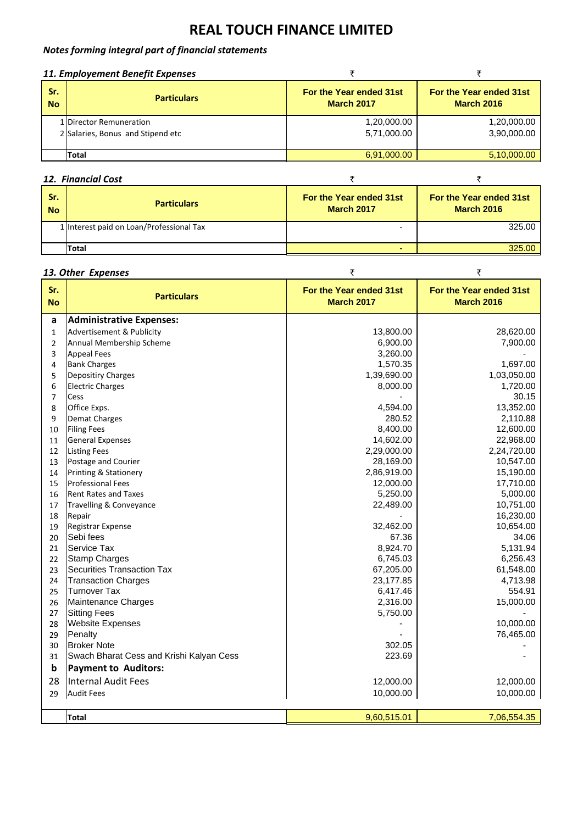# *Notes forming integral part of financial statements*

| 11. Employement Benefit Expenses |                                   |                                              |                                              |
|----------------------------------|-----------------------------------|----------------------------------------------|----------------------------------------------|
| Sr.<br><b>No</b>                 | <b>Particulars</b>                | For the Year ended 31st<br><b>March 2017</b> | For the Year ended 31st<br><b>March 2016</b> |
|                                  | 1 Director Remuneration           | 1,20,000.00                                  | 1,20,000.00                                  |
|                                  | 2 Salaries, Bonus and Stipend etc | 5,71,000.00                                  | 3,90,000.00                                  |
|                                  |                                   |                                              |                                              |
|                                  | Total                             | 6,91,000.00                                  | 5,10,000.00                                  |

# **12.** Financial Cost ₹ ₹ ₹ ₹ ₹

| Sr.<br><b>No</b> | <b>Particulars</b>                       | For the Year ended 31st<br><b>March 2017</b> | For the Year ended 31st<br><b>March 2016</b> |
|------------------|------------------------------------------|----------------------------------------------|----------------------------------------------|
|                  | 1 Interest paid on Loan/Professional Tax | -                                            | 325.00                                       |
|                  | Total                                    | -                                            | 325.00.                                      |

# **13. Other Expenses**  $\qquad$  ₹

| Sr.<br><b>No</b> | <b>Particulars</b>                       | For the Year ended 31st<br><b>March 2017</b> | For the Year ended 31st<br><b>March 2016</b> |
|------------------|------------------------------------------|----------------------------------------------|----------------------------------------------|
| a                | <b>Administrative Expenses:</b>          |                                              |                                              |
| $\mathbf{1}$     | Advertisement & Publicity                | 13,800.00                                    | 28,620.00                                    |
| $\overline{2}$   | Annual Membership Scheme                 | 6,900.00                                     | 7,900.00                                     |
| 3                | <b>Appeal Fees</b>                       | 3,260.00                                     |                                              |
| 4                | <b>Bank Charges</b>                      | 1,570.35                                     | 1,697.00                                     |
| 5                | Depositiry Charges                       | 1,39,690.00                                  | 1,03,050.00                                  |
| 6                | <b>Electric Charges</b>                  | 8,000.00                                     | 1,720.00                                     |
| $\overline{7}$   | Cess                                     |                                              | 30.15                                        |
| 8                | Office Exps.                             | 4,594.00                                     | 13,352.00                                    |
| 9                | <b>Demat Charges</b>                     | 280.52                                       | 2,110.88                                     |
| 10               | <b>Filing Fees</b>                       | 8,400.00                                     | 12,600.00                                    |
| 11               | <b>General Expenses</b>                  | 14,602.00                                    | 22,968.00                                    |
| 12               | <b>Listing Fees</b>                      | 2,29,000.00                                  | 2,24,720.00                                  |
| 13               | Postage and Courier                      | 28,169.00                                    | 10,547.00                                    |
| 14               | Printing & Stationery                    | 2,86,919.00                                  | 15,190.00                                    |
| 15               | <b>Professional Fees</b>                 | 12,000.00                                    | 17,710.00                                    |
| 16               | <b>Rent Rates and Taxes</b>              | 5,250.00                                     | 5,000.00                                     |
| 17               | Travelling & Conveyance                  | 22,489.00                                    | 10,751.00                                    |
| 18               | Repair                                   |                                              | 16,230.00                                    |
| 19               | Registrar Expense                        | 32,462.00                                    | 10,654.00                                    |
| 20               | Sebi fees                                | 67.36                                        | 34.06                                        |
| 21               | Service Tax                              | 8,924.70                                     | 5,131.94                                     |
| 22               | <b>Stamp Charges</b>                     | 6,745.03                                     | 6,256.43                                     |
| 23               | <b>Securities Transaction Tax</b>        | 67,205.00                                    | 61,548.00                                    |
| 24               | <b>Transaction Charges</b>               | 23,177.85                                    | 4,713.98                                     |
| 25               | <b>Turnover Tax</b>                      | 6,417.46                                     | 554.91                                       |
| 26               | Maintenance Charges                      | 2,316.00                                     | 15,000.00                                    |
| 27               | <b>Sitting Fees</b>                      | 5,750.00                                     |                                              |
| 28               | <b>Website Expenses</b>                  |                                              | 10,000.00                                    |
| 29               | Penalty                                  |                                              | 76,465.00                                    |
| 30               | <b>Broker Note</b>                       | 302.05                                       |                                              |
| 31               | Swach Bharat Cess and Krishi Kalyan Cess | 223.69                                       |                                              |
| b                | <b>Payment to Auditors:</b>              |                                              |                                              |
| 28               | Internal Audit Fees                      | 12,000.00                                    | 12,000.00                                    |
| 29               | <b>Audit Fees</b>                        | 10,000.00                                    | 10,000.00                                    |
|                  |                                          |                                              |                                              |
|                  | <b>Total</b>                             | 9,60,515.01                                  | 7,06,554.35                                  |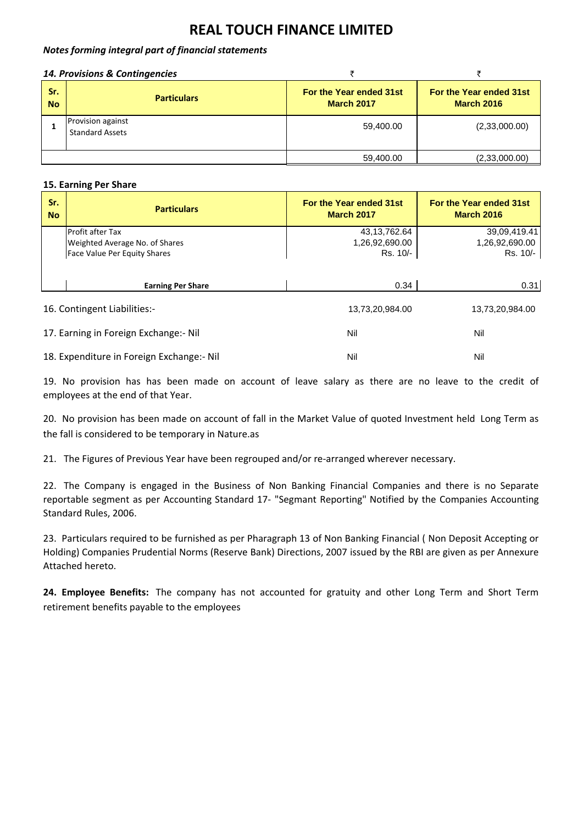# *Notes forming integral part of financial statements*

# *14. Provisions & Contingencies* ` `

| Sr.<br><b>No</b> | <b>Particulars</b>                          | For the Year ended 31st<br><b>March 2017</b> | For the Year ended 31st<br><b>March 2016</b> |
|------------------|---------------------------------------------|----------------------------------------------|----------------------------------------------|
|                  | Provision against<br><b>Standard Assets</b> | 59,400.00                                    | (2,33,000.00)                                |
|                  |                                             | 59,400.00                                    | (2,33,000.00)                                |

# **15. Earning Per Share**

| Sr.<br><b>No</b>                          | <b>Particulars</b>                    | For the Year ended 31st<br><b>March 2017</b> | For the Year ended 31st<br><b>March 2016</b> |
|-------------------------------------------|---------------------------------------|----------------------------------------------|----------------------------------------------|
|                                           | <b>Profit after Tax</b>               | 43,13,762.64                                 | 39,09,419.41                                 |
|                                           | Weighted Average No. of Shares        | 1,26,92,690.00                               | 1,26,92,690.00                               |
|                                           | Face Value Per Equity Shares          | Rs. 10/-                                     | Rs. 10/-                                     |
|                                           | <b>Earning Per Share</b>              | 0.34                                         | 0.31                                         |
|                                           | 16. Contingent Liabilities:-          | 13,73,20,984.00                              | 13,73,20,984.00                              |
|                                           | 17. Earning in Foreign Exchange:- Nil | Nil                                          | Nil                                          |
| 18. Expenditure in Foreign Exchange:- Nil |                                       | Nil                                          | Nil                                          |

19. No provision has has been made on account of leave salary as there are no leave to the credit of employees at the end of that Year.

20. No provision has been made on account of fall in the Market Value of quoted Investment held Long Term as the fall is considered to be temporary in Nature.as

21. The Figures of Previous Year have been regrouped and/or re-arranged wherever necessary.

22. The Company is engaged in the Business of Non Banking Financial Companies and there is no Separate reportable segment as per Accounting Standard 17‐ "Segmant Reporting" Notified by the Companies Accounting Standard Rules, 2006.

23. Particulars required to be furnished as per Pharagraph 13 of Non Banking Financial ( Non Deposit Accepting or Holding) Companies Prudential Norms (Reserve Bank) Directions, 2007 issued by the RBI are given as per Annexure Attached hereto.

**24. Employee Benefits:** The company has not accounted for gratuity and other Long Term and Short Term retirement benefits payable to the employees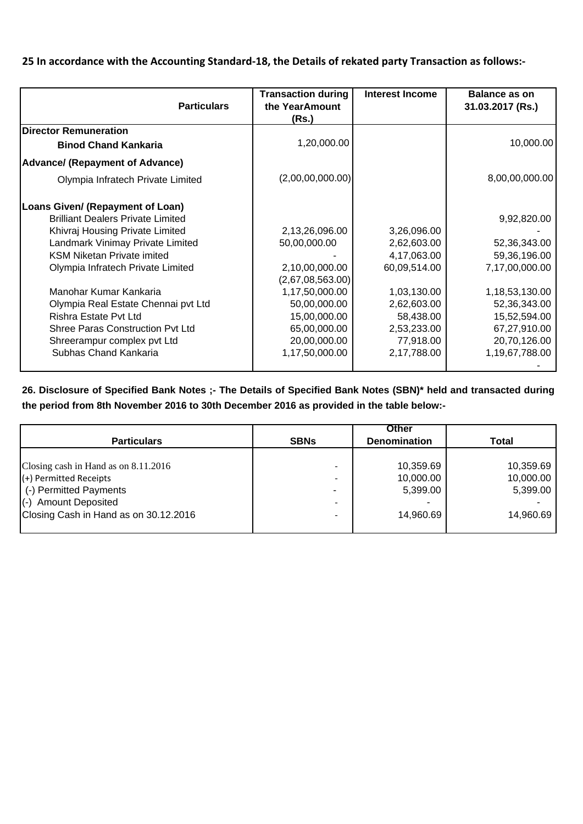# 25 In accordance with the Accounting Standard-18, the Details of rekated party Transaction as follows:-

| <b>Particulars</b>                       | <b>Transaction during</b><br>the YearAmount | <b>Interest Income</b> | <b>Balance as on</b><br>31.03.2017 (Rs.) |
|------------------------------------------|---------------------------------------------|------------------------|------------------------------------------|
|                                          | (Rs.)                                       |                        |                                          |
| <b>Director Remuneration</b>             |                                             |                        |                                          |
| <b>Binod Chand Kankaria</b>              | 1,20,000.00                                 |                        | 10,000.00                                |
| <b>Advance/ (Repayment of Advance)</b>   |                                             |                        |                                          |
| Olympia Infratech Private Limited        | (2,00,00,000.00)                            |                        | 8,00,00,000.00                           |
| Loans Given/ (Repayment of Loan)         |                                             |                        |                                          |
| <b>Brilliant Dealers Private Limited</b> |                                             |                        | 9,92,820.00                              |
| Khivraj Housing Private Limited          | 2,13,26,096.00                              | 3,26,096.00            |                                          |
| Landmark Vinimay Private Limited         | 50,00,000.00                                | 2,62,603.00            | 52,36,343.00                             |
| <b>KSM Niketan Private imited</b>        |                                             | 4,17,063.00            | 59,36,196.00                             |
| Olympia Infratech Private Limited        | 2,10,00,000.00                              | 60,09,514.00           | 7,17,00,000.00                           |
|                                          | (2,67,08,563.00)                            |                        |                                          |
| Manohar Kumar Kankaria                   | 1,17,50,000.00                              | 1,03,130.00            | 1,18,53,130.00                           |
| Olympia Real Estate Chennai pvt Ltd      | 50,00,000.00                                | 2,62,603.00            | 52,36,343.00                             |
| Rishra Estate Pvt Ltd                    | 15,00,000.00                                | 58,438.00              | 15,52,594.00                             |
| <b>Shree Paras Construction Pvt Ltd</b>  | 65,00,000.00                                | 2,53,233.00            | 67,27,910.00                             |
| Shreerampur complex pvt Ltd              | 20,00,000.00                                | 77,918.00              | 20,70,126.00                             |
| Subhas Chand Kankaria                    | 1,17,50,000.00                              | 2,17,788.00            | 1,19,67,788.00                           |
|                                          |                                             |                        |                                          |

**26. Disclosure of Specified Bank Notes ;- The Details of Specified Bank Notes (SBN)\* held and transacted during the period from 8th November 2016 to 30th December 2016 as provided in the table below:-**

|                                       |                          | Other               |           |
|---------------------------------------|--------------------------|---------------------|-----------|
| <b>Particulars</b>                    | <b>SBNs</b>              | <b>Denomination</b> | Total     |
|                                       |                          |                     |           |
| Closing cash in Hand as on 8.11.2016  | $\qquad \qquad$          | 10,359.69           | 10,359.69 |
| (+) Permitted Receipts                | $\overline{\phantom{a}}$ | 10,000.00           | 10,000.00 |
| (-) Permitted Payments                |                          | 5,399.00            | 5,399.00  |
| (-) Amount Deposited                  | $\qquad \qquad$          |                     |           |
| Closing Cash in Hand as on 30.12.2016 |                          | 14,960.69           | 14.960.69 |
|                                       |                          |                     |           |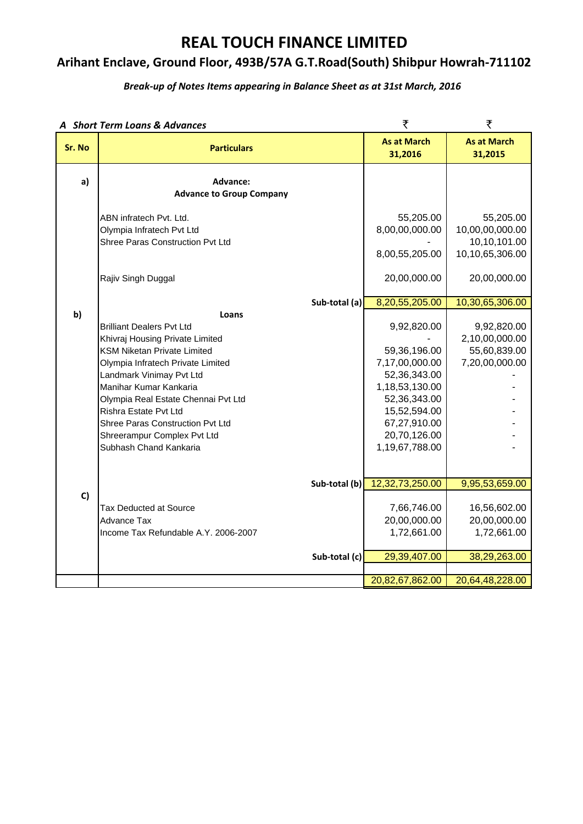# **Arihant Enclave, Ground Floor, 493B/57A G.T.Road(South) Shibpur Howrah‐711102**

# *Break‐up of Notes Items appearing in Balance Sheet as at 31st March, 2016*

| A Short Term Loans & Advances |                                                                                                                                                                                                                                                                                                                                                                            |                                | ₹                                                                                                                                                                                   | ₹                                                                                  |
|-------------------------------|----------------------------------------------------------------------------------------------------------------------------------------------------------------------------------------------------------------------------------------------------------------------------------------------------------------------------------------------------------------------------|--------------------------------|-------------------------------------------------------------------------------------------------------------------------------------------------------------------------------------|------------------------------------------------------------------------------------|
| Sr. No                        | <b>Particulars</b>                                                                                                                                                                                                                                                                                                                                                         | <b>As at March</b><br>31,2016  | <b>As at March</b><br>31,2015                                                                                                                                                       |                                                                                    |
| a)                            | Advance:<br><b>Advance to Group Company</b>                                                                                                                                                                                                                                                                                                                                |                                |                                                                                                                                                                                     |                                                                                    |
|                               | ABN infratech Pvt. Ltd.<br>Olympia Infratech Pvt Ltd<br>Shree Paras Construction Pvt Ltd                                                                                                                                                                                                                                                                                   |                                | 55,205.00<br>8,00,00,000.00<br>8,00,55,205.00                                                                                                                                       | 55,205.00<br>10,00,00,000.00<br>10,10,101.00<br>10,10,65,306.00                    |
|                               | Rajiv Singh Duggal                                                                                                                                                                                                                                                                                                                                                         |                                | 20,00,000.00                                                                                                                                                                        | 20,00,000.00                                                                       |
| b)                            | Loans<br><b>Brilliant Dealers Pvt Ltd</b><br>Khivraj Housing Private Limited<br><b>KSM Niketan Private Limited</b><br>Olympia Infratech Private Limited<br>Landmark Vinimay Pvt Ltd<br>Manihar Kumar Kankaria<br>Olympia Real Estate Chennai Pvt Ltd<br>Rishra Estate Pvt Ltd<br>Shree Paras Construction Pvt Ltd<br>Shreerampur Complex Pvt Ltd<br>Subhash Chand Kankaria | Sub-total (a)                  | 8,20,55,205.00<br>9,92,820.00<br>59,36,196.00<br>7,17,00,000.00<br>52,36,343.00<br>1,18,53,130.00<br>52,36,343.00<br>15,52,594.00<br>67,27,910.00<br>20,70,126.00<br>1,19,67,788.00 | 10,30,65,306.00<br>9,92,820.00<br>2,10,00,000.00<br>55,60,839.00<br>7,20,00,000.00 |
| C)                            | <b>Tax Deducted at Source</b><br>Advance Tax<br>Income Tax Refundable A.Y. 2006-2007                                                                                                                                                                                                                                                                                       | Sub-total (b)<br>Sub-total (c) | 12,32,73,250.00<br>7,66,746.00<br>20,00,000.00<br>1,72,661.00<br>29,39,407.00                                                                                                       | 9,95,53,659.00<br>16,56,602.00<br>20,00,000.00<br>1,72,661.00<br>38,29,263.00      |
|                               |                                                                                                                                                                                                                                                                                                                                                                            |                                | 20,82,67,862.00                                                                                                                                                                     | 20,64,48,228.00                                                                    |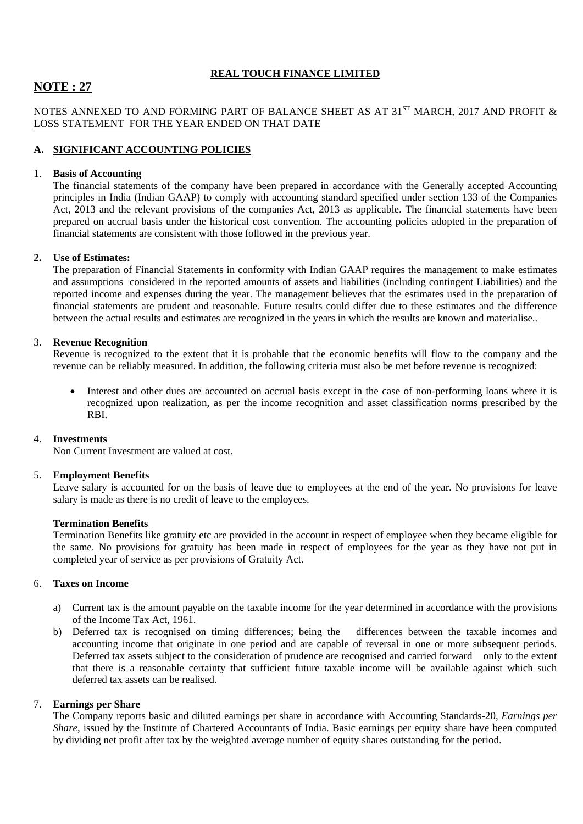# **NOTE : 27**

# NOTES ANNEXED TO AND FORMING PART OF BALANCE SHEET AS AT  $31^{ST}$  MARCH, 2017 AND PROFIT  $\&$ LOSS STATEMENT FOR THE YEAR ENDED ON THAT DATE

# **A. SIGNIFICANT ACCOUNTING POLICIES**

# 1. **Basis of Accounting**

The financial statements of the company have been prepared in accordance with the Generally accepted Accounting principles in India (Indian GAAP) to comply with accounting standard specified under section 133 of the Companies Act, 2013 and the relevant provisions of the companies Act, 2013 as applicable. The financial statements have been prepared on accrual basis under the historical cost convention. The accounting policies adopted in the preparation of financial statements are consistent with those followed in the previous year.

# **2. Use of Estimates:**

The preparation of Financial Statements in conformity with Indian GAAP requires the management to make estimates and assumptions considered in the reported amounts of assets and liabilities (including contingent Liabilities) and the reported income and expenses during the year. The management believes that the estimates used in the preparation of financial statements are prudent and reasonable. Future results could differ due to these estimates and the difference between the actual results and estimates are recognized in the years in which the results are known and materialise..

# 3. **Revenue Recognition**

Revenue is recognized to the extent that it is probable that the economic benefits will flow to the company and the revenue can be reliably measured. In addition, the following criteria must also be met before revenue is recognized:

 Interest and other dues are accounted on accrual basis except in the case of non-performing loans where it is recognized upon realization, as per the income recognition and asset classification norms prescribed by the RBI.

# 4. **Investments**

Non Current Investment are valued at cost.

### 5. **Employment Benefits**

Leave salary is accounted for on the basis of leave due to employees at the end of the year. No provisions for leave salary is made as there is no credit of leave to the employees.

### **Termination Benefits**

Termination Benefits like gratuity etc are provided in the account in respect of employee when they became eligible for the same. No provisions for gratuity has been made in respect of employees for the year as they have not put in completed year of service as per provisions of Gratuity Act.

# 6. **Taxes on Income**

- a) Current tax is the amount payable on the taxable income for the year determined in accordance with the provisions of the Income Tax Act, 1961.
- b) Deferred tax is recognised on timing differences; being the differences between the taxable incomes and accounting income that originate in one period and are capable of reversal in one or more subsequent periods. Deferred tax assets subject to the consideration of prudence are recognised and carried forward only to the extent that there is a reasonable certainty that sufficient future taxable income will be available against which such deferred tax assets can be realised.

# 7. **Earnings per Share**

The Company reports basic and diluted earnings per share in accordance with Accounting Standards-20, *Earnings per Share*, issued by the Institute of Chartered Accountants of India. Basic earnings per equity share have been computed by dividing net profit after tax by the weighted average number of equity shares outstanding for the period.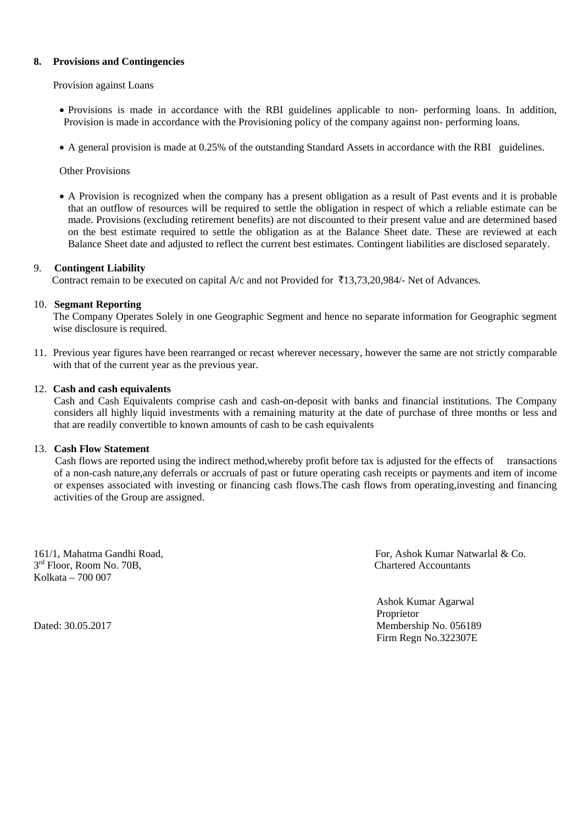# **8. Provisions and Contingencies**

Provision against Loans

- Provisions is made in accordance with the RBI guidelines applicable to non- performing loans. In addition, Provision is made in accordance with the Provisioning policy of the company against non- performing loans.
- A general provision is made at 0.25% of the outstanding Standard Assets in accordance with the RBI guidelines.

Other Provisions

 A Provision is recognized when the company has a present obligation as a result of Past events and it is probable that an outflow of resources will be required to settle the obligation in respect of which a reliable estimate can be made. Provisions (excluding retirement benefits) are not discounted to their present value and are determined based on the best estimate required to settle the obligation as at the Balance Sheet date. These are reviewed at each Balance Sheet date and adjusted to reflect the current best estimates. Contingent liabilities are disclosed separately.

#### 9. **Contingent Liability**

Contract remain to be executed on capital A/c and not Provided for  $\overline{5}13,73,20,984/$ - Net of Advances.

### 10. **Segmant Reporting**

The Company Operates Solely in one Geographic Segment and hence no separate information for Geographic segment wise disclosure is required.

11. Previous year figures have been rearranged or recast wherever necessary, however the same are not strictly comparable with that of the current year as the previous year.

#### 12. **Cash and cash equivalents**

Cash and Cash Equivalents comprise cash and cash-on-deposit with banks and financial institutions. The Company considers all highly liquid investments with a remaining maturity at the date of purchase of three months or less and that are readily convertible to known amounts of cash to be cash equivalents

# 13. **Cash Flow Statement**

 Cash flows are reported using the indirect method,whereby profit before tax is adjusted for the effects of transactions of a non-cash nature,any deferrals or accruals of past or future operating cash receipts or payments and item of income or expenses associated with investing or financing cash flows.The cash flows from operating,investing and financing activities of the Group are assigned.

 $3<sup>rd</sup>$  Floor, Room No. 70B, Chartered Accountants Kolkata – 700 007

161/1, Mahatma Gandhi Road, For, Ashok Kumar Natwarlal & Co.

 Ashok Kumar Agarwal Proprietor Dated: 30.05.2017 Membership No. 056189 Firm Regn No.322307E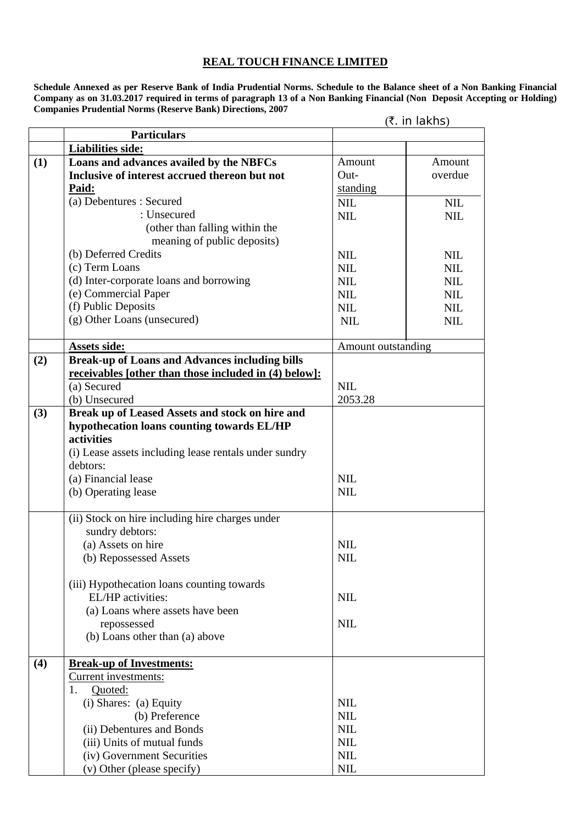**Schedule Annexed as per Reserve Bank of India Prudential Norms. Schedule to the Balance sheet of a Non Banking Financial Company as on 31.03.2017 required in terms of paragraph 13 of a Non Banking Financial (Non Deposit Accepting or Holding) Companies Prudential Norms (Reserve Bank) Directions, 2007** 

|     |                                                              | (₹. in lakhs)      |            |  |
|-----|--------------------------------------------------------------|--------------------|------------|--|
|     | <b>Particulars</b>                                           |                    |            |  |
|     | <b>Liabilities side:</b>                                     |                    |            |  |
| (1) | Loans and advances availed by the NBFCs                      | Amount             | Amount     |  |
|     | Inclusive of interest accrued thereon but not                | Out-               | overdue    |  |
|     | Paid:                                                        | standing           |            |  |
|     | (a) Debentures : Secured                                     | <b>NIL</b>         | <b>NIL</b> |  |
|     | : Unsecured                                                  | <b>NIL</b>         | <b>NIL</b> |  |
|     | (other than falling within the                               |                    |            |  |
|     | meaning of public deposits)                                  |                    |            |  |
|     | (b) Deferred Credits                                         | <b>NIL</b>         | <b>NIL</b> |  |
|     | (c) Term Loans                                               | <b>NIL</b>         | <b>NIL</b> |  |
|     | (d) Inter-corporate loans and borrowing                      | <b>NIL</b>         | <b>NIL</b> |  |
|     | (e) Commercial Paper                                         | <b>NIL</b>         | <b>NIL</b> |  |
|     | (f) Public Deposits                                          | <b>NIL</b>         | <b>NIL</b> |  |
|     | (g) Other Loans (unsecured)                                  | <b>NIL</b>         | <b>NIL</b> |  |
|     |                                                              |                    |            |  |
|     | Assets side:                                                 | Amount outstanding |            |  |
| (2) | <b>Break-up of Loans and Advances including bills</b>        |                    |            |  |
|     | <u>receivables</u> [other than those included in (4) below]: |                    |            |  |
|     | (a) Secured                                                  | <b>NIL</b>         |            |  |
|     | (b) Unsecured                                                | 2053.28            |            |  |
| (3) | Break up of Leased Assets and stock on hire and              |                    |            |  |
|     | hypothecation loans counting towards EL/HP                   |                    |            |  |
|     | activities                                                   |                    |            |  |
|     | (i) Lease assets including lease rentals under sundry        |                    |            |  |
|     | debtors:                                                     |                    |            |  |
|     | (a) Financial lease                                          | <b>NIL</b>         |            |  |
|     | (b) Operating lease                                          | <b>NIL</b>         |            |  |
|     | (ii) Stock on hire including hire charges under              |                    |            |  |
|     | sundry debtors:                                              |                    |            |  |
|     | (a) Assets on hire                                           | <b>NIL</b>         |            |  |
|     | (b) Repossessed Assets                                       | <b>NIL</b>         |            |  |
|     | (iii) Hypothecation loans counting towards                   |                    |            |  |
|     | EL/HP activities:                                            | <b>NIL</b>         |            |  |
|     | (a) Loans where assets have been                             |                    |            |  |
|     | repossessed                                                  | <b>NIL</b>         |            |  |
|     | (b) Loans other than (a) above                               |                    |            |  |
| (4) | <b>Break-up of Investments:</b>                              |                    |            |  |
|     | Current investments:                                         |                    |            |  |
|     | Quoted:<br>1.                                                |                    |            |  |
|     | (i) Shares: (a) Equity                                       | <b>NIL</b>         |            |  |
|     | (b) Preference                                               | <b>NIL</b>         |            |  |
|     | (ii) Debentures and Bonds                                    | <b>NIL</b>         |            |  |
|     | (iii) Units of mutual funds                                  | <b>NIL</b>         |            |  |
|     | (iv) Government Securities                                   | <b>NIL</b>         |            |  |
|     | (v) Other (please specify)                                   | $NIL$              |            |  |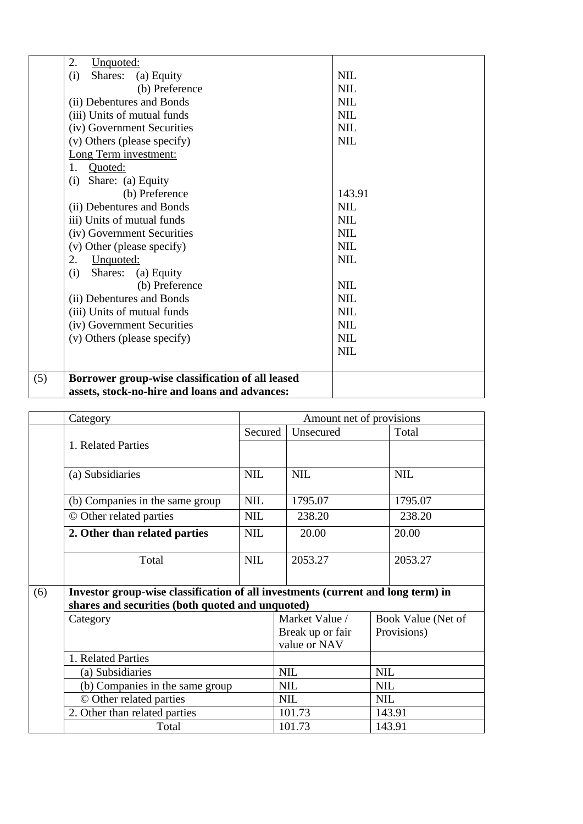| 2.<br>Unquoted:                                         |            |
|---------------------------------------------------------|------------|
| (i)<br>Shares:<br>(a) Equity                            | <b>NIL</b> |
| (b) Preference                                          | <b>NIL</b> |
| (ii) Debentures and Bonds                               | <b>NIL</b> |
| (iii) Units of mutual funds                             | <b>NIL</b> |
| (iv) Government Securities                              | <b>NIL</b> |
| (v) Others (please specify)                             | <b>NIL</b> |
| Long Term investment:                                   |            |
| Quoted:<br>$1_{-}$                                      |            |
| Share: (a) Equity<br>(i)                                |            |
| (b) Preference                                          | 143.91     |
| (ii) Debentures and Bonds                               | <b>NIL</b> |
| iii) Units of mutual funds                              | <b>NIL</b> |
| (iv) Government Securities                              | <b>NIL</b> |
| (v) Other (please specify)                              | <b>NIL</b> |
| 2.<br>Unquoted:                                         | <b>NIL</b> |
| Shares:<br>(a) Equity<br>(i)                            |            |
| (b) Preference                                          | <b>NIL</b> |
| (ii) Debentures and Bonds                               | <b>NIL</b> |
| (iii) Units of mutual funds                             | <b>NIL</b> |
| (iv) Government Securities                              | <b>NIL</b> |
| (v) Others (please specify)                             | <b>NIL</b> |
|                                                         | <b>NIL</b> |
| (5)<br>Borrower group-wise classification of all leased |            |
| assets, stock-no-hire and loans and advances:           |            |

|     | Category                                                                                                                             | Amount net of provisions |            |                                  |            |                    |  |
|-----|--------------------------------------------------------------------------------------------------------------------------------------|--------------------------|------------|----------------------------------|------------|--------------------|--|
|     |                                                                                                                                      |                          | Secured    | Unsecured                        |            | Total              |  |
|     | 1. Related Parties                                                                                                                   |                          |            |                                  |            |                    |  |
|     | (a) Subsidiaries                                                                                                                     | <b>NIL</b>               |            | <b>NIL</b>                       |            | <b>NIL</b>         |  |
|     | (b) Companies in the same group                                                                                                      | <b>NIL</b>               |            | 1795.07                          |            | 1795.07            |  |
|     | © Other related parties                                                                                                              | <b>NIL</b>               |            | 238.20                           |            | 238.20             |  |
|     | 2. Other than related parties                                                                                                        | <b>NIL</b>               |            | 20.00                            |            | 20.00              |  |
|     | Total                                                                                                                                | <b>NIL</b>               |            | 2053.27                          |            | 2053.27            |  |
| (6) | Investor group-wise classification of all investments (current and long term) in<br>shares and securities (both quoted and unquoted) |                          |            |                                  |            |                    |  |
|     | Category                                                                                                                             |                          |            | Market Value /                   |            | Book Value (Net of |  |
|     |                                                                                                                                      |                          |            | Break up or fair<br>value or NAV |            | Provisions)        |  |
|     | 1. Related Parties                                                                                                                   |                          |            |                                  |            |                    |  |
|     | (a) Subsidiaries<br>(b) Companies in the same group<br>© Other related parties<br>2. Other than related parties<br>Total             |                          | <b>NIL</b> |                                  |            | <b>NIL</b>         |  |
|     |                                                                                                                                      |                          | <b>NIL</b> |                                  | <b>NIL</b> |                    |  |
|     |                                                                                                                                      |                          | <b>NIL</b> |                                  | <b>NIL</b> |                    |  |
|     |                                                                                                                                      |                          |            | 101.73<br>143.91                 |            |                    |  |
|     |                                                                                                                                      |                          |            | 101.73<br>143.91                 |            |                    |  |